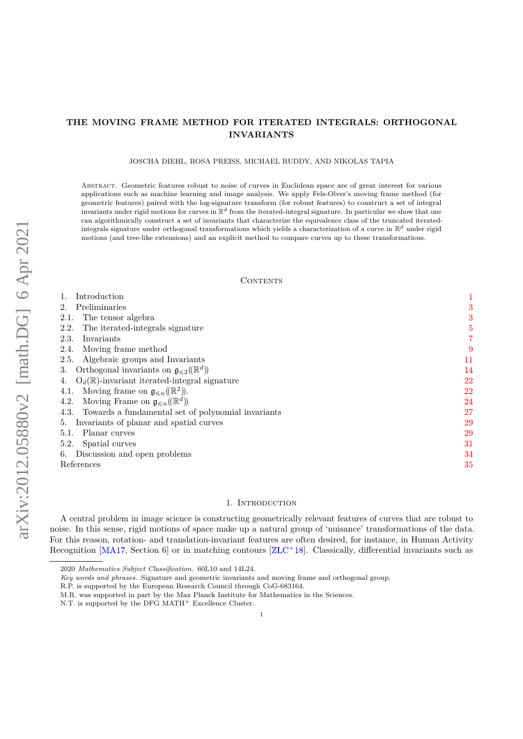## **THE MOVING FRAME METHOD FOR ITERATED INTEGRALS: ORTHOGONAL INVARIANTS**

JOSCHA DIEHL, ROSA PREIß, MICHAEL RUDDY, AND NIKOLAS TAPIA

Abstract. Geometric features robust to noise of curves in Euclidean space are of great interest for various applications such as machine learning and image analysis. We apply Fels-Olver's moving frame method (for geometric features) paired with the log-signature transform (for robust features) to construct a set of integral invariants under rigid motions for curves in  $\mathbb{R}^d$  from the iterated-integral signature. In particular we show that one can algorithmically construct a set of invariants that characterize the equivalence class of the truncated iteratedintegrals signature under orthogonal transformations which yields a characterization of a curve in R*<sup>d</sup>* under rigid motions (and tree-like extensions) and an explicit method to compare curves up to these transformations.

### CONTENTS

| Introduction                                                         | $\mathbf{1}$ |  |
|----------------------------------------------------------------------|--------------|--|
| Preliminaries                                                        | 3            |  |
| The tensor algebra<br>2.1.                                           | 3            |  |
| The iterated-integrals signature<br>2.2.                             | 5            |  |
| 2.3.<br>Invariants                                                   |              |  |
| Moving frame method<br>2.4.                                          | ç            |  |
| Algebraic groups and Invariants<br>2.5.                              | 11           |  |
| Orthogonal invariants on $\mathfrak{g}_{\leq 2}(\mathbb{R}^d)$<br>3. | 14           |  |
| $O_d(\mathbb{R})$ -invariant iterated-integral signature<br>4.       | 22           |  |
| Moving frame on $\mathfrak{g}_{\leq n}(\mathbb{R}^2)$ .<br>4.1.      | 22           |  |
| Moving Frame on $\mathfrak{g}_{\leq n}(\mathbb{R}^d)$<br>4.2.        | 24           |  |
| 4.3. Towards a fundamental set of polynomial invariants              | 27           |  |
| Invariants of planar and spatial curves<br>5.                        | 29           |  |
| Planar curves<br>5.1.                                                | 29           |  |
| 5.2.<br>Spatial curves                                               | 31           |  |
| Discussion and open problems<br>6.                                   | 34           |  |
| References                                                           |              |  |

### 1. INTRODUCTION

<span id="page-0-0"></span>A central problem in image science is constructing geometrically relevant features of curves that are robust to noise. In this sense, rigid motions of space make up a natural group of 'nuisance' transformations of the data. For this reason, rotation- and translation-invariant features are often desired, for instance, in Human Activity Recognition  $[MA17, Section 6]$  $[MA17, Section 6]$  or in matching contours  $[ZLC^+18]$  $[ZLC^+18]$ . Classically, differential invariants such as

<sup>2020</sup> *Mathematics Subject Classification.* 60L10 and 14L24.

*Key words and phrases.* Signature and geometric invariants and moving frame and orthogonal group.

R.P. is supported by the European Research Council through CoG-683164.

M.R. was supported in part by the Max Planck Institute for Mathematics in the Sciences.

N.T. is supported by the DFG MATH<sup> $+$ </sup> Excellence Cluster.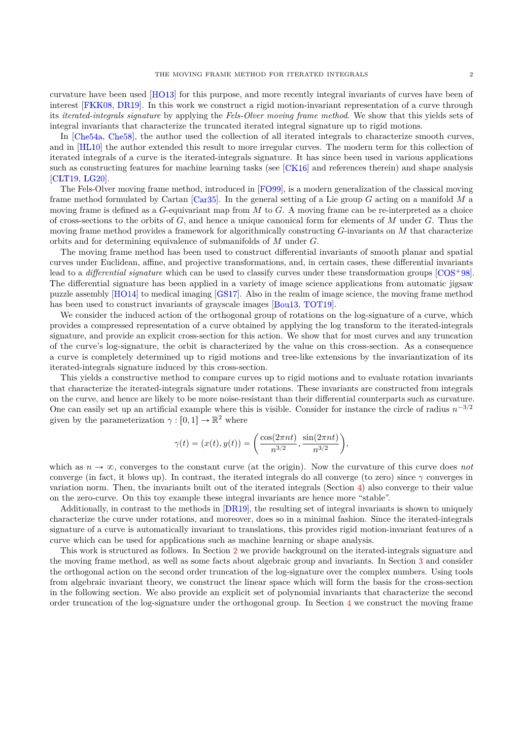curvature have been used [\[HO13\]](#page-35-2) for this purpose, and more recently integral invariants of curves have been of interest [\[FKK08,](#page-35-3) [DR19\]](#page-34-1). In this work we construct a rigid motion-invariant representation of a curve through its *iterated-integrals signature* by applying the *Fels-Olver moving frame method*. We show that this yields sets of integral invariants that characterize the truncated iterated integral signature up to rigid motions.

In [\[Che54a,](#page-34-2) [Che58\]](#page-34-3), the author used the collection of all iterated integrals to characterize smooth curves, and in [\[HL10\]](#page-35-4) the author extended this result to more irregular curves. The modern term for this collection of iterated integrals of a curve is the iterated-integrals signature. It has since been used in various applications such as constructing features for machine learning tasks (see [\[CK16\]](#page-34-4) and references therein) and shape analysis [\[CLT19,](#page-34-5) [LG20\]](#page-35-5).

The Fels-Olver moving frame method, introduced in [\[FO99\]](#page-35-6), is a modern generalization of the classical moving frame method formulated by Cartan [\[Car35\]](#page-34-6). In the general setting of a Lie group *G* acting on a manifold *M* a moving frame is defined as a *G*-equivariant map from *M* to *G*. A moving frame can be re-interpreted as a choice of cross-sections to the orbits of *G*, and hence a unique canonical form for elements of *M* under *G*. Thus the moving frame method provides a framework for algorithmically constructing *G*-invariants on *M* that characterize orbits and for determining equivalence of submanifolds of *M* under *G*.

The moving frame method has been used to construct differential invariants of smooth planar and spatial curves under Euclidean, affine, and projective transformations, and, in certain cases, these differential invariants lead to a *differential signature* which can be used to classify curves under these transformation groups [\[COS](#page-34-7)<sup>+98]</sup>. The differential signature has been applied in a variety of image science applications from automatic jigsaw puzzle assembly [\[HO14\]](#page-35-7) to medical imaging [\[GS17\]](#page-35-8). Also in the realm of image science, the moving frame method has been used to construct invariants of grayscale images [\[Bou13,](#page-34-8) [TOT19\]](#page-35-9).

We consider the induced action of the orthogonal group of rotations on the log-signature of a curve, which provides a compressed representation of a curve obtained by applying the log transform to the iterated-integrals signature, and provide an explicit cross-section for this action. We show that for most curves and any truncation of the curve's log-signature, the orbit is characterized by the value on this cross-section. As a consequence a curve is completely determined up to rigid motions and tree-like extensions by the invariantization of its iterated-integrals signature induced by this cross-section.

This yields a constructive method to compare curves up to rigid motions and to evaluate rotation invariants that characterize the iterated-integrals signature under rotations. These invariants are constructed from integrals on the curve, and hence are likely to be more noise-resistant than their differential counterparts such as curvature. One can easily set up an artificial example where this is visible. Consider for instance the circle of radius  $n^{-3/2}$ given by the parameterization  $\gamma : [0, 1] \to \mathbb{R}^2$  where

$$
\gamma(t) = (x(t), y(t)) = \left(\frac{\cos(2\pi nt)}{n^{3/2}}, \frac{\sin(2\pi nt)}{n^{3/2}}\right),
$$

which as  $n \to \infty$ , converges to the constant curve (at the origin). Now the curvature of this curve does *not* converge (in fact, it blows up). In contrast, the iterated integrals do all converge (to zero) since *γ* converges in variation norm. Then, the invariants built out of the iterated integrals (Section [4\)](#page-21-0) also converge to their value on the zero-curve. On this toy example these integral invariants are hence more "stable".

Additionally, in contrast to the methods in [\[DR19\]](#page-34-1), the resulting set of integral invariants is shown to uniquely characterize the curve under rotations, and moreover, does so in a minimal fashion. Since the iterated-integrals signature of a curve is automatically invariant to translations, this provides rigid motion-invariant features of a curve which can be used for applications such as machine learning or shape analysis.

This work is structured as follows. In Section [2](#page-2-0) we provide background on the iterated-integrals signature and the moving frame method, as well as some facts about algebraic group and invariants. In Section [3](#page-13-0) and consider the orthogonal action on the second order truncation of the log-signature over the complex numbers. Using tools from algebraic invariant theory, we construct the linear space which will form the basis for the cross-section in the following section. We also provide an explicit set of polynomial invariants that characterize the second order truncation of the log-signature under the orthogonal group. In Section [4](#page-21-0) we construct the moving frame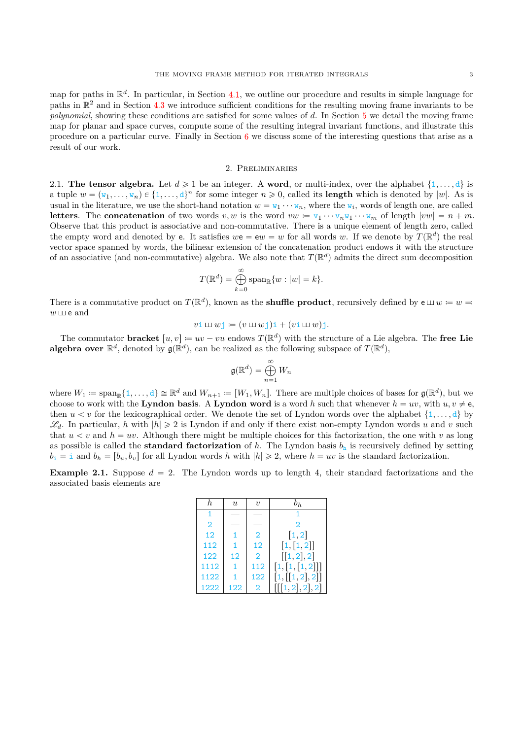map for paths in R *d* . In particular, in Section [4.1,](#page-21-1) we outline our procedure and results in simple language for paths in  $\mathbb{R}^2$  and in Section [4.3](#page-26-0) we introduce sufficient conditions for the resulting moving frame invariants to be *polynomial*, showing these conditions are satisfied for some values of *d*. In Section [5](#page-28-0) we detail the moving frame map for planar and space curves, compute some of the resulting integral invariant functions, and illustrate this procedure on a particular curve. Finally in Section [6](#page-33-0) we discuss some of the interesting questions that arise as a result of our work.

### 2. Preliminaries

<span id="page-2-1"></span><span id="page-2-0"></span>2.1. **The tensor algebra.** Let  $d \ge 1$  be an integer. A **word**, or multi-index, over the alphabet  $\{1, \ldots, d\}$  is a tuple  $w = (w_1, \ldots, w_n) \in \{1, \ldots, d\}^n$  for some integer  $n \geq 0$ , called its **length** which is denoted by  $|w|$ . As is usual in the literature, we use the short-hand notation  $w = w_1 \cdots w_n$ , where the  $w_i$ , words of length one, are called **letters**. The **concatenation** of two words  $v, w$  is the word  $vw = v_1 \cdots v_n v_1 \cdots w_m$  of length  $|vw| = n + m$ . Observe that this product is associative and non-commutative. There is a unique element of length zero, called the empty word and denoted by **e**. It satisfies  $we = ew = w$  for all words *w*. If we denote by  $T(\mathbb{R}^d)$  the real vector space spanned by words, the bilinear extension of the concatenation product endows it with the structure of an associative (and non-commutative) algebra. We also note that  $T(\mathbb{R}^d)$  admits the direct sum decomposition

$$
T(\mathbb{R}^d) = \bigoplus_{k=0}^{\infty} \operatorname{span}_{\mathbb{R}} \{w : |w| = k\}.
$$

There is a commutative product on  $T(\mathbb{R}^d)$ , known as the **shuffle product**, recursively defined by  $e \sqcup w = w = w$  $w \sqcup v$  e and

$$
v \mathbf{i} \sqcup w \mathbf{j} \coloneqq (v \sqcup w \mathbf{j}) \mathbf{i} + (v \mathbf{i} \sqcup w) \mathbf{j}.
$$

The commutator **bracket**  $[u, v] \coloneqq uv - vu$  endows  $T(\mathbb{R}^d)$  with the structure of a Lie algebra. The free Lie **algebra over**  $\mathbb{R}^d$ , denoted by  $\mathfrak{g}(\mathbb{R}^d)$ , can be realized as the following subspace of  $T(\mathbb{R}^d)$ ,

$$
\mathfrak{g}(\mathbb{R}^d) = \bigoplus_{n=1}^{\infty} W_n
$$

where  $W_1 \coloneqq \text{span}_{\mathbb{R}}\{1,\ldots,d\} \cong \mathbb{R}^d$  and  $W_{n+1} \coloneqq [W_1, W_n]$ . There are multiple choices of bases for  $\mathfrak{g}(\mathbb{R}^d)$ , but we choose to work with the **Lyndon basis**. A **Lyndon word** is a word *h* such that whenever  $h = uv$ , with  $u, v \neq e$ , then  $u < v$  for the lexicographical order. We denote the set of Lyndon words over the alphabet  $\{1, \ldots, d\}$  by  $\mathscr{L}_d$ . In particular, *h* with  $|h| \geq 2$  is Lyndon if and only if there exist non-empty Lyndon words *u* and *v* such that  $u < v$  and  $h = uv$ . Although there might be multiple choices for this factorization, the one with *v* as long as possible is called the **standard factorization** of  $h$ . The Lyndon basis  $b<sub>h</sub>$  is recursively defined by setting  $b_i = i$  and  $b_h = [b_u, b_v]$  for all Lyndon words *h* with  $|h| \geq 2$ , where  $h = uv$  is the standard factorization.

<span id="page-2-2"></span>**Example 2.1.** Suppose  $d = 2$ . The Lyndon words up to length 4, their standard factorizations and the associated basis elements are

|                | U   | $\eta$         | $b_h$                                   |
|----------------|-----|----------------|-----------------------------------------|
|                |     |                |                                         |
| $\overline{2}$ |     |                | $\mathfrak{D}$                          |
| 12             |     | $\overline{2}$ | [1, 2]                                  |
| 112            |     | 12             | [1, [1, 2]]                             |
| 122            | 12  | $\overline{2}$ | $\left[ \left[ 1, 2 \right], 2 \right]$ |
| 1112           |     | 112            | [1, [1, [1, 2]]]                        |
| 1122           |     | 122            | [1, [1, 2], 2]                          |
| 1222           | 122 | $\overline{2}$ | [[[1,2],2],2]                           |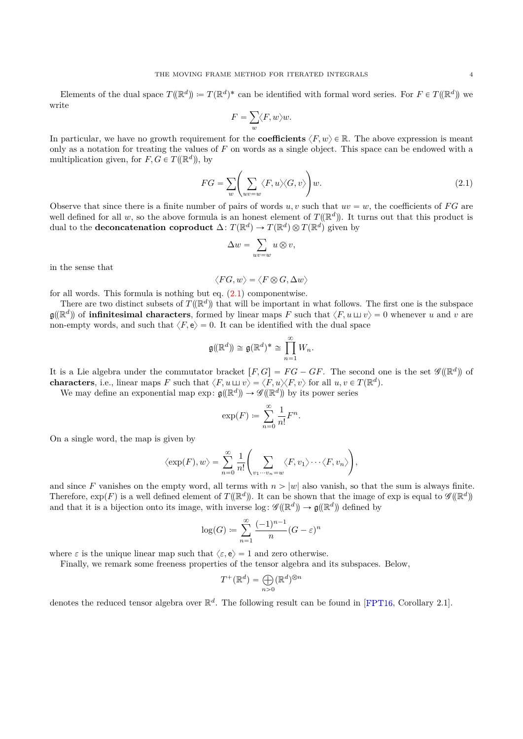Elements of the dual space  $T(\mathbb{R}^d) := T(\mathbb{R}^d)^*$  can be identified with formal word series. For  $F \in T(\mathbb{R}^d)$  we write

$$
F=\sum_w \langle F,w\rangle w.
$$

In particular, we have no growth requirement for the **coefficients**  $\langle F, w \rangle \in \mathbb{R}$ . The above expression is meant only as a notation for treating the values of *F* on words as a single object. This space can be endowed with a multiplication given, for  $F, G \in T(\mathbb{R}^d)$ , by

<span id="page-3-0"></span>
$$
FG = \sum_{w} \left( \sum_{uv=w} \langle F, u \rangle \langle G, v \rangle \right) w.
$$
 (2.1)

Observe that since there is a finite number of pairs of words  $u, v$  such that  $uv = w$ , the coefficients of *FG* are well defined for all w, so the above formula is an honest element of  $T(\mathbb{R}^d)$ . It turns out that this product is dual to the **deconcatenation coproduct**  $\Delta: T(\mathbb{R}^d) \to T(\mathbb{R}^d) \otimes T(\mathbb{R}^d)$  given by

$$
\Delta w = \sum_{uv=w} u \otimes v,
$$

in the sense that

 $\langle FG, w \rangle = \langle F \otimes G, \Delta w \rangle$ 

for all words. This formula is nothing but eq.  $(2.1)$  componentwise.

There are two distinct subsets of  $T(\mathbb{R}^d)$  that will be important in what follows. The first one is the subspace  $\mathfrak{g}(\mathbb{R}^d)$  of **infinitesimal characters**, formed by linear maps *F* such that  $\langle F, u \sqcup v \rangle = 0$  whenever *u* and *v* are non-empty words, and such that  $\langle F, \mathbf{e} \rangle = 0$ . It can be identified with the dual space

$$
\mathfrak{g}(\mathbb{R}^d)\cong \mathfrak{g}(\mathbb{R}^d)^* \cong \prod_{n=1}^{\infty} W_n.
$$

It is a Lie algebra under the commutator bracket  $[F, G] = FG - GF$ . The second one is the set  $\mathscr{G}(\mathbb{R}^d)$  of **characters**, i.e., linear maps *F* such that  $\langle F, u \sqcup v \rangle = \langle F, u \rangle \langle F, v \rangle$  for all  $u, v \in T(\mathbb{R}^d)$ .

We may define an exponential map  $\exp: \mathfrak{g}(\mathbb{R}^d) \to \mathscr{G}(\mathbb{R}^d)$  by its power series

$$
\exp(F) \coloneqq \sum_{n=0}^{\infty} \frac{1}{n!} F^n.
$$

On a single word, the map is given by

$$
\langle \exp(F), w \rangle = \sum_{n=0}^{\infty} \frac{1}{n!} \left( \sum_{v_1 \cdots v_n = w} \langle F, v_1 \rangle \cdots \langle F, v_n \rangle \right),
$$

and since F vanishes on the empty word, all terms with  $n > |w|$  also vanish, so that the sum is always finite. Therefore,  $\exp(F)$  is a well defined element of  $T(\mathbb{R}^d)$ . It can be shown that the image of exp is equal to  $\mathscr{G}(\mathbb{R}^d)$ and that it is a bijection onto its image, with inverse  $\log : \mathscr{G}(\mathbb{R}^d) \to \mathfrak{g}(\mathbb{R}^d)$  defined by

$$
\log(G) \coloneqq \sum_{n=1}^{\infty} \frac{(-1)^{n-1}}{n} (G - \varepsilon)^n
$$

where  $\varepsilon$  is the unique linear map such that  $\langle \varepsilon, e \rangle = 1$  and zero otherwise.

Finally, we remark some freeness properties of the tensor algebra and its subspaces. Below,

$$
T^+(\mathbb{R}^d) = \bigoplus_{n>0} (\mathbb{R}^d)^{\otimes n}
$$

denotes the reduced tensor algebra over  $\mathbb{R}^d$ . The following result can be found in [\[FPT16,](#page-35-10) Corollary 2.1].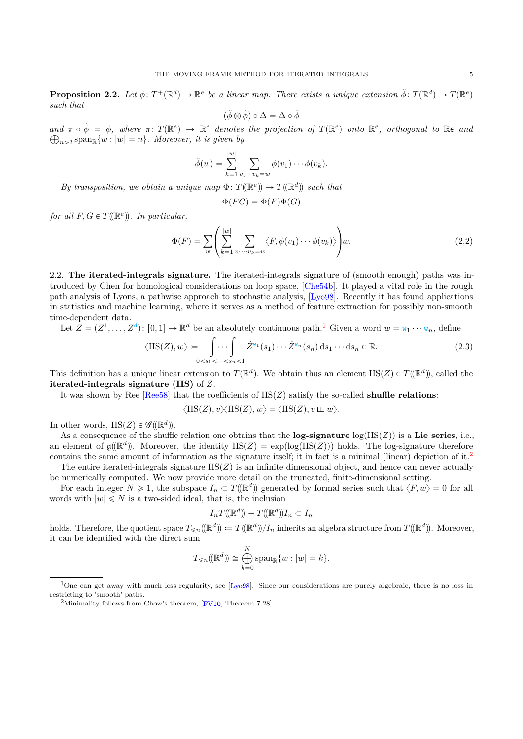**Proposition 2.2.** Let  $\phi \colon T^+(\mathbb{R}^d) \to \mathbb{R}^e$  be a linear map. There exists a unique extension  $\tilde{\phi} \colon T(\mathbb{R}^d) \to T(\mathbb{R}^e)$ *such that*

$$
(\tilde{\phi}\otimes\tilde{\phi})\circ\Delta=\Delta\circ\tilde{\phi}
$$

 $and \pi \circ \tilde{\phi} = \phi$ , where  $\pi \colon T(\mathbb{R}^e) \to \mathbb{R}^e$  denotes the projection of  $T(\mathbb{R}^e)$  onto  $\mathbb{R}^e$ , orthogonal to  $\mathbb{R}^e$  and  $m_{n>2}$  span<sub>R</sub> $\{w : |w| = n\}$ . Moreover, it is given by

$$
\tilde{\phi}(w) = \sum_{k=1}^{|w|} \sum_{v_1\cdots v_k=w} \phi(v_1)\cdots\phi(v_k).
$$

*By transposition, we obtain a unique map*  $\Phi: T(\mathbb{R}^e) \to T(\mathbb{R}^d)$  such that

$$
\Phi(FG)=\Phi(F)\Phi(G)
$$

*for all*  $F, G \in T(\mathbb{R}^e)$ . In particular,

<span id="page-4-3"></span>
$$
\Phi(F) = \sum_{w} \left( \sum_{k=1}^{|w|} \sum_{v_1 \cdots v_k = w} \langle F, \phi(v_1) \cdots \phi(v_k) \rangle \right) w.
$$
\n(2.2)

<span id="page-4-0"></span>2.2. **The iterated-integrals signature.** The iterated-integrals signature of (smooth enough) paths was introduced by Chen for homological considerations on loop space, [\[Che54b\]](#page-34-9). It played a vital role in the rough path analysis of Lyons, a pathwise approach to stochastic analysis, [\[Lyo98\]](#page-35-11). Recently it has found applications in statistics and machine learning, where it serves as a method of feature extraction for possibly non-smooth time-dependent data.

Let 
$$
Z = (Z^1, ..., Z^d) : [0, 1] \to \mathbb{R}^d
$$
 be an absolutely continuous path.<sup>1</sup> Given a word  $w = w_1 \cdots w_n$ , define  
\n
$$
\langle \text{IIS}(Z), w \rangle := \int \cdots \int_{0 < s_1 < \cdots < s_n < 1} Z^{w_1}(s_1) \cdots Z^{w_n}(s_n) \, ds_1 \cdots ds_n \in \mathbb{R}.
$$
\n(2.3)

This definition has a unique linear extension to  $T(\mathbb{R}^d)$ . We obtain thus an element IIS( $Z$ )  $\in T(\mathbb{R}^d)$ , called the **iterated-integrals signature (IIS)** of *Z*.

It was shown by Ree  $[Ree58]$  that the coefficients of  $IIS(Z)$  satisfy the so-called **shuffle relations**:

$$
\langle \mathop{\rm HS}\nolimits(Z), v \rangle \langle \mathop{\rm HS}\nolimits(Z), w \rangle = \langle \mathop{\rm HS}\nolimits(Z), v \sqcup w \rangle.
$$

In other words,  $IIS(Z) \in \mathscr{G}(\mathbb{R}^d)$ .

As a consequence of the shuffle relation one obtains that the **log-signature**  $log(IIS(Z))$  is a **Lie series**, i.e., an element of  $\mathfrak{g}(\mathbb{R}^d)$ . Moreover, the identity  $\text{IIS}(Z) = \exp(\log(\text{IIS}(Z)))$  holds. The log-signature therefore contains the same amount of information as the signature itself; it in fact is a minimal (linear) depiction of it.[2](#page-4-2) The entire iterated-integrals signature  $IIS(Z)$  is an infinite dimensional object, and hence can never actually

be numerically computed. We now provide more detail on the truncated, finite-dimensional setting.

For each integer  $N \geq 1$ , the subspace  $I_n \subset T(\mathbb{R}^d)$  generated by formal series such that  $\langle F, w \rangle = 0$  for all words with  $|w| \le N$  is a two-sided ideal, that is, the inclusion

$$
I_nT((\mathbb{R}^d)) + T((\mathbb{R}^d))I_n \subset I_n
$$

holds. Therefore, the quotient space  $T_{\leq n}(\mathbb{R}^d) := T(\mathbb{R}^d)/I_n$  inherits an algebra structure from  $T(\mathbb{R}^d)$ . Moreover, it can be identified with the direct sum

$$
T_{\leq n}(\mathbb{R}^d) \cong \bigoplus_{k=0}^N \operatorname{span}_{\mathbb{R}}\{w : |w| = k\}.
$$

<span id="page-4-1"></span><sup>&</sup>lt;sup>1</sup>One can get away with much less regularity, see [\[Lyo98\]](#page-35-11). Since our considerations are purely algebraic, there is no loss in restricting to 'smooth' paths.

<span id="page-4-2"></span><sup>&</sup>lt;sup>2</sup>Minimality follows from Chow's theorem,  $[$  FV10, Theorem 7.28].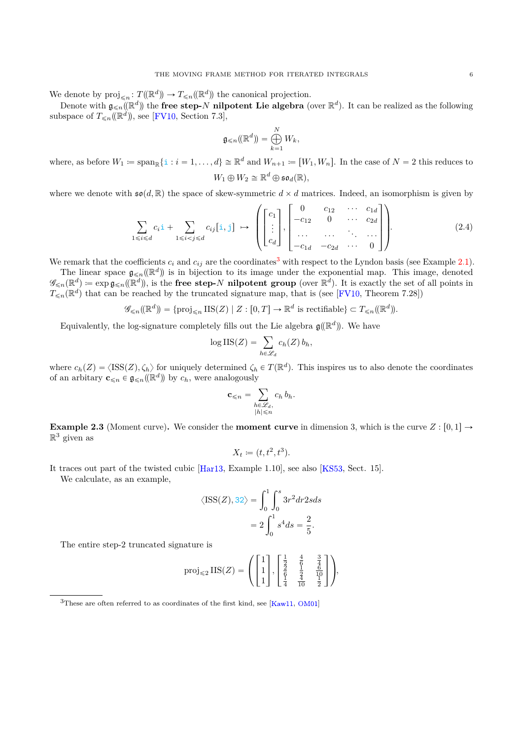We denote by  $proj_{\leq n} : T(\mathbb{R}^d) \to T_{\leq n}(\mathbb{R}^d)$  the canonical projection.

Denote with  $\mathfrak{g}_{\leq n}(\mathbb{R}^d)$  the **free step-***N* **nilpotent Lie algebra** (over  $\mathbb{R}^d$ ). It can be realized as the following subspace of  $T_{\leq n}(\mathbb{R}^d)$ , see [\[FV10,](#page-35-13) Section 7.3],

$$
\mathfrak{g}_{\leqslant n}(\mathbb{R}^d)=\bigoplus_{k=1}^N W_k,
$$

where, as before  $W_1 \coloneqq \text{span}_{\mathbb{R}}\{\mathbf{i} : i = 1, \ldots, d\} \cong \mathbb{R}^d$  and  $W_{n+1} \coloneqq [W_1, W_n]$ . In the case of  $N = 2$  this reduces to  $W_1 \oplus W_2 \cong \mathbb{R}^d \oplus \mathfrak{so}_d(\mathbb{R}),$ 

where we denote with  $\mathfrak{so}(d,\mathbb{R})$  the space of skew-symmetric  $d \times d$  matrices. Indeed, an isomorphism is given by

<span id="page-5-1"></span>
$$
\sum_{1 \le i \le d} c_i \mathbf{i} + \sum_{1 \le i < j \le d} c_{ij} [\mathbf{i}, \mathbf{j}] \mapsto \left( \begin{bmatrix} c_1 \\ \vdots \\ c_d \end{bmatrix}, \begin{bmatrix} 0 & c_{12} & \cdots & c_{1d} \\ -c_{12} & 0 & \cdots & c_{2d} \\ \cdots & \cdots & \cdots & \cdots \\ -c_{1d} & -c_{2d} & \cdots & 0 \end{bmatrix} \right). \tag{2.4}
$$

We remark that the coefficients  $c_i$  and  $c_{ij}$  are the coordinates<sup>[3](#page-5-0)</sup> with respect to the Lyndon basis (see Example [2.1\)](#page-2-2).

The linear space  $\mathfrak{g}_{\leq n}(\mathbb{R}^d)$  is in bijection to its image under the exponential map. This image, denoted  $\mathscr{G}_{\leq n}(\mathbb{R}^d) \coloneqq \exp \mathfrak{g}_{\leq n}(\mathbb{R}^d)$ , is the **free step-***N* **nilpotent group** (over  $\mathbb{R}^d$ ). It is exactly the set of all points in  $T_{\leq n}(\mathbb{R}^d)$  that can be reached by the truncated signature map, that is (see [\[FV10,](#page-35-13) Theorem 7.28])

$$
\mathscr{G}_{\leqslant n}(\mathbb{R}^d) = \{ \text{proj}_{\leqslant n} \, \text{HS}(Z) \mid Z : [0, T] \to \mathbb{R}^d \text{ is rectifiable} \} \subset T_{\leqslant n}(\mathbb{R}^d).
$$

Equivalently, the log-signature completely fills out the Lie algebra  $\mathfrak{g}(\mathbb{R}^d)$ ). We have

$$
\log \text{IIS}(Z) = \sum_{h \in \mathscr{L}_d} c_h(Z) b_h,
$$

where  $c_h(Z) = \langle \text{ISS}(Z), \zeta_h \rangle$  for uniquely determined  $\zeta_h \in T(\mathbb{R}^d)$ . This inspires us to also denote the coordinates of an arbitary  $\mathbf{c}_{\leq n} \in \mathfrak{g}_{\leq n}(\mathbb{R}^d)$  by  $c_h$ , were analogously

$$
\mathbf{c}_{\leq n} = \sum_{\substack{h \in \mathcal{L}_d, \\ |h| \leq n}} c_h b_h.
$$

<span id="page-5-2"></span>**Example 2.3** (Moment curve). We consider the **moment curve** in dimension 3, which is the curve  $Z : [0,1] \rightarrow$  $\mathbb{R}^3$  given as

$$
X_t \coloneqq (t, t^2, t^3).
$$

It traces out part of the twisted cubic [\[Har13,](#page-35-14) Example 1.10], see also [\[KS53,](#page-35-15) Sect. 15].

We calculate, as an example,

$$
\langle \text{ISS}(Z), 32 \rangle = \int_0^1 \int_0^s 3r^2 dr 2s ds
$$

$$
= 2 \int_0^1 s^4 ds = \frac{2}{5}.
$$

The entire step-2 truncated signature is

$$
\text{proj}_{\leq 2} \text{IIS}(Z) = \left( \begin{bmatrix} 1 \\ 1 \\ 1 \end{bmatrix}, \begin{bmatrix} \frac{1}{2} & \frac{4}{6} & \frac{3}{4} \\ \frac{6}{6} & \frac{2}{4} & \frac{6}{10} \\ \frac{1}{4} & \frac{2}{10} & \frac{1}{2} \end{bmatrix} \right),
$$

<span id="page-5-0"></span> $3$ These are often referred to as coordinates of the first kind, see [\[Kaw11,](#page-35-16) [OM01\]](#page-35-17)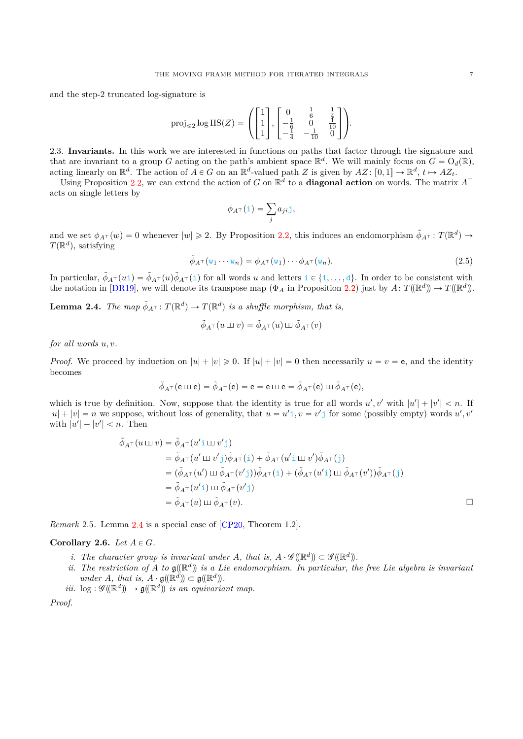and the step-2 truncated log-signature is

$$
\operatorname{proj}_{\leq 2} \log \operatorname{IIS}(Z) = \left( \begin{bmatrix} 1 \\ 1 \\ 1 \end{bmatrix}, \begin{bmatrix} 0 & \frac{1}{6} & \frac{1}{4} \\ -\frac{1}{6} & 0 & \frac{1}{10} \\ -\frac{1}{4} & -\frac{1}{10} & 0 \end{bmatrix} \right).
$$

<span id="page-6-0"></span>2.3. **Invariants.** In this work we are interested in functions on paths that factor through the signature and that are invariant to a group *G* acting on the path's ambient space  $\mathbb{R}^d$ . We will mainly focus on  $G = O_d(\mathbb{R})$ , acting linearly on  $\mathbb{R}^d$ . The action of  $A \in G$  on an  $\mathbb{R}^d$ -valued path *Z* is given by  $AZ: [0,1] \to \mathbb{R}^d$ ,  $t \mapsto AZ_t$ .

Using Proposition [2.2,](#page-4-3) we can extend the action of *G* on  $\mathbb{R}^d$  to a **diagonal action** on words. The matrix  $A^{\top}$ acts on single letters by

$$
\phi_{A^{\top}}(\mathtt{i}) = \sum_{j} a_{ji} \mathtt{j},
$$

and we set  $\phi_{A}(\pi)(w) = 0$  whenever  $|w| \ge 2$ . By Proposition [2.2,](#page-4-3) this induces an endomorphism  $\tilde{\phi}_{A}(\pi)$ :  $T(\mathbb{R}^d)$   $\rightarrow$  $T(\mathbb{R}^d)$ , satisfying

$$
\tilde{\phi}_{A^{\top}}(\mathbf{w}_1 \cdots \mathbf{w}_n) = \phi_{A^{\top}}(\mathbf{w}_1) \cdots \phi_{A^{\top}}(\mathbf{w}_n). \tag{2.5}
$$

In particular,  $\tilde{\phi}_{A^{\top}}(u_i) = \tilde{\phi}_{A^{\top}}(u)\tilde{\phi}_{A^{\top}}(i)$  for all words *u* and letters  $i \in \{1, \ldots, d\}$ . In order to be consistent with the notation in [\[DR19\]](#page-34-1), we will denote its transpose map  $(\Phi_A$  in Proposition [2.2\)](#page-4-3) just by  $A: T(\mathbb{R}^d) \to T(\mathbb{R}^d)$ .

<span id="page-6-1"></span>**Lemma 2.4.** *The map*  $\tilde{\phi}_{A^{\top}}$ :  $T(\mathbb{R}^d) \to T(\mathbb{R}^d)$  *is a shuffle morphism, that is,* 

$$
\tilde{\phi}_{A^{\top}}(u \sqcup \hspace{-0.12cm}\sqcup v) = \tilde{\phi}_{A^{\top}}(u) \sqcup \tilde{\phi}_{A^{\top}}(v)
$$

*for all words u, v.*

*Proof.* We proceed by induction on  $|u| + |v| \ge 0$ . If  $|u| + |v| = 0$  then necessarily  $u = v = e$ , and the identity becomes

$$
\tilde{\phi}_{A^{\top}}({\sf e} \sqcup {\sf e}) = \tilde{\phi}_{A^{\top}}({\sf e}) = {\sf e} = {\sf e} \sqcup {\sf e} = \tilde{\phi}_{A^{\top}}({\sf e}) \sqcup \tilde{\phi}_{A^{\top}}({\sf e}),
$$

which is true by definition. Now, suppose that the identity is true for all words  $u', v'$  with  $|u'| + |v'| < n$ . If  $|u| + |v| = n$  we suppose, without loss of generality, that  $u = u'$ ,  $v = v'$  for some (possibly empty) words  $u', v'$ with  $|u'| + |v'| < n$ . Then

$$
\tilde{\phi}_{A^{\top}}(u \sqcup v) = \tilde{\phi}_{A^{\top}}(u' \sqcup w' \text{ i})
$$
\n
$$
= \tilde{\phi}_{A^{\top}}(u' \sqcup w' \text{ j})\tilde{\phi}_{A^{\top}}(\text{ i}) + \tilde{\phi}_{A^{\top}}(u' \sqcup w')\tilde{\phi}_{A^{\top}}(\text{ j})
$$
\n
$$
= (\tilde{\phi}_{A^{\top}}(u') \sqcup \tilde{\phi}_{A^{\top}}(v' \text{ j}))\tilde{\phi}_{A^{\top}}(\text{ i}) + (\tilde{\phi}_{A^{\top}}(u' \text{ i}) \sqcup \tilde{\phi}_{A^{\top}}(v'))\tilde{\phi}_{A^{\top}}(\text{ j})
$$
\n
$$
= \tilde{\phi}_{A^{\top}}(u' \text{ i}) \sqcup \tilde{\phi}_{A^{\top}}(v' \text{ j})
$$
\n
$$
= \tilde{\phi}_{A^{\top}}(u) \sqcup \tilde{\phi}_{A^{\top}}(v).
$$

*Remark* 2.5*.* Lemma [2.4](#page-6-1) is a special case of [\[CP20,](#page-34-10) Theorem 1.2].

### **Corollary 2.6.** *Let*  $A \in G$ *.*

- *i.* The character group is invariant under *A*, that is,  $A \cdot \mathcal{G}(\mathbb{R}^d) \subset \mathcal{G}(\mathbb{R}^d)$ .
- *ii.* The restriction of A to  $\mathfrak{g}(\mathbb{R}^d)$  is a Lie endomorphism. In particular, the free Lie algebra is invariant  $under A, that is, A \cdot \mathfrak{g}(\mathbb{R}^d) \subset \mathfrak{g}(\mathbb{R}^d)$ .
- <span id="page-6-2"></span>*iii.*  $\log : \mathscr{G}(\mathbb{R}^d) \to \mathfrak{g}(\mathbb{R}^d)$  *is an equivariant map.*

*Proof.*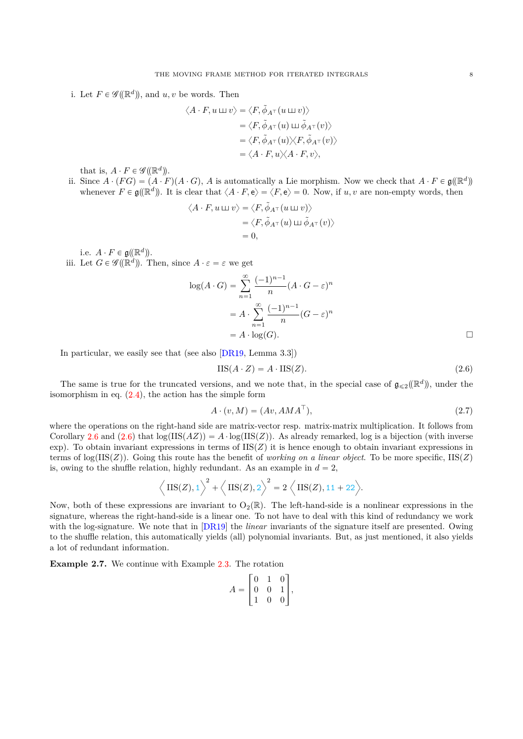i. Let  $F \in \mathscr{G}(\mathbb{R}^d)$ , and  $u, v$  be words. Then

$$
\langle A \cdot F, u \sqcup v \rangle = \langle F, \tilde{\phi}_{A^{\top}}(u \sqcup v) \rangle
$$
  

$$
= \langle F, \tilde{\phi}_{A^{\top}}(u) \sqcup \tilde{\phi}_{A^{\top}}(v) \rangle
$$
  

$$
= \langle F, \tilde{\phi}_{A^{\top}}(u) \rangle \langle F, \tilde{\phi}_{A^{\top}}(v) \rangle
$$
  

$$
= \langle A \cdot F, u \rangle \langle A \cdot F, v \rangle,
$$

that is,  $A \cdot F \in \mathscr{G}((\mathbb{R}^d))$ .

ii. Since  $A \cdot (FG) = (A \cdot F)(A \cdot G)$ , *A* is automatically a Lie morphism. Now we check that  $A \cdot F \in \mathfrak{g}(\mathbb{R}^d)$ whenever  $F \in \mathfrak{g}(\mathbb{R}^d)$ . It is clear that  $\langle A \cdot F, e \rangle = \langle F, e \rangle = 0$ . Now, if *u, v* are non-empty words, then

$$
\langle A \cdot F, u \sqcup v \rangle = \langle F, \tilde{\phi}_{A^{\top}}(u \sqcup v) \rangle
$$
  
=  $\langle F, \tilde{\phi}_{A^{\top}}(u) \sqcup \tilde{\phi}_{A^{\top}}(v) \rangle$   
= 0,

i.e.  $A \cdot F \in \mathfrak{g}(\mathbb{R}^d)$ .

iii. Let  $G \in \mathscr{G}(\mathbb{R}^d)$ . Then, since  $A \cdot \varepsilon = \varepsilon$  we get

$$
\log(A \cdot G) = \sum_{n=1}^{\infty} \frac{(-1)^{n-1}}{n} (A \cdot G - \varepsilon)^n
$$

$$
= A \cdot \sum_{n=1}^{\infty} \frac{(-1)^{n-1}}{n} (G - \varepsilon)^n
$$

$$
= A \cdot \log(G).
$$

In particular, we easily see that (see also [\[DR19,](#page-34-1) Lemma 3.3])

<span id="page-7-0"></span>
$$
IIS(A \cdot Z) = A \cdot IIS(Z). \tag{2.6}
$$

The same is true for the truncated versions, and we note that, in the special case of  $\mathfrak{g}_{\leqslant 2}(\mathbb{R}^d)$ , under the isomorphism in eq.  $(2.4)$ , the action has the simple form

$$
A \cdot (v, M) = (Av, AMA^{\top}), \qquad (2.7)
$$

where the operations on the right-hand side are matrix-vector resp. matrix-matrix multiplication. It follows from Corollary [2.6](#page-6-2) and  $(2.6)$  that  $log(IIS(AZ)) = A \cdot log(IIS(Z))$ . As already remarked, log is a bijection (with inverse exp). To obtain invariant expressions in terms of  $\text{IIS}(Z)$  it is hence enough to obtain invariant expressions in terms of  $\log(\text{IIS}(Z))$ . Going this route has the benefit of *working on a linear object*. To be more specific,  $\text{IIS}(Z)$ is, owing to the shuffle relation, highly redundant. As an example in  $d = 2$ ,

$$
\left\langle \text{IIS}(Z),1 \right\rangle^2 + \left\langle \text{IIS}(Z),2 \right\rangle^2 = 2 \left\langle \text{IIS}(Z),11 + 22 \right\rangle.
$$

Now, both of these expressions are invariant to  $O_2(\mathbb{R})$ . The left-hand-side is a nonlinear expressions in the signature, whereas the right-hand-side is a linear one. To not have to deal with this kind of redundancy we work with the log-signature. We note that in [\[DR19\]](#page-34-1) the *linear* invariants of the signature itself are presented. Owing to the shuffle relation, this automatically yields (all) polynomial invariants. But, as just mentioned, it also yields a lot of redundant information.

**Example 2.7.** We continue with Example [2.3.](#page-5-2) The rotation

$$
A = \begin{bmatrix} 0 & 1 & 0 \\ 0 & 0 & 1 \\ 1 & 0 & 0 \end{bmatrix},
$$

<span id="page-7-1"></span>fi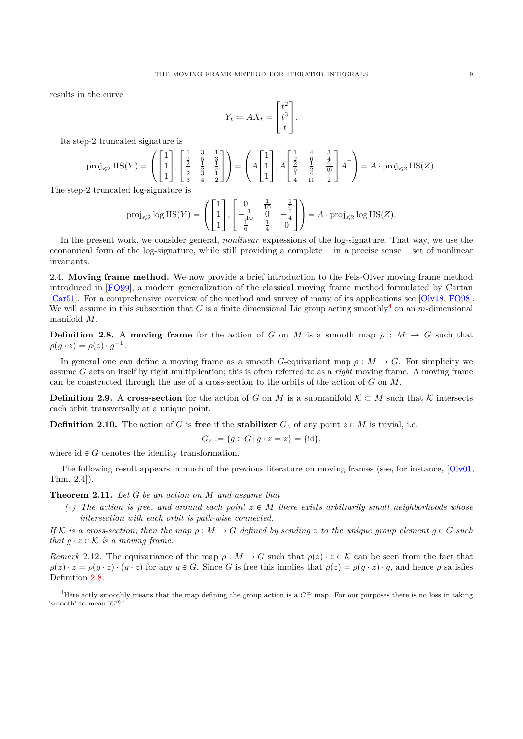results in the curve

$$
Y_t \coloneqq AX_t = \begin{bmatrix} t^2 \\ t^3 \\ t \end{bmatrix}.
$$

Its step-2 truncated signature is

$$
\text{proj}_{\leq 2} \operatorname{IIS}(Y) = \left( \begin{bmatrix} 1 \\ 1 \\ 1 \end{bmatrix}, \begin{bmatrix} \frac{1}{2} & \frac{3}{5} & \frac{1}{3} \\ \frac{2}{5} & \frac{1}{2} & \frac{1}{4} \\ \frac{3}{5} & \frac{3}{4} & \frac{1}{2} \end{bmatrix} \right) = \left( A \begin{bmatrix} 1 \\ 1 \\ 1 \end{bmatrix}, A \begin{bmatrix} \frac{1}{2} & \frac{4}{6} & \frac{3}{4} \\ \frac{2}{6} & \frac{1}{2} & \frac{6}{10} \\ \frac{1}{4} & \frac{4}{10} & \frac{1}{2} \end{bmatrix} A^{\top} \right) = A \cdot \text{proj}_{\leq 2} \operatorname{IIS}(Z).
$$

The step-2 truncated log-signature is

$$
\text{proj}_{\leq 2} \log \text{IIS}(Y) = \left( \begin{bmatrix} 1 \\ 1 \\ 1 \end{bmatrix}, \begin{bmatrix} 0 & \frac{1}{10} & -\frac{1}{6} \\ -\frac{1}{10} & 0 & -\frac{1}{4} \\ \frac{1}{6} & \frac{1}{4} & 0 \end{bmatrix} \right) = A \cdot \text{proj}_{\leq 2} \log \text{IIS}(Z).
$$

In the present work, we consider general, *nonlinear* expressions of the log-signature. That way, we use the economical form of the log-signature, while still providing a complete – in a precise sense – set of nonlinear invariants.

<span id="page-8-0"></span>2.4. **Moving frame method.** We now provide a brief introduction to the Fels-Olver moving frame method introduced in [\[FO99\]](#page-35-6), a modern generalization of the classical moving frame method formulated by Cartan [\[Car51\]](#page-34-11). For a comprehensive overview of the method and survey of many of its applications see [\[Olv18,](#page-35-18) [FO98\]](#page-35-19). We will assume in this subsection that *G* is a finite dimensional Lie group acting smoothly<sup>[4](#page-8-1)</sup> on an *m*-dimensional manifold *M*.

<span id="page-8-2"></span>**Definition 2.8.** A moving frame for the action of *G* on *M* is a smooth map  $\rho : M \to G$  such that  $\rho(g \cdot z) = \rho(z) \cdot g^{-1}.$ 

In general one can define a moving frame as a smooth *G*-equivariant map  $\rho : M \to G$ . For simplicity we assume *G* acts on itself by right multiplication; this is often referred to as a *right* moving frame. A moving frame can be constructed through the use of a cross-section to the orbits of the action of *G* on *M*.

**Definition 2.9.** A **cross-section** for the action of *G* on *M* is a submanifold  $K \subset M$  such that K intersects each orbit transversally at a unique point.

**Definition 2.10.** The action of *G* is **free** if the **stabilizer**  $G_z$  of any point  $z \in M$  is trivial, i.e.

$$
G_z := \{ g \in G \, | \, g \cdot z = z \} = \{ id \},
$$

where  $id \in G$  denotes the identity transformation.

The following result appears in much of the previous literature on moving frames (see, for instance, [\[Olv01,](#page-35-20) Thm. 2.4]).

<span id="page-8-3"></span>**Theorem 2.11.** *Let G be an action on M and assume that*

 $(*)$  The action is free, and around each point  $z \in M$  there exists arbitrarily small neighborhoods whose *intersection with each orbit is path-wise connected.*

*If* K is a cross-section, then the map  $\rho : M \to G$  defined by sending z to the unique group element  $g \in G$  such *that*  $q \cdot z \in \mathcal{K}$  *is a moving frame.* 

*Remark* 2.12. The equivariance of the map  $\rho : M \to G$  such that  $\rho(z) \cdot z \in \mathcal{K}$  can be seen from the fact that  $\rho(z) \cdot z = \rho(g \cdot z) \cdot (g \cdot z)$  for any  $g \in G$ . Since G is free this implies that  $\rho(z) = \rho(g \cdot z) \cdot g$ , and hence  $\rho$  satisfies Definition [2.8.](#page-8-2)

<span id="page-8-1"></span><sup>&</sup>lt;sup>4</sup>Here actly smoothly means that the map defining the group action is a  $C^{\infty}$  map. For our purposes there is no loss in taking 'smooth' to mean  $'C^{\infty}$ '..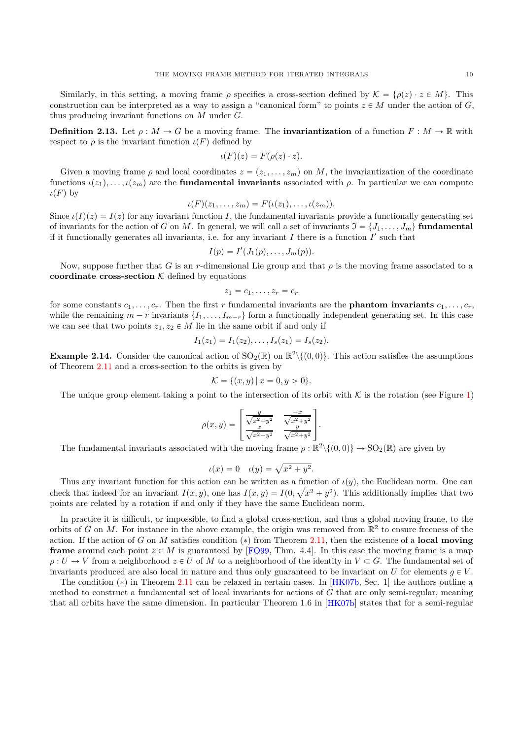Similarly, in this setting, a moving frame  $\rho$  specifies a cross-section defined by  $\mathcal{K} = {\rho(z) \cdot z \in M}$ . This construction can be interpreted as a way to assign a "canonical form" to points  $z \in M$  under the action of *G*, thus producing invariant functions on *M* under *G*.

**Definition 2.13.** Let  $\rho : M \to G$  be a moving frame. The **invariantization** of a function  $F : M \to \mathbb{R}$  with respect to  $\rho$  is the invariant function  $\iota(F)$  defined by

$$
\iota(F)(z) = F(\rho(z) \cdot z).
$$

Given a moving frame  $\rho$  and local coordinates  $z = (z_1, \ldots, z_m)$  on *M*, the invariantization of the coordinate functions  $ι(z_1), \ldots, ι(z_m)$  are the **fundamental invariants** associated with *ρ*. In particular we can compute  $\iota(F)$  by

$$
\iota(F)(z_1,\ldots,z_m)=F(\iota(z_1),\ldots,\iota(z_m)).
$$

Since  $\iota(I)(z) = I(z)$  for any invariant function *I*, the fundamental invariants provide a functionally generating set of invariants for the action of *G* on *M*. In general, we will call a set of invariants  $\mathfrak{I} = \{J_1, \ldots, J_m\}$  fundamental if it functionally generates all invariants, i.e. for any invariant  $I$  there is a function  $I'$  such that

$$
I(p) = I'(J_1(p), \ldots, J_m(p)).
$$

Now, suppose further that *G* is an *r*-dimensional Lie group and that  $\rho$  is the moving frame associated to a **coordinate cross-section**  $K$  defined by equations

$$
z_1=c_1,\ldots,z_r=c_r
$$

for some constants  $c_1, \ldots, c_r$ . Then the first r fundamental invariants are the **phantom invariants**  $c_1, \ldots, c_r$ , while the remaining  $m - r$  invariants  $\{I_1, \ldots, I_{m-r}\}\$  form a functionally independent generating set. In this case we can see that two points  $z_1, z_2 \in M$  lie in the same orbit if and only if

$$
I_1(z_1) = I_1(z_2), \ldots, I_s(z_1) = I_s(z_2).
$$

<span id="page-9-0"></span>**Example 2.14.** Consider the canonical action of  $SO_2(\mathbb{R})$  on  $\mathbb{R}^2 \setminus \{(0,0)\}$ . This action satisfies the assumptions of Theorem [2.11](#page-8-3) and a cross-section to the orbits is given by

$$
\mathcal{K} = \{(x, y) \, | \, x = 0, y > 0\}.
$$

The unique group element taking a point to the intersection of its orbit with  $K$  is the rotation (see Figure [1\)](#page-10-1)

$$
\rho(x,y) = \begin{bmatrix} \frac{y}{\sqrt{x^2 + y^2}} & \frac{-x}{\sqrt{x^2 + y^2}} \\ \frac{x}{\sqrt{x^2 + y^2}} & \frac{y}{\sqrt{x^2 + y^2}} \end{bmatrix}.
$$

The fundamental invariants associated with the moving frame  $\rho : \mathbb{R}^2 \setminus \{(0,0)\} \to SO_2(\mathbb{R})$  are given by

$$
\iota(x) = 0
$$
  $\iota(y) = \sqrt{x^2 + y^2}$ .

Thus any invariant function for this action can be written as a function of  $\iota(y)$ , the Euclidean norm. One can check that indeed for an invariant  $I(x, y)$ , one has  $I(x, y) = I(0, \sqrt{x^2 + y^2})$ . This additionally implies that two points are related by a rotation if and only if they have the same Euclidean norm.

In practice it is difficult, or impossible, to find a global cross-section, and thus a global moving frame, to the orbits of *G* on *M*. For instance in the above example, the origin was removed from  $\mathbb{R}^2$  to ensure freeness of the action. If the action of *G* on *M* satisfies condition (\*) from Theorem [2.11,](#page-8-3) then the existence of a **local moving frame** around each point  $z \in M$  is guaranteed by [\[FO99,](#page-35-6) Thm. 4.4]. In this case the moving frame is a map  $\rho: U \to V$  from a neighborhood  $z \in U$  of M to a neighborhood of the identity in  $V \subset G$ . The fundamental set of invariants produced are also local in nature and thus only guaranteed to be invariant on  $U$  for elements  $g \in V$ .

The condition  $(*)$  in Theorem [2.11](#page-8-3) can be relaxed in certain cases. In [\[HK07b,](#page-35-21) Sec. 1] the authors outline a method to construct a fundamental set of local invariants for actions of *G* that are only semi-regular, meaning that all orbits have the same dimension. In particular Theorem 1.6 in [\[HK07b\]](#page-35-21) states that for a semi-regular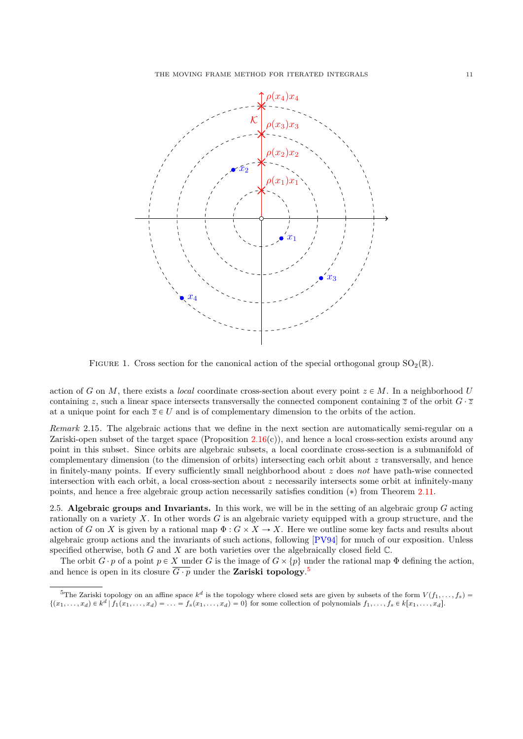

<span id="page-10-1"></span>FIGURE 1. Cross section for the canonical action of the special orthogonal group  $SO_2(\mathbb{R})$ .

action of *G* on *M*, there exists a *local* coordinate cross-section about every point  $z \in M$ . In a neighborhood *U* containing *z*, such a linear space intersects transversally the connected component containing  $\overline{z}$  of the orbit  $G \cdot \overline{z}$ at a unique point for each  $\overline{z} \in U$  and is of complementary dimension to the orbits of the action.

<span id="page-10-3"></span>*Remark* 2.15*.* The algebraic actions that we define in the next section are automatically semi-regular on a Zariski-open subset of the target space (Proposition  $2.16(c)$  $2.16(c)$ ), and hence a local cross-section exists around any point in this subset. Since orbits are algebraic subsets, a local coordinate cross-section is a submanifold of complementary dimension (to the dimension of orbits) intersecting each orbit about *z* transversally, and hence in finitely-many points. If every sufficiently small neighborhood about *z* does *not* have path-wise connected intersection with each orbit, a local cross-section about *z* necessarily intersects some orbit at infinitely-many points, and hence a free algebraic group action necessarily satisfies condition  $(*)$  from Theorem [2.11.](#page-8-3)

<span id="page-10-0"></span>2.5. **Algebraic groups and Invariants.** In this work, we will be in the setting of an algebraic group *G* acting rationally on a variety *X*. In other words *G* is an algebraic variety equipped with a group structure, and the action of *G* on *X* is given by a rational map  $\Phi: G \times X \to X$ . Here we outline some key facts and results about algebraic group actions and the invariants of such actions, following [\[PV94\]](#page-35-22) for much of our exposition. Unless specified otherwise, both *G* and *X* are both varieties over the algebraically closed field C.

The orbit  $G \cdot p$  of a point  $p \in X$  under *G* is the image of  $G \times \{p\}$  under the rational map  $\Phi$  defining the action, and hence is open in its closure  $\overline{G \cdot p}$  under the **Zariski topology**.<sup>[5](#page-10-2)</sup>

<span id="page-10-2"></span><sup>&</sup>lt;sup>5</sup>The Zariski topology on an affine space  $k^d$  is the topology where closed sets are given by subsets of the form  $V(f_1,\ldots,f_s)$  =  $\{(x_1,\ldots,x_d)\in k^d\,|\,f_1(x_1,\ldots,x_d)=\ldots=f_s(x_1,\ldots,x_d)=0\}$  for some collection of polynomials  $f_1,\ldots,f_s\in k[x_1,\ldots,x_d]$ .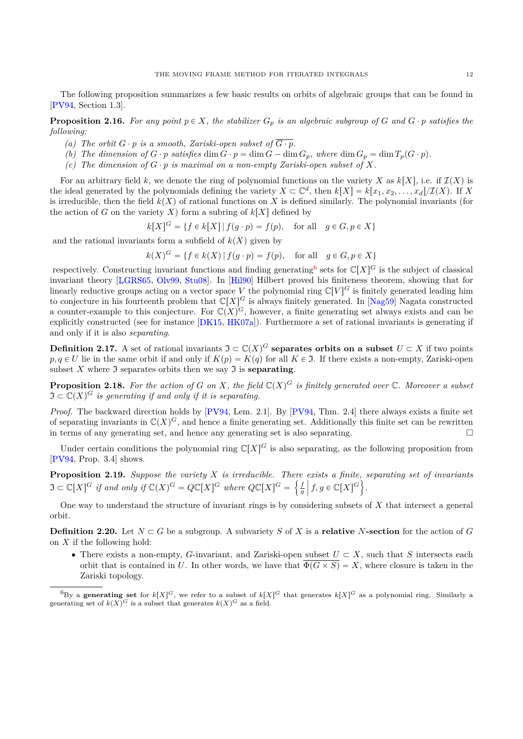The following proposition summarizes a few basic results on orbits of algebraic groups that can be found in [\[PV94,](#page-35-22) Section 1.3].

<span id="page-11-0"></span>**Proposition 2.16.** For any point  $p \in X$ , the stabilizer  $G_p$  is an algebraic subgroup of  $G$  and  $G \cdot p$  satisfies the *following:*

- *(a) The orbit*  $G \cdot p$  *is a smooth, Zariski-open subset of*  $\overline{G \cdot p}$ *.*
- (b) The dimension of  $G \cdot p$  satisfies  $\dim G \cdot p = \dim G \dim G_p$ , where  $\dim G_p = \dim T_p(G \cdot p)$ .
- *(c) The dimension of*  $G \cdot p$  *is maximal on a non-empty Zariski-open subset of*  $X$ *.*

For an arbitrary field k, we denote the ring of polynomial functions on the variety X as  $k[X]$ , i.e. if  $\mathcal{I}(X)$  is the ideal generated by the polynomials defining the variety  $X \subset \mathbb{C}^d$ , then  $k[X] = k[x_1, x_2, \ldots, x_d]/\mathcal{I}(X)$ . If X is irreducible, then the field  $k(X)$  of rational functions on X is defined similarly. The polynomial invariants (for the action of *G* on the variety *X*) form a subring of  $k[X]$  defined by

$$
k[X]^{G} = \{ f \in k[X] \mid f(g \cdot p) = f(p), \text{ for all } g \in G, p \in X \}
$$

and the rational invariants form a subfield of  $k(X)$  given by

$$
k(X)^G = \{ f \in k(X) \mid f(g \cdot p) = f(p), \text{ for all } g \in G, p \in X \}
$$

respectively. Constructing invariant functions and finding generating<sup>[6](#page-11-1)</sup> sets for  $\mathbb{C}[X]^G$  is the subject of classical invariant theory [\[LGRS65,](#page-35-23) [Olv99,](#page-35-24) [Stu08\]](#page-35-25). In [\[Hil90\]](#page-35-26) Hilbert proved his finiteness theorem, showing that for linearly reductive groups acting on a vector space *V* the polynomial ring  $\mathbb{C}[V]^G$  is finitely generated leading him to conjecture in his fourteenth problem that  $\mathbb{C}[X]^G$  is always finitely generated. In [\[Nag59\]](#page-35-27) Nagata constructed a counter-example to this conjecture. For  $\mathbb{C}(X)^G$ , however, a finite generating set always exists and can be explicitly constructed (see for instance [\[DK15,](#page-34-12) [HK07a\]](#page-35-28)). Furthermore a set of rational invariants is generating if and only if it is also *separating*.

**Definition 2.17.** A set of rational invariants  $\mathfrak{I} \subset \mathbb{C}(X)^G$  separates orbits on a subset  $U \subset X$  if two points  $p, q \in U$  lie in the same orbit if and only if  $K(p) = K(q)$  for all  $K \in \mathfrak{I}$ . If there exists a non-empty, Zariski-open subset  $X$  where  $\mathfrak I$  separates orbits then we say  $\mathfrak I$  is **separating**.

<span id="page-11-2"></span>**Proposition 2.18.** For the action of G on X, the field  $\mathbb{C}(X)^G$  is finitely generated over  $\mathbb{C}$ *. Moreover a subset*  $\mathfrak{I} \subset \mathbb{C}(X)^G$  is generating if and only if it is separating.

*Proof.* The backward direction holds by [\[PV94,](#page-35-22) Lem. 2.1]. By [\[PV94,](#page-35-22) Thm. 2.4] there always exists a finite set of separating invariants in  $\mathbb{C}(X)^G$ , and hence a finite generating set. Additionally this finite set can be rewritten in terms of any generating set, and hence any generating set is also separating.

Under certain conditions the polynomial ring  $\mathbb{C}[X]^G$  is also separating, as the following proposition from [\[PV94,](#page-35-22) Prop. 3.4] shows.

**Proposition 2.19.** *Suppose the variety X is irreducible. There exists a finite, separating set of invariants*  $\mathfrak{I} \subset \mathbb{C}[X]^G$  if and only if  $\mathbb{C}(X)^G = Q\mathbb{C}[X]^G$  where  $Q\mathbb{C}[X]^G =$  $\mathfrak{p}$ *f g*  $\operatorname{exists}$  a finite<br> $\left| \begin{array}{c} f, g \in \mathbb{C}[X]^G \end{array} \right.$ ) *.*

One way to understand the structure of invariant rings is by considering subsets of *X* that intersect a general orbit.

<span id="page-11-3"></span>**Definition 2.20.** Let  $N \subset G$  be a subgroup. A subvariety *S* of *X* is a **relative** *N***-section** for the action of *G* on *X* if the following hold:

 $\bullet$  There exists a non-empty, *G*-invariant, and Zariski-open subset  $U \subset X$ , such that *S* intersects each orbit that is contained in *U*. In other words, we have that  $\Phi(G \times S) = X$ , where closure is taken in the Zariski topology.

<span id="page-11-1"></span> ${}^{6}$ By a **generating set** for  $k[X]$ <sup>G</sup>, we refer to a subset of  $k[X]$ <sup>G</sup> that generates  $k[X]$ <sup>G</sup> as a polynomial ring. Similarly a generating set of  $k(X)^G$  is a subset that generates  $k(X)^G$  as a field.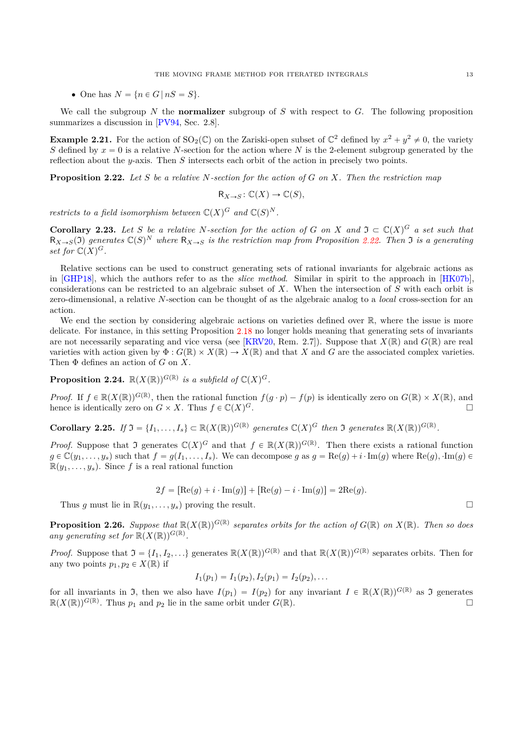• One has  $N = \{n \in G \mid nS = S\}.$ 

We call the subgroup *N* the **normalizer** subgroup of *S* with respect to *G*. The following proposition summarizes a discussion in [\[PV94,](#page-35-22) Sec. 2.8].

**Example 2.21.** For the action of  $SO_2(\mathbb{C})$  on the Zariski-open subset of  $\mathbb{C}^2$  defined by  $x^2 + y^2 \neq 0$ , the variety *S* defined by  $x = 0$  is a relative *N*-section for the action where *N* is the 2-element subgroup generated by the reflection about the *y*-axis. Then *S* intersects each orbit of the action in precisely two points.

<span id="page-12-0"></span>**Proposition 2.22.** *Let S be a relative N-section for the action of G on X. Then the restriction map*

$$
\mathsf{R}_{X \to S} \colon \mathbb{C}(X) \to \mathbb{C}(S),
$$

*restricts to a field isomorphism between*  $\mathbb{C}(X)^G$  *and*  $\mathbb{C}(S)^N$ *.* 

<span id="page-12-1"></span>**Corollary 2.23.** Let *S* be a relative *N*-section for the action of *G* on *X* and  $\mathfrak{I} \subset \mathbb{C}(X)^G$  a set such that  $R_{X\to S}(3)$  generates  $\mathbb{C}(S)^N$  where  $R_{X\to S}$  is the restriction map from Proposition [2.22.](#page-12-0) Then 3 is a generating *set for*  $\mathbb{C}(X)^G$ *.* 

Relative sections can be used to construct generating sets of rational invariants for algebraic actions as in [\[GHP18\]](#page-35-29), which the authors refer to as the *slice method*. Similar in spirit to the approach in [\[HK07b\]](#page-35-21), considerations can be restricted to an algebraic subset of *X*. When the intersection of *S* with each orbit is zero-dimensional, a relative *N*-section can be thought of as the algebraic analog to a *local* cross-section for an action.

We end the section by considering algebraic actions on varieties defined over  $\mathbb{R}$ , where the issue is more delicate. For instance, in this setting Proposition [2.18](#page-11-2) no longer holds meaning that generating sets of invariants are not necessarily separating and vice versa (see [\[KRV20,](#page-35-30) Rem. 2.7]). Suppose that  $X(\mathbb{R})$  and  $G(\mathbb{R})$  are real varieties with action given by  $\Phi: G(\mathbb{R}) \times X(\mathbb{R}) \to X(\mathbb{R})$  and that X and G are the associated complex varieties. Then Φ defines an action of *G* on *X*.

<span id="page-12-2"></span>**Proposition 2.24.**  $\mathbb{R}(X(\mathbb{R}))^{G(\mathbb{R})}$  is a subfield of  $\mathbb{C}(X)^G$ .

*Proof.* If  $f \in \mathbb{R}(X(\mathbb{R}))^{G(\mathbb{R})}$ , then the rational function  $f(g \cdot p) - f(p)$  is identically zero on  $G(\mathbb{R}) \times X(\mathbb{R})$ , and hence is identically zero on  $G \times X$ . Thus  $f \in \mathbb{C}(X)^G$ . *<sup>G</sup>*.

<span id="page-12-3"></span>**Corollary 2.25.** If  $\mathfrak{I} = \{I_1, \ldots, I_s\} \subset \mathbb{R}(X(\mathbb{R}))^{G(\mathbb{R})}$  generates  $\mathbb{C}(X)^G$  then  $\mathfrak{I}$  generates  $\mathbb{R}(X(\mathbb{R}))^{G(\mathbb{R})}$ .

*Proof.* Suppose that  $\mathfrak{I}$  generates  $\mathbb{C}(X)^G$  and that  $f \in \mathbb{R}(X(\mathbb{R}))^{G(\mathbb{R})}$ . Then there exists a rational function  $g \in \mathbb{C}(y_1,\ldots,y_s)$  such that  $f = g(I_1,\ldots,I_s)$ . We can decompose g as  $g = \text{Re}(g) + i \cdot \text{Im}(g)$  where  $\text{Re}(g)$ ,  $\text{Im}(g) \in$  $\mathbb{R}(y_1, \ldots, y_s)$ . Since *f* is a real rational function

$$
2f = [\text{Re}(g) + i \cdot \text{Im}(g)] + [\text{Re}(g) - i \cdot \text{Im}(g)] = 2\text{Re}(g).
$$

Thus *q* must lie in  $\mathbb{R}(y_1, \ldots, y_s)$  proving the result.

<span id="page-12-4"></span>**Proposition 2.26.** Suppose that  $\mathbb{R}(X(\mathbb{R}))^{G(\mathbb{R})}$  separates orbits for the action of  $G(\mathbb{R})$  on  $X(\mathbb{R})$ . Then so does any generating set for  $\mathbb{R}(X(\mathbb{R}))^{G(\mathbb{R})}$ .

*Proof.* Suppose that  $\mathfrak{I} = \{I_1, I_2, \ldots\}$  generates  $\mathbb{R}(X(\mathbb{R}))^{G(\mathbb{R})}$  and that  $\mathbb{R}(X(\mathbb{R}))^{G(\mathbb{R})}$  separates orbits. Then for any two points  $p_1, p_2 \in X(\mathbb{R})$  if

$$
I_1(p_1) = I_1(p_2), I_2(p_1) = I_2(p_2), \ldots
$$

for all invariants in J, then we also have  $I(p_1) = I(p_2)$  for any invariant  $I \in \mathbb{R}(X(\mathbb{R}))^{G(\mathbb{R})}$  as J generates  $\mathbb{R}(X(\mathbb{R}))^{G(\mathbb{R})}$ . Thus  $p_1$  and  $p_2$  lie in the same orbit under  $G(\mathbb{R})$ .

$$
\Box
$$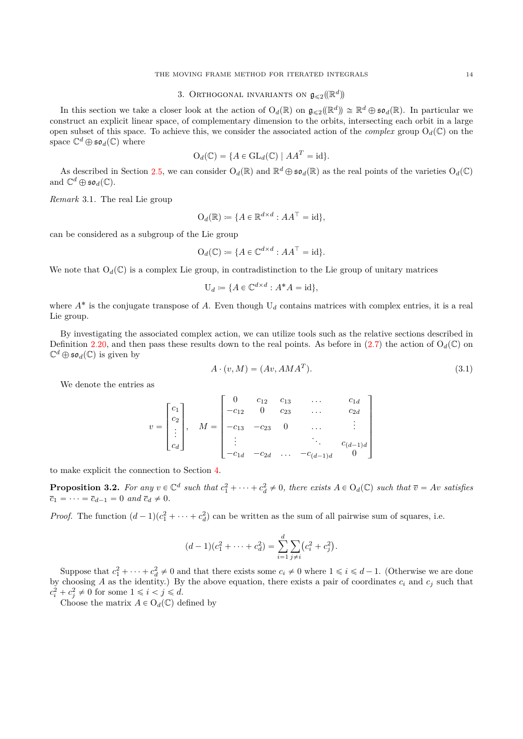# 3. Orthogonal invariants on  $\mathfrak{g}_{\leqslant 2}(\mathbb{R}^d)$

<span id="page-13-0"></span>In this section we take a closer look at the action of  $O_d(\mathbb{R})$  on  $\mathfrak{g}_{\leqslant2}(\mathbb{R}^d) \cong \mathbb{R}^d \oplus \mathfrak{so}_d(\mathbb{R})$ . In particular we construct an explicit linear space, of complementary dimension to the orbits, intersecting each orbit in a large open subset of this space. To achieve this, we consider the associated action of the *complex* group  $O_d(\mathbb{C})$  on the space  $\mathbb{C}^d \oplus \mathfrak{so}_d(\mathbb{C})$  where

$$
O_d(\mathbb{C}) = \{ A \in GL_d(\mathbb{C}) \mid AA^T = id \}.
$$

As described in Section [2.5,](#page-10-0) we can consider  $O_d(\mathbb{R})$  and  $\mathbb{R}^d \oplus \mathfrak{so}_d(\mathbb{R})$  as the real points of the varieties  $O_d(\mathbb{C})$ and  $\mathbb{C}^d \oplus \mathfrak{so}_d(\mathbb{C})$ .

*Remark* 3.1*.* The real Lie group

$$
\mathrm{O}_d(\mathbb{R}) \coloneqq \{ A \in \mathbb{R}^{d \times d} : AA^\top = \mathrm{id} \},
$$

can be considered as a subgroup of the Lie group

$$
\mathcal{O}_d(\mathbb{C}) \coloneqq \{ A \in \mathbb{C}^{d \times d} : AA^\top = \mathrm{id} \}.
$$

We note that  $O_d(\mathbb{C})$  is a complex Lie group, in contradistinction to the Lie group of unitary matrices

»

$$
U_d := \{ A \in \mathbb{C}^{d \times d} : A^*A = id \},
$$

where  $A^*$  is the conjugate transpose of  $A$ . Even though  $U_d$  contains matrices with complex entries, it is a real Lie group.

By investigating the associated complex action, we can utilize tools such as the relative sections described in Definition [2.20,](#page-11-3) and then pass these results down to the real points. As before in  $(2.7)$  the action of  $O_d(\mathbb{C})$  on  $\mathbb{C}^d \oplus \mathfrak{so}_d(\mathbb{C})$  is given by

<span id="page-13-1"></span>
$$
A \cdot (v, M) = (Av, AMAT).
$$
\n(3.1)

fi

We denote the entries as

$$
v = \begin{bmatrix} c_1 \\ c_2 \\ \vdots \\ c_d \end{bmatrix}, \quad M = \begin{bmatrix} 0 & c_{12} & c_{13} & \dots & c_{1d} \\ -c_{12} & 0 & c_{23} & \dots & c_{2d} \\ -c_{13} & -c_{23} & 0 & \dots & \vdots \\ \vdots & & \ddots & c_{(d-1)d} \\ -c_{1d} & -c_{2d} & \dots & -c_{(d-1)d} & 0 \end{bmatrix}
$$

<span id="page-13-2"></span>to make explicit the connection to Section [4.](#page-21-0)

**Proposition 3.2.** For any  $v \in \mathbb{C}^d$  such that  $c_1^2 + \cdots + c_d^2 \neq 0$ , there exists  $A \in O_d(\mathbb{C})$  such that  $\overline{v} = Av$  satisfies  $\bar{c}_1 = \cdots = \bar{c}_{d-1} = 0 \text{ and } \bar{c}_d \neq 0.$ 

*Proof.* The function  $(d-1)(c_1^2 + \cdots + c_d^2)$  can be written as the sum of all pairwise sum of squares, i.e.

$$
(d-1)(c_1^2 + \dots + c_d^2) = \sum_{i=1}^d \sum_{j \neq i} (c_i^2 + c_j^2).
$$

Suppose that  $c_1^2 + \cdots + c_d^2 \neq 0$  and that there exists some  $c_i \neq 0$  where  $1 \leq i \leq d-1$ . (Otherwise we are done by choosing *A* as the identity.) By the above equation, there exists a pair of coordinates  $c_i$  and  $c_j$  such that  $c_i^2 + c_j^2 \neq 0$  for some  $1 \leq i < j \leq d$ .

Choose the matrix  $A \in O_d(\mathbb{C})$  defined by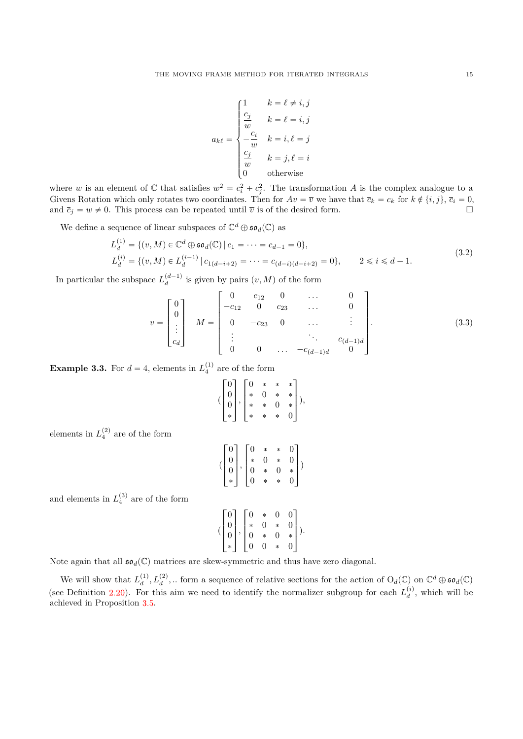$$
a_{k\ell} = \begin{cases} 1 & k = \ell \neq i, j \\ \frac{c_j}{w} & k = \ell = i, j \\ -\frac{c_i}{w} & k = i, \ell = j \\ \frac{c_j}{w} & k = j, \ell = i \\ 0 & \text{otherwise} \end{cases}
$$

where *w* is an element of  $\mathbb C$  that satisfies  $w^2 = c_i^2 + c_j^2$ . The transformation *A* is the complex analogue to a Givens Rotation which only rotates two coordinates. Then for  $Av = \overline{v}$  we have that  $\overline{c}_k = c_k$  for  $k \notin \{i, j\}, \overline{c}_i = 0$ , and  $\bar{c}_j = w \neq 0$ . This process can be repeated until  $\bar{v}$  is of the desired form.

We define a sequence of linear subspaces of  $\mathbb{C}^d \oplus \mathfrak{so}_d(\mathbb{C})$  as

$$
L_d^{(1)} = \{(v, M) \in \mathbb{C}^d \oplus \mathfrak{so}_d(\mathbb{C}) \mid c_1 = \dots = c_{d-1} = 0\},
$$
  
\n
$$
L_d^{(i)} = \{(v, M) \in L_d^{(i-1)} \mid c_{1(d-i+2)} = \dots = c_{(d-i)(d-i+2)} = 0\}, \qquad 2 \le i \le d-1.
$$
\n
$$
(3.2)
$$

In particular the subspace  $L_d^{(d-1)}$  is given by pairs  $(v, M)$  of the form

<span id="page-14-0"></span>
$$
v = \begin{bmatrix} 0 \\ 0 \\ \vdots \\ c_d \end{bmatrix} \quad M = \begin{bmatrix} 0 & c_{12} & 0 & \dots & 0 \\ -c_{12} & 0 & c_{23} & \dots & 0 \\ 0 & -c_{23} & 0 & \dots & \vdots \\ \vdots & \vdots & \ddots & c_{(d-1)d} \\ 0 & 0 & \dots & -c_{(d-1)d} & 0 \end{bmatrix} .
$$
 (3.3)

<span id="page-14-1"></span>fi

**Example 3.3.** For  $d = 4$ , elements in  $L_4^{(1)}$  are of the form

$$
(\begin{bmatrix} 0 \\ 0 \\ 0 \\ * \end{bmatrix}, \begin{bmatrix} 0 & * & * & * \\ * & 0 & * & * \\ * & * & 0 & * \\ * & * & * & 0 \end{bmatrix}),
$$

elements in  $L_4^{(2)}$  are of the form

$$
(\begin{bmatrix}0\\0\\0\\*\end{bmatrix},\begin{bmatrix}0&*&*&0\\ *&0&*&0\\0&*&0&*\\\0&*&*&0\end{bmatrix})
$$

and elements in  $L_4^{(3)}$  are of the form

$$
(\begin{bmatrix}0\\0\\0\\*\end{bmatrix},\begin{bmatrix}0&*&0&0\\ *&0&*&0\\0&*&0&*\\0&0&*&0\end{bmatrix}).
$$

Note again that all  $\mathfrak{so}_d(\mathbb{C})$  matrices are skew-symmetric and thus have zero diagonal.

We will show that  $L_d^{(1)}$ ,  $L_d^{(2)}$ ,... form a sequence of relative sections for the action of  $O_d(\mathbb{C})$  on  $\mathbb{C}^d \oplus \mathfrak{so}_d(\mathbb{C})$ (see Definition [2.20\)](#page-11-3). For this aim we need to identify the normalizer subgroup for each  $L_d^{(i)}$ , which will be achieved in Proposition [3.5.](#page-15-0)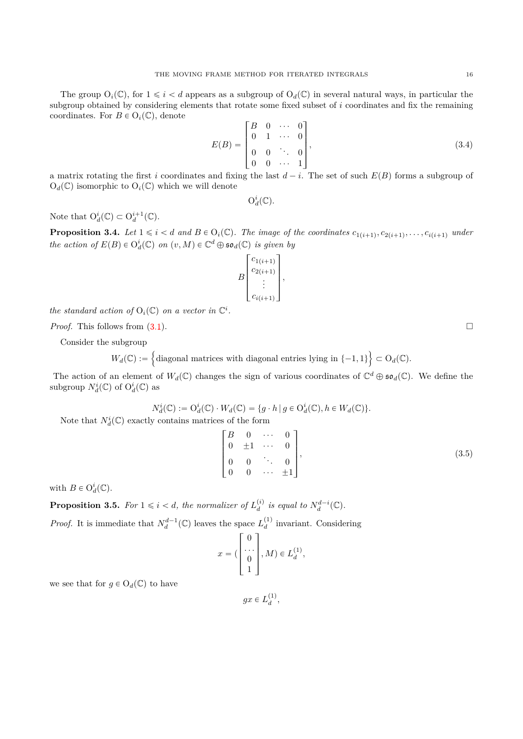The group  $O_i(\mathbb{C})$ , for  $1 \leq i < d$  appears as a subgroup of  $O_d(\mathbb{C})$  in several natural ways, in particular the subgroup obtained by considering elements that rotate some fixed subset of *i* coordinates and fix the remaining coordinates. For  $B \in O_i(\mathbb{C})$ , denote » fi

<span id="page-15-3"></span>
$$
E(B) = \begin{bmatrix} B & 0 & \cdots & 0 \\ 0 & 1 & \cdots & 0 \\ 0 & 0 & \ddots & 0 \\ 0 & 0 & \cdots & 1 \end{bmatrix},
$$
(3.4)

a matrix rotating the first *i* coordinates and fixing the last  $d - i$ . The set of such  $E(B)$  forms a subgroup of  $O_d(\mathbb{C})$  isomorphic to  $O_i(\mathbb{C})$  which we will denote

$$
\mathrm{O}_d^i(\mathbb{C}).
$$

Note that  $O_d^i(\mathbb{C}) \subset O_d^{i+1}(\mathbb{C})$ .

<span id="page-15-2"></span>**Proposition 3.4.** Let  $1 \leq i < d$  and  $B \in O_i(\mathbb{C})$ . The image of the coordinates  $c_{1(i+1)}, c_{2(i+1)}, \ldots, c_{i(i+1)}$  under *the action of*  $E(B) \in O_d^i(\mathbb{C})$  *on*  $(v, M) \in \mathbb{C}^d \oplus \mathfrak{so}_d(\mathbb{C})$  *is given by* 

$$
B\begin{bmatrix}c_{1(i+1)}\\c_{2(i+1)}\\ \vdots\\c_{i(i+1)}\end{bmatrix},
$$

*the standard action of*  $O_i(\mathbb{C})$  *on a vector in*  $\mathbb{C}^i$ *.* 

!<br>!

*Proof.* This follows from  $(3.1)$ .

Consider the subgroup

 $W_d(\mathbb{C}) :=$ diagonal matrices with diagonal entries lying in  $\{-1, 1\}$  $\subset O_d(\mathbb{C})$ .

The action of an element of  $W_d(\mathbb{C})$  changes the sign of various coordinates of  $\mathbb{C}^d \oplus \mathfrak{so}_d(\mathbb{C})$ . We define the subgroup  $N_d^i(\mathbb{C})$  of  $O_d^i(\mathbb{C})$  as

$$
N_d^i(\mathbb{C}) := O_d^i(\mathbb{C}) \cdot W_d(\mathbb{C}) = \{ g \cdot h \mid g \in O_d^i(\mathbb{C}), h \in W_d(\mathbb{C}) \}.
$$

Note that  $N_d^i(\mathbb{C})$  exactly contains matrices of the form

<span id="page-15-1"></span>
$$
\begin{bmatrix} B & 0 & \cdots & 0 \\ 0 & \pm 1 & \cdots & 0 \\ 0 & 0 & \ddots & 0 \\ 0 & 0 & \cdots & \pm 1 \end{bmatrix},
$$
\n(3.5)

 $\mathbf{r}$ 

with  $B \in O_d^i(\mathbb{C})$ .

<span id="page-15-0"></span>**Proposition 3.5.** For  $1 \leq i < d$ , the normalizer of  $L_d^{(i)}$  is equal to  $N_d^{d-i}(\mathbb{C})$ .

*Proof.* It is immediate that  $N_d^{d-1}(\mathbb{C})$  leaves the space  $L_d^{(1)}$  invariant. Considering

$$
x = \begin{pmatrix} 0 \\ \cdots \\ 0 \\ 1 \end{pmatrix}, M) \in L_d^{(1)},
$$

we see that for  $g \in O_d(\mathbb{C})$  to have

 $gx \in L_d^{(1)},$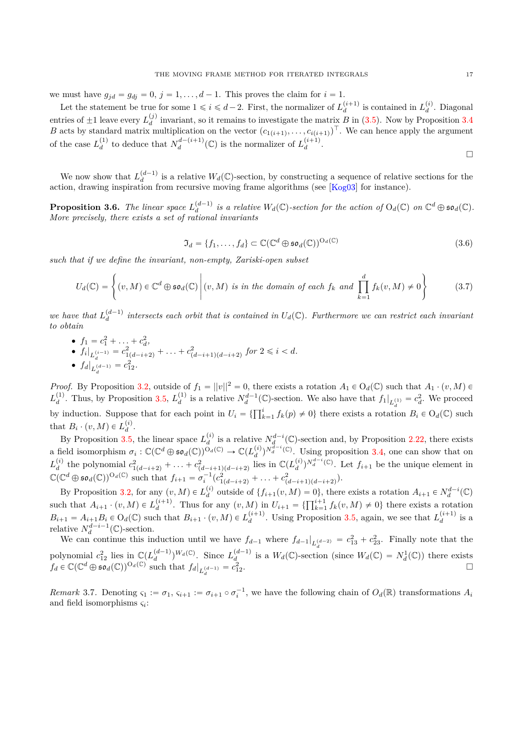we must have  $g_{id} = g_{di} = 0$ ,  $j = 1, \ldots, d - 1$ . This proves the claim for  $i = 1$ .

Let the statement be true for some  $1 \leq i \leq d-2$ . First, the normalizer of  $L_d^{(i+1)}$  is contained in  $L_d^{(i)}$ . Diagonal entries of  $\pm 1$  leave every  $L_d^{(j)}$  invariant, so it remains to investigate the matrix *B* in [\(3.5\)](#page-15-1). Now by Proposition [3.4](#page-15-2) *B* acts by standard matrix multiplication on the vector  $(c_{1(i+1)}, \ldots, c_{i(i+1)})^\top$ . We can hence apply the argument of the case  $L_d^{(1)}$  to deduce that  $N_d^{d-(i+1)}(\mathbb{C})$  is the normalizer of  $L_d^{(i+1)}$ .

 $\Box$ 

We now show that  $L_d^{(d-1)}$  is a relative  $W_d(\mathbb{C})$ -section, by constructing a sequence of relative sections for the action, drawing inspiration from recursive moving frame algorithms (see [\[Kog03\]](#page-35-31) for instance).

<span id="page-16-0"></span>**Proposition 3.6.** The linear space  $L_d^{(d-1)}$  is a relative  $W_d(\mathbb{C})$ -section for the action of  $O_d(\mathbb{C})$  on  $\mathbb{C}^d \oplus \mathfrak{so}_d(\mathbb{C})$ . *More precisely, there exists a set of rational invariants*

<span id="page-16-1"></span>
$$
\mathfrak{I}_d = \{f_1, \dots, f_d\} \subset \mathbb{C}(\mathbb{C}^d \oplus \mathfrak{so}_d(\mathbb{C}))^{O_d(\mathbb{C})}
$$
(3.6)

*such that if we define the invariant, non-empty, Zariski-open subset*

<span id="page-16-2"></span>
$$
U_d(\mathbb{C}) = \left\{ (v, M) \in \mathbb{C}^d \oplus \mathfrak{so}_d(\mathbb{C}) \middle| (v, M) \text{ is in the domain of each } f_k \text{ and } \prod_{k=1}^d f_k(v, M) \neq 0 \right\}
$$
(3.7)

*we have that*  $L_d^{(d-1)}$  intersects each orbit that is contained in  $U_d(\mathbb{C})$ . Furthermore we can restrict each invariant *to obtain*

- $f_1 = c_1^2 + \ldots + c_d^2$
- $f_i|_{L_d^{(i-1)}} = c_{1(d-i+2)}^2 + \ldots + c_{(d-i+1)(d-i+2)}^2$  for  $2 \le i < d$ . •  $f_d|_{L_d^{(d-1)}} = c_{12}^2$ .

*Proof.* By Proposition [3.2,](#page-13-2) outside of  $f_1 = ||v||^2 = 0$ , there exists a rotation  $A_1 \in O_d(\mathbb{C})$  such that  $A_1 \cdot (v, M) \in$  $L_d^{(1)}$ . Thus, by Proposition [3.5,](#page-15-0)  $L_d^{(1)}$  is a relative  $N_d^{d-1}(\mathbb{C})$ -section. We also have that  $f_1|_{L_d^{(1)}} = c_d^2$ . We proceed by induction. Suppose that for each point in  $U_i = \{\prod_{k=1}^i f_k(p) \neq 0\}$  there exists a rotation  $B_i \in O_d(\mathbb{C})$  such that  $B_i \cdot (v, M) \in L_d^{(i)}$ .

By Proposition [3.5,](#page-15-0) the linear space  $L_d^{(i)}$  is a relative  $N_d^{d-i}(\mathbb{C})$ -section and, by Proposition [2.22,](#page-12-0) there exists a field isomorphism  $\sigma_i : \mathbb{C}(\mathbb{C}^d \oplus \mathfrak{so}_d(\mathbb{C}))^{O_d(\mathbb{C})} \to \mathbb{C}(L_d^{(i)})^{N_d^{d-i}(\mathbb{C})}$ . Using proposition [3.4,](#page-15-2) one can show that on  $L_d^{(i)}$  the polynomial  $c_{1(d-i+2)}^2 + \ldots + c_{(d-i+1)(d-i+2)}^2$  lies in  $\mathbb{C}(L_d^{(i)})^{N_d^{d-i}}(\mathbb{C})$ . Let  $f_{i+1}$  be the unique element in  $\mathbb{C}(\mathbb{C}^d \oplus \mathfrak{so}_d(\mathbb{C}))^{O_d(\mathbb{C})}$  such that  $f_{i+1} = \sigma_i^{-1}(c_{1(d-i+2)}^2 + \ldots + c_{(d-i+1)(d-i+2)}^2)$ .

By Proposition [3.2,](#page-13-2) for any  $(v, M) \in L_d^{(i)}$  outside of  $\{f_{i+1}(v, M) = 0\}$ , there exists a rotation  $A_{i+1} \in N_d^{d-i}(\mathbb{C})$ by I roposition 3.2, for any  $(v, M) \in L_d$  outside of  $\{j_{i+1}(v, M) = 0\}$ , there exists a rotation such that  $A_{i+1} \cdot (v, M) \in L_d^{(i+1)}$ . Thus for any  $(v, M)$  in  $U_{i+1} = \{\prod_{k=1}^{i+1} f_k(v, M) \neq 0\}$  there exists a rotation  $B_{i+1} = A_{i+1}B_i \in O_d(\mathbb{C})$  such that  $B_{i+1} \cdot (v, M) \in L_d^{(i+1)}$ . Using Proposition [3.5,](#page-15-0) again, we see that  $L_d^{(i+1)}$  is a relative  $N_d^{d-i-1}(\mathbb{C})$ -section.

We can continue this induction until we have  $f_{d-1}$  where  $f_{d-1}|_{L^{(d-2)}_d} = c_{13}^2 + c_{23}^2$ . Finally note that the polynomial  $c_{12}^2$  lies in  $\mathbb{C}(L_d^{(d-1)})^{W_d(\mathbb{C})}$ . Since  $L_d^{(d-1)}$  is a  $W_d(\mathbb{C})$ -section (since  $W_d(\mathbb{C}) = N_d^1(\mathbb{C})$ ) there exists  $f_d \in \mathbb{C}(\mathbb{C}^d \oplus \mathfrak{so}_d(\mathbb{C}))^{\mathcal{O}_d(\mathbb{C})}$  such that  $f_d|_{L_d^{(d-1)}} = c_{12}^2$ .

*Remark* 3.7. Denoting  $\varsigma_1 := \sigma_1, \, \varsigma_{i+1} := \sigma_{i+1} \circ \sigma_i^{-1}$ , we have the following chain of  $O_d(\mathbb{R})$  transformations  $A_i$ and field isomorphisms *ς<sup>i</sup>* :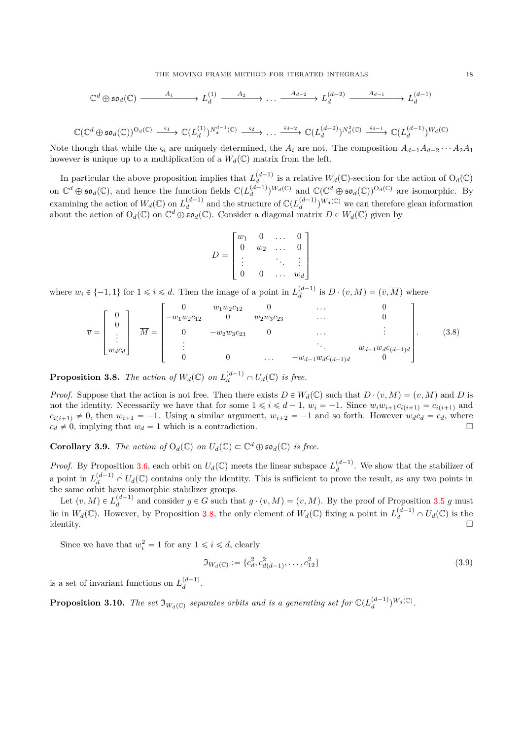THE MOVING FRAME METHOD FOR ITERATED INTEGRALS 18

$$
\mathbb{C}^d \oplus \mathfrak{so}_d(\mathbb{C}) \longrightarrow A_1 \longrightarrow L_d^{(1)} \longrightarrow A_2 \longrightarrow \dots \longrightarrow A_{d-2} \longrightarrow L_d^{(d-2)} \longrightarrow A_{d-1} \longrightarrow L_d^{(d-1)}
$$

$$
\mathbb{C}(\mathbb{C}^d\oplus \mathfrak{so}_d(\mathbb{C}))^{O_d(\mathbb{C})}\xrightarrow{\varsigma_1} \mathbb{C}(L_d^{(1)})^{N_d^{d-1}(\mathbb{C})}\xrightarrow{\varsigma_2} \dots \xrightarrow{\varsigma_{d-2}} \mathbb{C}(L_d^{(d-2)})^{N_d^2(\mathbb{C})}\xrightarrow{\varsigma_{d-1}} \mathbb{C}(L_d^{(d-1)})^{W_d(\mathbb{C})}
$$

Note though that while the  $\varsigma_i$  are uniquely determined, the  $A_i$  are not. The composition  $A_{d-1}A_{d-2}\cdots A_2A_1$ however is unique up to a multiplication of a  $W_d(\mathbb{C})$  matrix from the left.

In particular the above proposition implies that  $L_d^{(d-1)}$  is a relative  $W_d(\mathbb{C})$ -section for the action of  $O_d(\mathbb{C})$ on  $\mathbb{C}^d \oplus \mathfrak{so}_d(\mathbb{C})$ , and hence the function fields  $\mathbb{C}(L_d^{(d-1)})^{W_d(\mathbb{C})}$  and  $\mathbb{C}(\mathbb{C}^d \oplus \mathfrak{so}_d(\mathbb{C}))^{O_d(\mathbb{C})}$  are isomorphic. By examining the action of  $W_d(\mathbb{C})$  on  $L_d^{(d-1)}$  and the structure of  $\mathbb{C}(L_d^{(d-1)})^{W_d(\mathbb{C})}$  we can therefore glean information about the action of  $O_d(\mathbb{C})$  on  $\mathbb{C}^d \oplus \mathfrak{so}_d(\mathbb{C})$ . Consider a diagonal matrix  $D \in W_d(\mathbb{C})$  given by

$$
D = \begin{bmatrix} w_1 & 0 & \dots & 0 \\ 0 & w_2 & \dots & 0 \\ \vdots & & \ddots & \vdots \\ 0 & 0 & \dots & w_d \end{bmatrix}
$$

where  $w_i \in \{-1, 1\}$  for  $1 \leq i \leq d$ . Then the image of a point in  $L_d^{(d-1)}$  is  $D \cdot (v, M) = (\overline{v}, \overline{M})$  where

<span id="page-17-4"></span>
$$
\overline{v} = \begin{bmatrix} 0 \\ 0 \\ \vdots \\ w_d c_d \end{bmatrix} \overline{M} = \begin{bmatrix} 0 & w_1 w_2 c_{12} & 0 & \cdots & 0 \\ -w_1 w_2 c_{12} & 0 & w_2 w_3 c_{23} & \cdots & 0 \\ 0 & -w_2 w_3 c_{23} & 0 & \cdots & \vdots \\ \vdots & \vdots & \ddots & \vdots \\ 0 & 0 & \cdots & -w_{d-1} w_d c_{(d-1)d} & 0 \end{bmatrix} .
$$
 (3.8)

<span id="page-17-0"></span>**Proposition 3.8.** *The action of*  $W_d(\mathbb{C})$  *on*  $L_d^{(d-1)} \cap U_d(\mathbb{C})$  *is free.* 

*Proof.* Suppose that the action is not free. Then there exists  $D \in W_d(\mathbb{C})$  such that  $D \cdot (v, M) = (v, M)$  and *D* is not the identity. Necessarily we have that for some  $1 \leq i \leq d-1$ ,  $w_i = -1$ . Since  $w_i w_{i+1} c_{i(i+1)} = c_{i(i+1)}$  and  $c_i(i+1) \neq 0$ , then  $w_{i+1} = -1$ . Using a similar argument,  $w_{i+2} = -1$  and so forth. However  $w_d c_d = c_d$ , where  $c_d \neq 0$ , implying that  $w_d = 1$  which is a contradiction.  $c_d \neq 0$ , implying that  $w_d = 1$  which is a contradiction.

<span id="page-17-3"></span>**Corollary 3.9.** *The action of*  $O_d(\mathbb{C})$  *on*  $U_d(\mathbb{C}) \subset \mathbb{C}^d \oplus \mathfrak{so}_d(\mathbb{C})$  *is free.* 

*Proof.* By Proposition [3.6,](#page-16-0) each orbit on  $U_d(\mathbb{C})$  meets the linear subspace  $L_d^{(d-1)}$ . We show that the stabilizer of a point in  $L_d^{(d-1)} \cap U_d(\mathbb{C})$  contains only the identity. This is sufficient to prove the result, as any two points in the same orbit have isomorphic stabilizer groups.

Let  $(v, M) \in L_d^{(d-1)}$  and consider  $g \in G$  such that  $g \cdot (v, M) = (v, M)$ . By the proof of Proposition [3.5](#page-15-0) *g* must lie in  $W_d(\mathbb{C})$ . However, by Proposition [3.8,](#page-17-0) the only element of  $W_d(\mathbb{C})$  fixing a point in  $L_d^{(d-1)} \cap U_d(\mathbb{C})$  is the  $\Box$ identity.

Since we have that  $w_i^2 = 1$  for any  $1 \le i \le d$ , clearly

<span id="page-17-1"></span>
$$
\mathfrak{I}_{W_d(\mathbb{C})} := \{c_d^2, c_{d(d-1)}^2, \dots, c_{12}^2\}
$$
\n(3.9)

is a set of invariant functions on  $L_d^{(d-1)}$ .

<span id="page-17-2"></span>**Proposition 3.10.** The set  $\mathfrak{I}_{W_d(\mathbb{C})}$  separates orbits and is a generating set for  $\mathbb{C}(L_d^{(d-1)})^{W_d(\mathbb{C})}$ .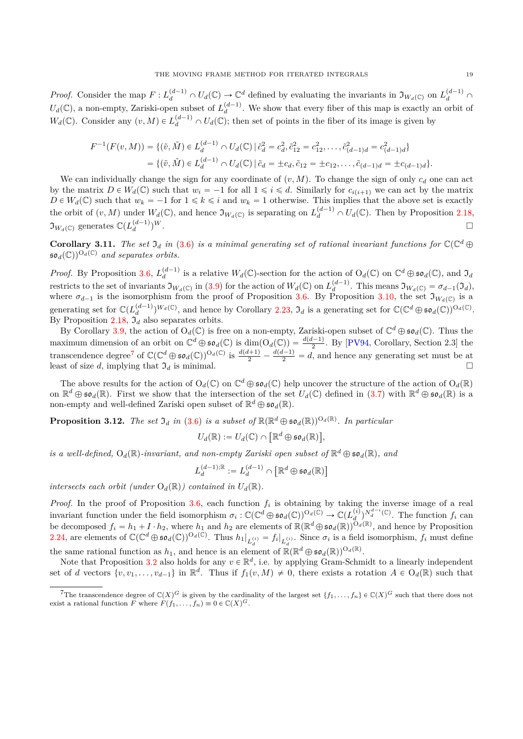*Proof.* Consider the map  $F: L_d^{(d-1)} \cap U_d(\mathbb{C}) \to \mathbb{C}^d$  defined by evaluating the invariants in  $\mathfrak{I}_{W_d(\mathbb{C})}$  on  $L_d^{(d-1)} \cap$  $U_d(\mathbb{C})$ , a non-empty, Zariski-open subset of  $L_d^{(d-1)}$ . We show that every fiber of this map is exactly an orbit of  $W_d(\mathbb{C})$ . Consider any  $(v, M) \in L_d^{(d-1)} \cap U_d(\mathbb{C})$ ; then set of points in the fiber of its image is given by

$$
F^{-1}(F(v, M)) = \{ (\tilde{v}, \tilde{M}) \in L_d^{(d-1)} \cap U_d(\mathbb{C}) \, | \, \tilde{c}_d^2 = c_d^2, \tilde{c}_{12}^2 = c_{12}^2, \dots, \tilde{c}_{(d-1)d}^2 = c_{(d-1)d}^2 \}
$$
\n
$$
= \{ (\tilde{v}, \tilde{M}) \in L_d^{(d-1)} \cap U_d(\mathbb{C}) \, | \, \tilde{c}_d = \pm c_d, \tilde{c}_{12} = \pm c_{12}, \dots, \tilde{c}_{(d-1)d} = \pm c_{(d-1)d} \}.
$$

We can individually change the sign for any coordinate of  $(v, M)$ . To change the sign of only  $c_d$  one can act by the matrix  $D \in W_d(\mathbb{C})$  such that  $w_i = -1$  for all  $1 \leq i \leq d$ . Similarly for  $c_{i(i+1)}$  we can act by the matrix  $D \in W_d(\mathbb{C})$  such that  $w_k = -1$  for  $1 \leq k \leq i$  and  $w_k = 1$  otherwise. This implies that the above set is exactly the orbit of  $(v, M)$  under  $W_d(\mathbb{C})$ , and hence  $\mathfrak{I}_{W_d(\mathbb{C})}$  is separating on  $L_d^{(d-1)} \cap U_d(\mathbb{C})$ . Then by Proposition [2.18,](#page-11-2)  $\mathfrak{I}_{W_d(\mathbb{C})}$  generates  $\mathbb{C}(L_d^{(d-1)})$  $)^W.$ 

**Corollary 3.11.** The set  $\mathfrak{I}_d$  in [\(3.6\)](#page-16-1) is a minimal generating set of rational invariant functions for  $\mathbb{C}(\mathbb{C}^d \oplus$  $\mathfrak{so}_d(\mathbb{C})^{O_d(\mathbb{C})}$  and separates orbits.

*Proof.* By Proposition [3.6,](#page-16-0)  $L_d^{(d-1)}$  is a relative  $W_d(\mathbb{C})$ -section for the action of  $O_d(\mathbb{C})$  on  $\mathbb{C}^d \oplus \mathfrak{so}_d(\mathbb{C})$ , and  $\mathfrak{I}_d$ restricts to the set of invariants  $\mathfrak{I}_{W_d(\mathbb{C})}$  in [\(3.9\)](#page-17-1) for the action of  $W_d(\mathbb{C})$  on  $L_d^{(d-1)}$ . This means  $\mathfrak{I}_{W_d(\mathbb{C})} = \sigma_{d-1}(\mathfrak{I}_d)$ , where  $\sigma_{d-1}$  is the isomorphism from the proof of Proposition [3.6.](#page-16-0) By Proposition [3.10,](#page-17-2) the set  $\mathfrak{I}_{W_d(\mathbb{C})}$  is a generating set for  $\mathbb{C}(L_d^{(d-1)})^{W_d(\mathbb{C})}$ , and hence by Corollary [2.23,](#page-12-1)  $\mathfrak{I}_d$  is a generating set for  $\mathbb{C}(\mathbb{C}^d \oplus \mathfrak{so}_d(\mathbb{C}))^{O_d(\mathbb{C})}$ . By Proposition [2.18,](#page-11-2)  $\mathfrak{I}_d$  also separates orbits.

By Corollary [3.9,](#page-17-3) the action of  $O_d(\mathbb{C})$  is free on a non-empty, Zariski-open subset of  $\mathbb{C}^d \oplus \mathfrak{so}_d(\mathbb{C})$ . Thus the maximum dimension of an orbit on  $\mathbb{C}^d \oplus \mathfrak{so}_d(\mathbb{C})$  is  $\dim(O_d(\mathbb{C})) = \frac{d(d-1)}{2}$ . By [\[PV94,](#page-35-22) Corollary, Section 2.3] the transcendence degree<sup>[7](#page-18-0)</sup> of  $\mathbb{C}(\mathbb{C}^d \oplus \mathfrak{so}_d(\mathbb{C}))^{O_d(\mathbb{C})}$  is  $\frac{d(d+1)}{2} - \frac{d(d-1)}{2} = d$ , and hence any generating set must be at least of size *d*, implying that  $\mathfrak{I}_d$  is minimal.

The above results for the action of  $O_d(\mathbb{C})$  on  $\mathbb{C}^d \oplus \mathfrak{so}_d(\mathbb{C})$  help uncover the structure of the action of  $O_d(\mathbb{R})$ on  $\mathbb{R}^d \oplus \mathfrak{so}_d(\mathbb{R})$ . First we show that the intersection of the set  $U_d(\mathbb{C})$  defined in  $(3.7)$  with  $\mathbb{R}^d \oplus \mathfrak{so}_d(\mathbb{R})$  is a non-empty and well-defined Zariski open subset of  $\mathbb{R}^d \oplus \mathfrak{so}_d(\mathbb{R})$ .

<span id="page-18-1"></span>**Proposition 3.12.** *The set*  $\mathfrak{I}_d$  *in* [\(3.6\)](#page-16-1) *is a subset of*  $\mathbb{R}(\mathbb{R}^d \oplus \mathfrak{so}_d(\mathbb{R}))^{\mathsf{O}_d(\mathbb{R})}$ *. In particular* 

$$
U_d(\mathbb{R}) := U_d(\mathbb{C}) \cap [\mathbb{R}^d \oplus \mathfrak{so}_d(\mathbb{R})],
$$

*is a well-defined,*  $O_d(\mathbb{R})$ -invariant, and non-empty Zariski open subset of  $\mathbb{R}^d \oplus \mathfrak{so}_d(\mathbb{R})$ , and

$$
L_d^{(d-1);\mathbb{R}}:=L_d^{(d-1)}\cap \left[\mathbb{R}^d\oplus\mathfrak{so}_d(\mathbb{R})\right]
$$

*intersects each orbit (under*  $O_d(\mathbb{R})$ ) *contained in*  $U_d(\mathbb{R})$ *.* 

*Proof.* In the proof of Proposition [3.6,](#page-16-0) each function *f<sup>i</sup>* is obtaining by taking the inverse image of a real invariant function under the field isomorphism  $\sigma_i : \mathbb{C}(\mathbb{C}^d \oplus \mathfrak{so}_d(\mathbb{C}))^{O_d(\mathbb{C})} \to \mathbb{C}(L_d^{(i)})^{N_d^{d-i}(\mathbb{C})}$ . The function  $f_i$  can be decomposed  $f_i = h_1 + I \cdot h_2$ , where  $h_1$  and  $h_2$  are elements of  $\mathbb{R}(\mathbb{R}^d \oplus \mathfrak{so}_d(\mathbb{R}))^{\mathrm{O}_d(\mathbb{R})}$ , and hence by Proposition [2.24,](#page-12-2) are elements of  $\mathbb{C}(\mathbb{C}^d\oplus\mathfrak{so}_d(\mathbb{C}))^{O_d(\mathbb{C})}$ . Thus  $h_1|_{L_d^{(i)}} = f_i|_{L_d^{(i)}}$ . Since  $\sigma_i$  is a field isomorphism,  $f_i$  must define

the same rational function as  $h_1$ , and hence is an element of  $\mathbb{R}(\mathbb{R}^d \oplus \mathfrak{so}_d(\mathbb{R}))^{\mathbb{O}_d(\mathbb{R})}$ .

Note that Proposition [3.2](#page-13-2) also holds for any  $v \in \mathbb{R}^d$ , i.e. by applying Gram-Schmidt to a linearly independent set of *d* vectors  $\{v, v_1, \ldots, v_{d-1}\}$  in  $\mathbb{R}^d$ . Thus if  $f_1(v, M) \neq 0$ , there exists a rotation  $A \in O_d(\mathbb{R})$  such that

<span id="page-18-0"></span><sup>&</sup>lt;sup>7</sup>The transcendence degree of  $\mathbb{C}(X)^G$  is given by the cardinality of the largest set  $\{f_1, \ldots, f_n\} \in \mathbb{C}(X)^G$  such that there does not exist a rational function *F* where  $F(f_1, \ldots, f_n) \equiv 0 \in \mathbb{C}(X)^G$ .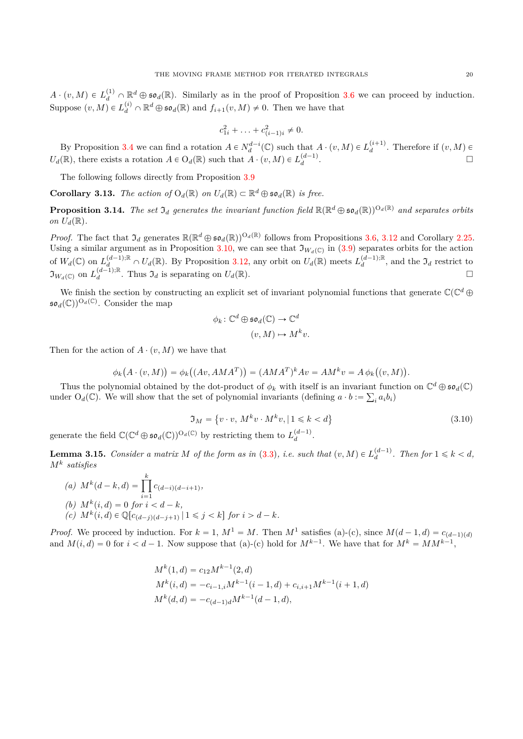$$
c_{1i}^2 + \ldots + c_{(i-1)i}^2 \neq 0.
$$

By Proposition [3.4](#page-15-2) we can find a rotation  $A \in N_d^{d-i}(\mathbb{C})$  such that  $A \cdot (v, M) \in L_d^{(i+1)}$ . Therefore if  $(v, M) \in$  $U_d(\mathbb{R})$ , there exists a rotation  $A \in O_d(\mathbb{R})$  such that  $A \cdot (v, M) \in L_d^{(d-1)}$ .

The following follows directly from Proposition [3.9](#page-17-3)

<span id="page-19-3"></span>**Corollary 3.13.** *The action of*  $O_d(\mathbb{R})$  *on*  $U_d(\mathbb{R}) \subset \mathbb{R}^d \oplus \mathfrak{so}_d(\mathbb{R})$  *is free.* 

<span id="page-19-2"></span>**Proposition 3.14.** The set  $\mathfrak{I}_d$  generates the invariant function field  $\mathbb{R}(\mathbb{R}^d\oplus\mathfrak{so}_d(\mathbb{R}))^{O_d(\mathbb{R})}$  and separates orbits *on*  $U_d(\mathbb{R})$ .

*Proof.* The fact that  $\mathfrak{I}_d$  generates  $\mathbb{R}(\mathbb{R}^d \oplus \mathfrak{so}_d(\mathbb{R}))^{O_d(\mathbb{R})}$  follows from Propositions [3.6,](#page-16-0) [3.12](#page-18-1) and Corollary [2.25.](#page-12-3) Using a similar argument as in Proposition [3.10,](#page-17-2) we can see that  $\mathfrak{I}_{W_d(\mathbb{C})}$  in [\(3.9\)](#page-17-1) separates orbits for the action of  $W_d(\mathbb{C})$  on  $L_d^{(d-1);\mathbb{R}} \cap U_d(\mathbb{R})$ . By Proposition [3.12,](#page-18-1) any orbit on  $U_d(\mathbb{R})$  meets  $L_d^{(d-1);\mathbb{R}}$ , and the  $\mathfrak{I}_d$  restrict to  $\mathfrak{I}_{W_d(\mathbb{C})}$  on  $L_d^{(d-1):\mathbb{R}}$ . Thus  $\mathfrak{I}_d$  is separating on  $U_d(\mathbb{R})$ .

We finish the section by constructing an explicit set of invariant polynomial functions that generate  $\mathbb{C}(\mathbb{C}^d \oplus$  $\mathfrak{so}_d(\mathbb{C}))^{\mathcal{O}_d(\mathbb{C})}$ . Consider the map

$$
\phi_k \colon \mathbb{C}^d \oplus \mathfrak{so}_d(\mathbb{C}) \to \mathbb{C}^d
$$

$$
(v, M) \mapsto M^k v.
$$

Then for the action of  $A \cdot (v, M)$  we have that

$$
\phi_k(A \cdot (v, M)) = \phi_k((Av, AMA^T)) = (AMA^T)^k Av = AM^kv = A\phi_k((v, M)).
$$

Thus the polynomial obtained by the dot-product of  $\phi_k$  with itself is an invariant function on  $\mathbb{C}^d \oplus \mathfrak{so}_d(\mathbb{C})$ under  $O_d(\mathbb{C})$ . We will show that the set of polynomial invariants (defining  $a \cdot b := \sum_i a_i b_i$ )

$$
\mathfrak{I}_M = \{v \cdot v, M^k v \cdot M^k v, |1 \le k < d\}
$$
\n(3.10)

\ngenerate the field  $\mathbb{C}(\mathbb{C}^d \oplus \mathfrak{so}_d(\mathbb{C}))^{O_d(\mathbb{C})}$  by restricting them to  $L_d^{(d-1)}$ .

<span id="page-19-0"></span>**Lemma 3.15.** *Consider a matrix M of the form as in* [\(3.3\)](#page-14-0), *i.e. such that*  $(v, M) \in L_d^{(d-1)}$ *. Then for*  $1 \leq k < d$ *, M<sup>k</sup> satisfies*

(a) 
$$
M^k(d-k, d) = \prod_{i=1}^k c_{(d-i)(d-i+1)},
$$
  
\n(b)  $M^k(i, d) = 0$  for  $i < d - k,$   
\n(c)  $M^k(i, d) \in \mathbb{Q}[c_{(d-j)(d-j+1)} | 1 \le j < k]$  for  $i > d - k.$ 

<span id="page-19-1"></span>*k*

*Proof.* We proceed by induction. For  $k = 1$ ,  $M^1 = M$ . Then  $M^1$  satisfies (a)-(c), since  $M(d-1, d) = c_{(d-1)(d)}$ and  $M(i, d) = 0$  for  $i < d - 1$ . Now suppose that (a)-(c) hold for  $M^{k-1}$ . We have that for  $M^k = MM^{k-1}$ ,

$$
M^{k}(1, d) = c_{12}M^{k-1}(2, d)
$$
  
\n
$$
M^{k}(i, d) = -c_{i-1,i}M^{k-1}(i - 1, d) + c_{i,i+1}M^{k-1}(i + 1, d)
$$
  
\n
$$
M^{k}(d, d) = -c_{(d-1)d}M^{k-1}(d - 1, d),
$$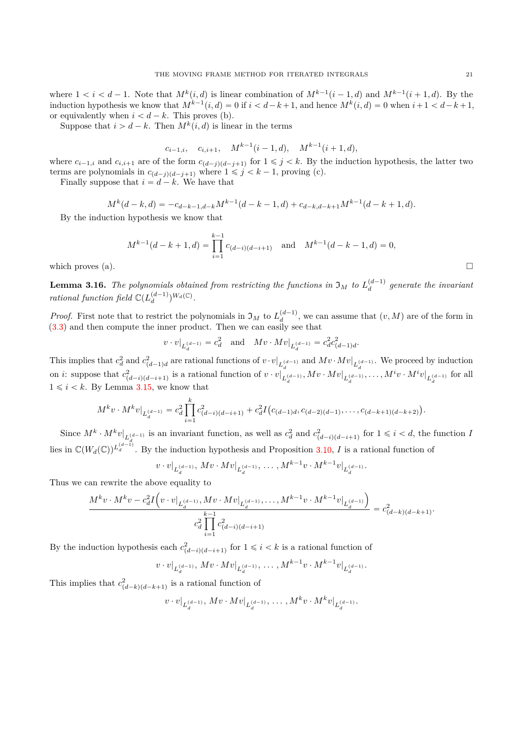where  $1 < i < d-1$ . Note that  $M^k(i, d)$  is linear combination of  $M^{k-1}(i-1, d)$  and  $M^{k-1}(i+1, d)$ . By the induction hypothesis we know that  $M^{k-1}(i, d) = 0$  if  $i < d-k+1$ , and hence  $M^k(i, d) = 0$  when  $i+1 < d-k+1$ , or equivalently when  $i < d - k$ . This proves (b).

Suppose that  $i > d - k$ . Then  $M^k(i, d)$  is linear in the terms

$$
c_{i-1,i}, \quad c_{i,i+1}, \quad M^{k-1}(i-1,d), \quad M^{k-1}(i+1,d),
$$

where  $c_{i-1,i}$  and  $c_{i,i+1}$  are of the form  $c_{(d-j)(d-j+1)}$  for  $1 \leq j \leq k$ . By the induction hypothesis, the latter two terms are polynomials in  $c_{(d-j)(d-j+1)}$  where  $1 \leq j \leq k-1$ , proving (c).

Finally suppose that  $i = d - k$ . We have that

$$
M^{k}(d-k,d) = -c_{d-k-1,d-k}M^{k-1}(d-k-1,d) + c_{d-k,d-k+1}M^{k-1}(d-k+1,d).
$$

By the induction hypothesis we know that

$$
M^{k-1}(d-k+1,d) = \prod_{i=1}^{k-1} c_{(d-i)(d-i+1)} \text{ and } M^{k-1}(d-k-1,d) = 0,
$$
  
which proves (a).

<span id="page-20-0"></span>**Lemma 3.16.** The polynomials obtained from restricting the functions in  $\mathfrak{I}_M$  to  $L_d^{(d-1)}$  generate the invariant *rational function field*  $\mathbb{C}(L_d^{(d-1)})^{W_d(\mathbb{C})}$ .

*Proof.* First note that to restrict the polynomials in  $\mathfrak{I}_M$  to  $L_d^{(d-1)}$ , we can assume that  $(v, M)$  are of the form in  $(3.3)$  and then compute the inner product. Then we can easily see that

$$
v \cdot v|_{L_d^{(d-1)}} = c_d^2
$$
 and  $Mv \cdot Mv|_{L_d^{(d-1)}} = c_d^2 c_{(d-1)d}^2$ .

This implies that  $c_d^2$  and  $c_{(d-1)d}^2$  are rational functions of  $v \cdot v|_{L_d^{(d-1)}}$  and  $Mv \cdot Mv|_{L_d^{(d-1)}}$ . We proceed by induction on *i*: suppose that  $c^2_{(d-i)(d-i+1)}$  is a rational function of  $v \cdot v|_{L_d^{(d-1)}}, Mv \cdot Mv|_{L_d^{(d-1)}}, \ldots, M^i v \cdot M^i v|_{L_d^{(d-1)}}$  for all  $1 \leq i \leq k$ . By Lemma [3.15,](#page-19-0) we know that

$$
M^k v \cdot M^k v|_{L_d^{(d-1)}} = c_d^2 \prod_{i=1}^k c_{(d-i)(d-i+1)}^2 + c_d^2 I(c_{(d-1)d}, c_{(d-2)(d-1)}, \dots, c_{(d-k+1)(d-k+2)}).
$$

Since  $M^k \cdot M^k v|_{L^{(d-1)}_d}$  is an invariant function, as well as  $c_d^2$  and  $c_{(d-i)(d-i+1)}^2$  for  $1 \leq i < d$ , the function I lies in  $\mathbb{C}(W_d(\mathbb{C}))^{L_d^{(d-1)}}$ . By the induction hypothesis and Proposition [3.10,](#page-17-2) *I* is a rational function of

$$
v \cdot v|_{L_d^{(d-1)}}, Mv \cdot Mv|_{L_d^{(d-1)}}, \ldots, M^{k-1}v \cdot M^{k-1}v|_{L_d^{(d-1)}}.
$$

Thus we can rewrite the above equality to

$$
\frac{M^k v \cdot M^k v - c_d^2 I(v \cdot v|_{L_d^{(d-1)}}, Mv \cdot Mv|_{L_d^{(d-1)}}, \dots, M^{k-1} v \cdot M^{k-1} v|_{L_d^{(d-1)}})}{c_d^2 \prod_{i=1}^{k-1} c_{(d-i)(d-i+1)}^2} = c_{(d-k)(d-k+1)}^2.
$$

By the induction hypothesis each  $c^2_{(d-i)(d-i+1)}$  for  $1 \leq i \leq k$  is a rational function of

$$
v \cdot v|_{L_d^{(d-1)}}, \, Mv \cdot Mv|_{L_d^{(d-1)}}, \, \dots \, , M^{k-1}v \cdot M^{k-1}v|_{L_d^{(d-1)}}.
$$

This implies that  $c^2_{(d-k)(d-k+1)}$  is a rational function of

 $v \cdot v|_{L_d^{(d-1)}}, Mv \cdot Mv|_{L_d^{(d-1)}}, \ldots, M^k v \cdot M^k v|_{L_d^{(d-1)}}.$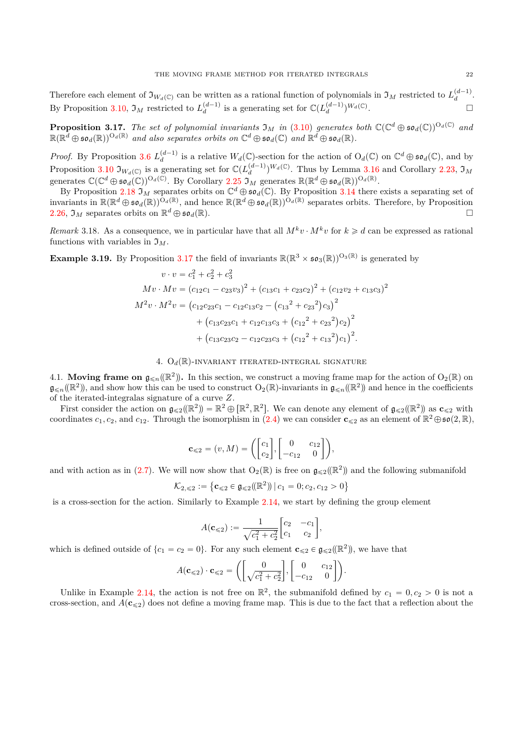Therefore each element of  $\mathfrak{I}_{W_d(\mathbb{C})}$  can be written as a rational function of polynomials in  $\mathfrak{I}_M$  restricted to  $L_d^{(d-1)}$ . By Proposition [3.10,](#page-17-2)  $\mathfrak{I}_M$  restricted to  $L_d^{(d-1)}$  is a generating set for  $\mathbb{C}(L_d^{(d-1)})^{W_d(\mathbb{C})}$ .

<span id="page-21-2"></span>**Proposition 3.17.** The set of polynomial invariants  $\mathfrak{I}_M$  in [\(3.10\)](#page-19-1) generates both  $\mathbb{C}(\mathbb{C}^d \oplus \mathfrak{so}_d(\mathbb{C}))^{O_d(\mathbb{C})}$  and  $\mathbb{R}(\mathbb{R}^d\oplus\mathfrak{so}_d(\mathbb{R}))^{O_d(\mathbb{R})}$  and also separates orbits on  $\mathbb{C}^d\oplus\mathfrak{so}_d(\mathbb{C})$  and  $\mathbb{R}^d\oplus\mathfrak{so}_d(\mathbb{R})$ .

*Proof.* By Proposition [3.6](#page-16-0)  $L_d^{(d-1)}$  is a relative  $W_d(\mathbb{C})$ -section for the action of  $O_d(\mathbb{C})$  on  $\mathbb{C}^d \oplus \mathfrak{so}_d(\mathbb{C})$ , and by Proposition [3.10](#page-17-2)  $\mathfrak{I}_{W_d(\mathbb{C})}$  is a generating set for  $\mathbb{C}(L_d^{(d-1)})^{W_d(\mathbb{C})}$ . Thus by Lemma [3.16](#page-20-0) and Corollary [2.23,](#page-12-1)  $\mathfrak{I}_M$ generates  $\mathbb{C}(\mathbb{C}^d \oplus \mathfrak{so}_d(\mathbb{C}))^{\mathrm{O}_d(\mathbb{C})}$ . By Corollary [2.25](#page-12-3)  $\mathfrak{I}_M$  generates  $\mathbb{R}(\mathbb{R}^d \oplus \mathfrak{so}_d(\mathbb{R}))^{\mathrm{O}_d(\mathbb{R})}$ .

By Proposition [2.18](#page-11-2)  $\mathfrak{I}_M$  separates orbits on  $\mathbb{C}^d \oplus \mathfrak{so}_d(\mathbb{C})$ . By Proposition [3.14](#page-19-2) there exists a separating set of invariants in  $\mathbb{R}(\mathbb{R}^d \oplus \mathfrak{so}_d(\mathbb{R}))^{\tilde{O}_d(\mathbb{R})}$ , and hence  $\mathbb{R}(\mathbb{R}^d \oplus \mathfrak{so}_d(\mathbb{R}))^{\tilde{O}_d(\mathbb{R})}$  separates orbits. Therefore, by Proposition [2.26,](#page-12-4)  $\mathfrak{I}_M$  separates orbits on  $\mathbb{R}^d \oplus \mathfrak{so}_d(\mathbb{R})$ .

*Remark* 3.18. As a consequence, we in particular have that all  $M^k v \cdot M^k v$  for  $k \geq d$  can be expressed as rational functions with variables in  $\mathfrak{I}_M$ .

<span id="page-21-3"></span>**Example 3.19.** By Proposition [3.17](#page-21-2) the field of invariants  $\mathbb{R}(\mathbb{R}^3 \times \mathfrak{so}_3(\mathbb{R}))^{O_3(\mathbb{R})}$  is generated by

$$
v \cdot v = c_1^2 + c_2^2 + c_3^2
$$
  
\n
$$
Mv \cdot Mv = (c_{12}c_1 - c_{23}v_3)^2 + (c_{13}c_1 + c_{23}c_2)^2 + (c_{12}v_2 + c_{13}c_3)^2
$$
  
\n
$$
M^2v \cdot M^2v = (c_{12}c_{23}c_1 - c_{12}c_{13}c_2 - (c_{13}^2 + c_{23}^2)c_3)^2
$$
  
\n
$$
+ (c_{13}c_{23}c_1 + c_{12}c_{13}c_3 + (c_{12}^2 + c_{23}^2)c_2)^2
$$
  
\n
$$
+ (c_{13}c_{23}c_2 - c_{12}c_{23}c_3 + (c_{12}^2 + c_{13}^2)c_1)^2.
$$

### 4.  $O_d(\mathbb{R})$ -INVARIANT ITERATED-INTEGRAL SIGNATURE

<span id="page-21-1"></span><span id="page-21-0"></span>4.1. **Moving frame on**  $\mathfrak{g}_{\leq n}(\mathbb{R}^2)$ . In this section, we construct a moving frame map for the action of  $O_2(\mathbb{R})$  on  $\mathfrak{g}_{\leq n}(\mathbb{R}^2)$ , and show how this can be used to construct  $O_2(\mathbb{R})$ -invariants in  $\mathfrak{g}_{\leq n}(\mathbb{R}^2)$  and hence in the coefficients of the iterated-integralas signature of a curve *Z*.

First consider the action on  $\mathfrak{g}_{\leqslant2}(\mathbb{R}^2) = \mathbb{R}^2 \oplus [\mathbb{R}^2, \mathbb{R}^2]$ . We can denote any element of  $\mathfrak{g}_{\leqslant2}(\mathbb{R}^2)$  as  $\mathbf{c}_{\leqslant2}$  with coordinates  $c_1, c_2$ , and  $c_{12}$ . Through the isomorphism in [\(2.4\)](#page-5-1) we can consider  $c_{\leq 2}$  as an element of  $\mathbb{R}^2 \oplus \mathfrak{so}(2, \mathbb{R})$ ,

$$
\mathbf{c}_{\leqslant2} = (v, M) = \left( \begin{bmatrix} c_1 \\ c_2 \end{bmatrix}, \begin{bmatrix} 0 & c_{12} \\ -c_{12} & 0 \end{bmatrix} \right),
$$

and with action as in [\(2.7\)](#page-7-1). We will now show that  $O_2(\mathbb{R})$  is free on  $\mathfrak{g}_{\leqslant 2}(\mathbb{R}^2)$  and the following submanifold

$$
\mathcal{K}_{2,\leqslant 2} := \left\{ \mathbf{c}_{\leqslant 2} \in \mathfrak{g}_{\leqslant 2}(\mathbb{R}^2) \mid c_1 = 0; c_2, c_{12} > 0 \right\}
$$

is a cross-section for the action. Similarly to Example [2.14,](#page-9-0) we start by defining the group element

$$
A(\mathbf{c}_{\leq 2}) := \frac{1}{\sqrt{c_1^2 + c_2^2}} \begin{bmatrix} c_2 & -c_1 \\ c_1 & c_2 \end{bmatrix},
$$

which is defined outside of  $\{c_1 = c_2 = 0\}$ . For any such element  $\mathbf{c}_{\leq 2} \in \mathfrak{g}_{\leq 2}(\mathbb{R}^2)$ , we have that

$$
A(\mathbf{c}_{\leq 2}) \cdot \mathbf{c}_{\leq 2} = \left( \begin{bmatrix} 0 \\ \sqrt{c_1^2 + c_2^2} \end{bmatrix}, \begin{bmatrix} 0 & c_{12} \\ -c_{12} & 0 \end{bmatrix} \right).
$$

Unlike in Example [2.14,](#page-9-0) the action is not free on  $\mathbb{R}^2$ , the submanifold defined by  $c_1 = 0, c_2 > 0$  is not a cross-section, and  $A(c_{\leq 2})$  does not define a moving frame map. This is due to the fact that a reflection about the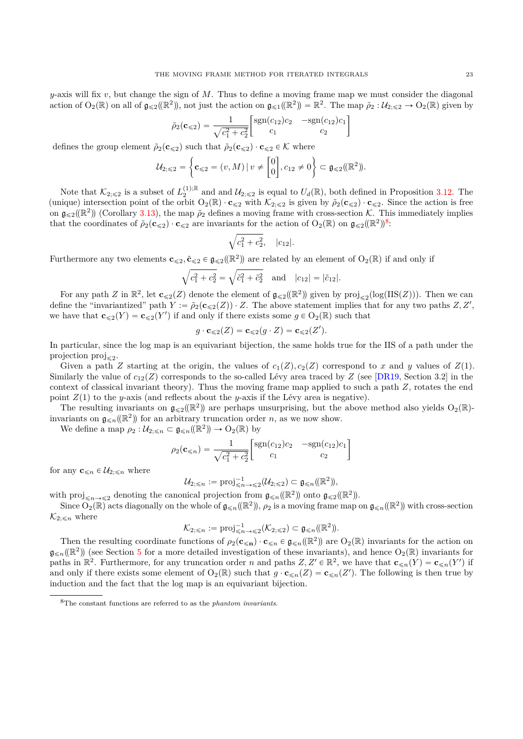*y*-axis will fix *v*, but change the sign of *M*. Thus to define a moving frame map we must consider the diagonal action of  $O_2(\mathbb{R})$  on all of  $\mathfrak{g}_{\leqslant2}(\mathbb{R}^2)$ , not just the action on  $\mathfrak{g}_{\leqslant1}(\mathbb{R}^2) = \mathbb{R}^2$ . The map  $\tilde{\rho}_2 : \mathcal{U}_{2;\leqslant2} \to O_2(\mathbb{R})$  given by

$$
\tilde{\rho}_2(\mathbf{c}_{\leq 2}) = \frac{1}{\sqrt{c_1^2 + c_2^2}} \begin{bmatrix} \text{sgn}(c_{12})c_2 & -\text{sgn}(c_{12})c_1\\ c_1 & c_2 \end{bmatrix}
$$

defines the group element  $\tilde{\rho}_2(\mathbf{c}_{\leq 2})$  such that  $\tilde{\rho}_2(\mathbf{c}_{\leq 2}) \cdot \mathbf{c}_{\leq 2} \in \mathcal{K}$  where

$$
\mathcal{U}_{2; \leq 2} = \left\{ \mathbf{c}_{\leq 2} = (v, M) \, | \, v \neq \begin{bmatrix} 0 \\ 0 \end{bmatrix}, c_{12} \neq 0 \right\} \subset \mathfrak{g}_{\leq 2}(\mathbb{R}^2)).
$$

Note that  $\mathcal{K}_{2;\leqslant2}$  is a subset of  $L_2^{(1);\mathbb{R}}$  and and  $\mathcal{U}_{2;\leqslant2}$  is equal to  $U_d(\mathbb{R})$ , both defined in Proposition [3.12.](#page-18-1) The (unique) intersection point of the orbit  $O_2(\mathbb{R}) \cdot \mathbf{c}_{\leq 2}$  with  $\mathcal{K}_{2;\leq 2}$  is given by  $\tilde{\rho}_2(\mathbf{c}_{\leq 2}) \cdot \mathbf{c}_{\leq 2}$ . Since the action is free on  $\mathfrak{g}_{\leqslant 2}(\mathbb{R}^2)$  (Corollary [3.13\)](#page-19-3), the map  $\tilde{\rho}_2$  defines a moving frame with cross-section K. This immediately implies that the coordinates of  $\tilde{\rho}_2(\mathbf{c}_{\leq 2}) \cdot \mathbf{c}_{\leq 2}$  are invariants for the action of  $O_2(\mathbb{R})$  on  $\mathfrak{g}_{\leq 2}(\mathbb{R}^2)^8$  $\mathfrak{g}_{\leq 2}(\mathbb{R}^2)^8$ :

$$
\sqrt{c_1^2 + c_2^2}, \quad |c_{12}|.
$$

Furthermore any two elements  $c_{\leqslant2}$ ,  $\tilde{c}_{\leqslant2} \in g_{\leqslant2}(\mathbb{R}^2)$  are related by an element of  $O_2(\mathbb{R})$  if and only if

$$
\sqrt{c_1^2 + c_2^2} = \sqrt{\tilde{c}_1^2 + \tilde{c}_2^2}
$$
 and  $|c_{12}| = |\tilde{c}_{12}|$ .

For any path *Z* in  $\mathbb{R}^2$ , let **c**<sub>≤2</sub>(*Z*) denote the element of  $\mathfrak{g}_{\leqslant2}(\mathbb{R}^2)$  given by  $\text{proj}_{\leqslant2}(\log(\text{IIS}(Z)))$ . Then we can define the "invariantized" path  $Y := \tilde{\rho}_2(\mathbf{c}_{\leq 2}(Z)) \cdot Z$ . The above statement implies that for any two paths  $Z, Z',$ we have that  $\mathbf{c}_{\leq 2}(Y) = \mathbf{c}_{\leq 2}(Y')$  if and only if there exists some  $g \in O_2(\mathbb{R})$  such that

$$
g \cdot \mathbf{c}_{\leqslant 2}(Z) = \mathbf{c}_{\leqslant 2}(g \cdot Z) = \mathbf{c}_{\leqslant 2}(Z').
$$

In particular, since the log map is an equivariant bijection, the same holds true for the IIS of a path under the projection  $proj_{\leq 2}$ .

Given a path *Z* starting at the origin, the values of  $c_1(Z), c_2(Z)$  correspond to *x* and *y* values of  $Z(1)$ . Similarly the value of  $c_{12}(Z)$  corresponds to the so-called Lévy area traced by *Z* (see [\[DR19,](#page-34-1) Section 3.2] in the context of classical invariant theory). Thus the moving frame map applied to such a path *Z*, rotates the end point  $Z(1)$  to the *y*-axis (and reflects about the *y*-axis if the Lévy area is negative).

The resulting invariants on  $\mathfrak{g}_{\leq 2}(\mathbb{R}^2)$  are perhaps unsurprising, but the above method also yields  $O_2(\mathbb{R})$ invariants on  $\mathfrak{g}_{\leq n}(\mathbb{R}^2)$  for an arbitrary truncation order *n*, as we now show.

We define a map  $\rho_2 : \mathcal{U}_{2; \leq n} \subset \mathfrak{g}_{\leq n}(\mathbb{R}^2) \to O_2(\mathbb{R})$  by

$$
\rho_2(\mathbf{c}_{\le n}) = \frac{1}{\sqrt{c_1^2 + c_2^2}} \begin{bmatrix} \text{sgn}(c_{12})c_2 & -\text{sgn}(c_{12})c_1 \\ c_1 & c_2 \end{bmatrix}
$$

for any  $\mathbf{c}_{\leq n} \in \mathcal{U}_{2; \leq n}$  where

$$
\mathcal{U}_{2;\leqslant n}:=\mathrm{proj}^{-1}_{\leqslant n\to\leqslant 2}(\mathcal{U}_{2;\leqslant 2})\subset\mathfrak{g}_{\leqslant n}(\mathbb{R}^2),
$$

with  $proj_{\leq n \to \leq 2}$  denoting the canonical projection from  $\mathfrak{g}_{\leq n}(\mathbb{R}^2)$  onto  $\mathfrak{g}_{\leq 2}(\mathbb{R}^2)$ .

Since  $O_2(\mathbb{R})$  acts diagonally on the whole of  $\mathfrak{g}_{\leq n}(\mathbb{R}^2)$ ,  $\rho_2$  is a moving frame map on  $\mathfrak{g}_{\leq n}(\mathbb{R}^2)$  with cross-section  $\mathcal{K}_{2;\leqslant n}$  where

$$
\mathcal{K}_{2;\leq n} := \text{proj}_{\leq n \to \leq 2}^{-1}(\mathcal{K}_{2;\leq 2}) \subset \mathfrak{g}_{\leq n}(\mathbb{R}^2).
$$

Then the resulting coordinate functions of  $\rho_2(\mathbf{c}_{\leq n}) \cdot \mathbf{c}_{\leq n} \in \mathfrak{g}_{\leq n}(\mathbb{R}^2)$  are  $O_2(\mathbb{R})$  invariants for the action on  $\mathfrak{g}_{\leq n}(\mathbb{R}^2)$  (see Section [5](#page-28-0) for a more detailed investigation of these invariants), and hence  $O_2(\mathbb{R})$  invariants for paths in  $\mathbb{R}^2$ . Furthermore, for any truncation order *n* and paths  $Z, Z' \in \mathbb{R}^2$ , we have that  $\mathbf{c}_{\leq n}(Y) = \mathbf{c}_{\leq n}(Y')$  if and only if there exists some element of  $O_2(\mathbb{R})$  such that  $g \cdot \mathbf{c}_{\leq n}(Z) = \mathbf{c}_{\leq n}(Z')$ . The following is then true by induction and the fact that the log map is an equivariant bijection.

<span id="page-22-0"></span><sup>8</sup>The constant functions are referred to as the *phantom invariants*.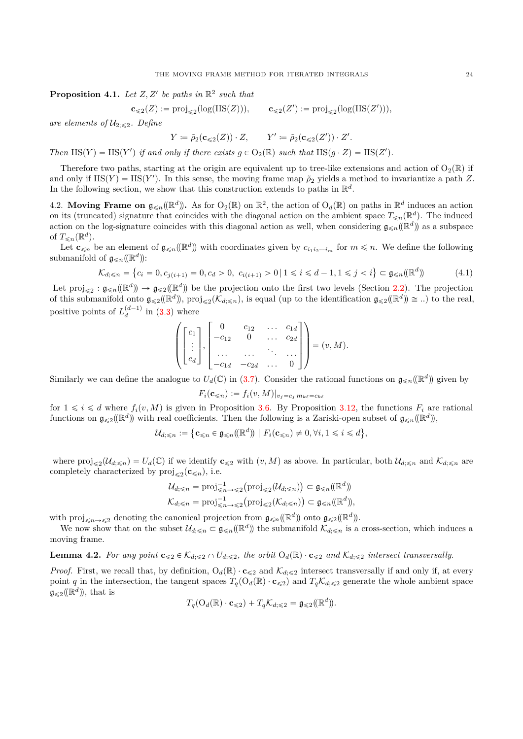**Proposition 4.1.** Let  $Z, Z'$  be paths in  $\mathbb{R}^2$  such that

$$
\mathbf{c}_{\leqslant 2}(Z):=\mathrm{proj}_{\leqslant 2}(\log(\mathrm{IIS}(Z))),\qquad \mathbf{c}_{\leqslant 2}(Z'):=\mathrm{proj}_{\leqslant 2}(\log(\mathrm{IIS}(Z'))),
$$

*are elements of*  $\mathcal{U}_{2;\leqslant2}$ *. Define* 

$$
Y \coloneqq \tilde{\rho}_2(\mathbf{c}_{\leq 2}(Z)) \cdot Z, \qquad Y' \coloneqq \tilde{\rho}_2(\mathbf{c}_{\leq 2}(Z')) \cdot Z'.
$$

*Then*  $\text{IIS}(Y) = \text{IIS}(Y')$  *if and only if there exists*  $g \in O_2(\mathbb{R})$  *such that*  $\text{IIS}(g \cdot Z) = \text{IIS}(Z')$ *.* 

Therefore two paths, starting at the origin are equivalent up to tree-like extensions and action of  $O_2(\mathbb{R})$  if and only if  $IIS(Y) = IIS(Y')$ . In this sense, the moving frame map  $\tilde{\rho}_2$  yields a method to invariantize a path *Z*. In the following section, we show that this construction extends to paths in  $\mathbb{R}^d$ .

<span id="page-23-0"></span>4.2. Moving Frame on  $\mathfrak{g}_{\leq n}(\mathbb{R}^d)$ . As for  $O_2(\mathbb{R})$  on  $\mathbb{R}^2$ , the action of  $O_d(\mathbb{R})$  on paths in  $\mathbb{R}^d$  induces an action on its (truncated) signature that coincides with the diagonal action on the ambient space  $T_{\leq n}(\mathbb{R}^d)$ . The induced action on the log-signature coincides with this diagonal action as well, when considering  $g_{\leq n}(\mathbb{R}^d)$  as a subspace of  $T_{\leq n}(\mathbb{R}^d)$ .

Let  $\mathbf{c}_{\leq n}$  be an element of  $\mathfrak{g}_{\leq n}(\mathbb{R}^d)$  with coordinates given by  $c_{i_1i_2\cdots i_m}$  for  $m \leq n$ . We define the following submanifold of  $\mathfrak{g}_{\leq n}(\mathbb{R}^d)$ :  $\mathbf{r}$ 

<span id="page-23-1"></span>
$$
\mathcal{K}_{d; \le n} = \left\{ c_i = 0, c_{j(i+1)} = 0, c_d > 0, \ c_{i(i+1)} > 0 \mid 1 \le i \le d-1, 1 \le j < i \right\} \subset \mathfrak{g}_{\le n}(\mathbb{R}^d) \tag{4.1}
$$

Let  $\text{proj}_{\leqslant 2} : \mathfrak{g}_{\leqslant n}(\mathbb{R}^d) \to \mathfrak{g}_{\leqslant 2}(\mathbb{R}^d)$  be the projection onto the first two levels (Section [2.2\)](#page-4-0). The projection of this submanifold onto  $\mathfrak{g}_{\leq 2}(\mathbb{R}^d)$ ,  $\text{proj}_{\leq 2}(\mathcal{K}_{d;\leq n})$ , is equal (up to the identification  $\mathfrak{g}_{\leq 2}(\mathbb{R}^d) \cong ...$ ) to the real, positive points of  $L_d^{(d-1)}$  in [\(3.3\)](#page-14-0) where » fi

$$
\left( \begin{bmatrix} c_1 \\ \vdots \\ c_d \end{bmatrix}, \begin{bmatrix} 0 & c_{12} & \cdots & c_{1d} \\ -c_{12} & 0 & \cdots & c_{2d} \\ \cdots & \cdots & \cdots & \cdots \\ -c_{1d} & -c_{2d} & \cdots & 0 \end{bmatrix} \right) = (v, M).
$$

Similarly we can define the analogue to  $U_d(\mathbb{C})$  in [\(3.7\)](#page-16-2). Consider the rational functions on  $\mathfrak{g}_{\leq n}(\mathbb{R}^d)$  given by

$$
F_i(\mathbf{c}_{\leq n}) := f_i(v, M)|_{v_j = c_j m_{k\ell} = c_{k\ell}}
$$

for  $1 \leq i \leq d$  where  $f_i(v, M)$  is given in Proposition [3.6.](#page-16-0) By Proposition [3.12,](#page-18-1) the functions  $F_i$  are rational functions on  $\mathfrak{g}_{\leq 2}(\mathbb{R}^d)$  with real coefficients. Then the following is a Zariski-open subset of  $\mathfrak{g}_{\leq n}(\mathbb{R}^d)$ ,

$$
\mathcal{U}_{d;\leqslant n}:=\big\{\mathbf{c}_{\leqslant n}\in\mathfrak{g}_{\leqslant n}(\mathbb{R}^d)\bigm|F_i(\mathbf{c}_{\leqslant n})\neq 0,\forall i,1\leqslant i\leqslant d\big\},\
$$

where  $\text{proj}_{\leqslant 2}(\mathcal{U}_{d;\leqslant n}) = U_d(\mathbb{C})$  if we identify  $\mathbf{c}_{\leqslant 2}$  with  $(v, M)$  as above. In particular, both  $\mathcal{U}_{d;\leqslant n}$  and  $\mathcal{K}_{d;\leqslant n}$  are completely characterized by  $proj_{\leq 2}(\mathbf{c}_{\leq n})$ , i.e.

$$
\mathcal{U}_{d; \leq n} = \text{proj}_{\leq n \to \leq 2}^{-1} (\text{proj}_{\leq 2}(\mathcal{U}_{d; \leq n})) \subset \mathfrak{g}_{\leq n}(\mathbb{R}^d)
$$
  

$$
\mathcal{K}_{d; \leq n} = \text{proj}_{\leq n \to \leq 2}^{-1} (\text{proj}_{\leq 2}(\mathcal{K}_{d; \leq n})) \subset \mathfrak{g}_{\leq n}(\mathbb{R}^d),
$$

with  $proj_{\leq n \to \leq 2}$  denoting the canonical projection from  $\mathfrak{g}_{\leq n}(\mathbb{R}^d)$  onto  $\mathfrak{g}_{\leq 2}(\mathbb{R}^d)$ .

We now show that on the subset  $\mathcal{U}_{d,\leq n} \subset \mathfrak{g}_{\leq n}(\mathbb{R}^d)$  the submanifold  $\mathcal{K}_{d,\leq n}$  is a cross-section, which induces a moving frame.

<span id="page-23-2"></span>**Lemma 4.2.** For any point  $\mathbf{c}_{\leq 2} \in \mathcal{K}_{d; \leq 2} \cap U_{d; \leq 2}$ , the orbit  $O_d(\mathbb{R}) \cdot \mathbf{c}_{\leq 2}$  and  $\mathcal{K}_{d; \leq 2}$  intersect transversally.

*Proof.* First, we recall that, by definition,  $O_d(\mathbb{R}) \cdot \mathbf{c}_{\leq 2}$  and  $\mathcal{K}_{d; \leq 2}$  intersect transversally if and only if, at every point *q* in the intersection, the tangent spaces  $T_q(O_d(\mathbb{R}) \cdot \mathbf{c}_{\leq 2})$  and  $T_q \mathcal{K}_{d; \leq 2}$  generate the whole ambient space  $\mathfrak{g}_{\leqslant 2}(\!(\mathbb{R}^d)\!)$ , that is

$$
T_q(\mathcal{O}_d(\mathbb{R}) \cdot \mathbf{c}_{\leq 2}) + T_q \mathcal{K}_{d; \leq 2} = \mathfrak{g}_{\leq 2}(\mathbb{R}^d).
$$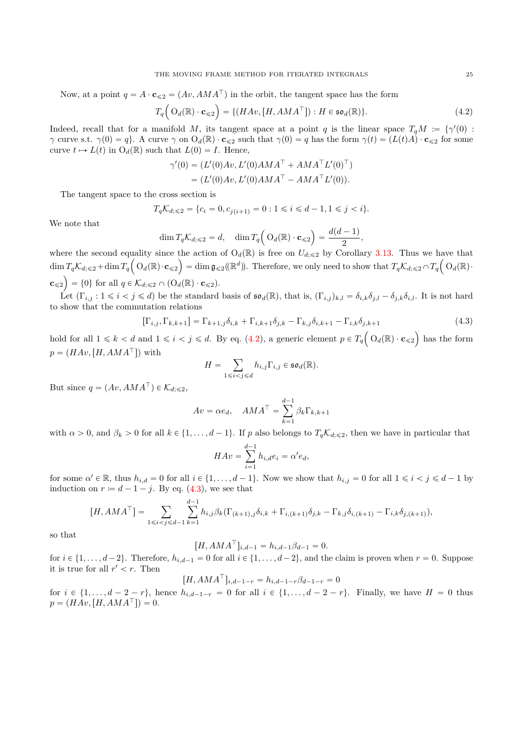Now, at a point  $q = A \cdot \mathbf{c}_{\leq 2} = (Av, AMA^{\top})$  in the orbit, the tangent space has the form

<span id="page-24-0"></span>
$$
T_q\Big(\mathrm{O}_d(\mathbb{R}) \cdot \mathbf{c}_{\leq 2}\Big) = \{ (HAv, [H, AMA^\top]): H \in \mathfrak{so}_d(\mathbb{R}) \}. \tag{4.2}
$$

Indeed, recall that for a manifold *M*, its tangent space at a point *q* is the linear space  $T_qM := \{ \gamma'(0) :$ *γ* curve s.t. *γ*(0) = *q*}. A curve *γ* on  $O_d(\mathbb{R}) \cdot \mathbf{c}_{\leq 2}$  such that  $\gamma(0) = q$  has the form  $\gamma(t) = (L(t)A) \cdot \mathbf{c}_{\leq 2}$  for some curve  $t \mapsto L(t)$  in  $O_d(\mathbb{R})$  such that  $L(0) = I$ . Hence,

$$
\gamma'(0) = (L'(0)Av, L'(0)AMA^{\top} + AMA^{\top}L'(0)^{\top})
$$
  
= (L'(0)Av, L'(0)AMA^{\top} - AMA^{\top}L'(0)).

The tangent space to the cross section is

$$
T_q \mathcal{K}_{d; \leq 2} = \{c_i = 0, c_{j(i+1)} = 0 : 1 \leq i \leq d-1, 1 \leq j < i\}.
$$

We note that

$$
\dim T_q \mathcal{K}_{d; \leqslant 2} = d, \quad \dim T_q \Big( \mathrm{O}_d(\mathbb{R}) \cdot \mathbf{c}_{\leqslant 2} \Big) = \frac{d(d-1)}{2},
$$

where the second equality since the action of  $O_d(\mathbb{R})$  is free on  $U_{d,\leq 2}$  by Corollary [3.13.](#page-19-3) Thus we have that  $\dim T_q \mathcal{K}_{d; \leq 2} + \dim T_q \left( O_d(\mathbb{R}) \cdot \mathbf{c}_{\leq 2} \right) = \dim \mathfrak{g}_{\leq 2}(\mathbb{R}^d)$ . Therefore, we only need to show that  $T_q \mathcal{K}_{d; \leq 2} \cap T_q \left( O_d(\mathbb{R}) \cdot \mathbf{c}_{\leq 2} \right)$  $\mathbf{c}_{\leq 2}$  = {0} for all  $q \in \mathcal{K}_{d; \leq 2} \cap (O_d(\mathbb{R}) \cdot \mathbf{c}_{\leq 2}).$ 

Let  $(\Gamma_{i,j}: 1 \leq i < j \leq d)$  be the standard basis of  $\mathfrak{so}_d(\mathbb{R})$ , that is,  $(\Gamma_{i,j})_{k,l} = \delta_{i,k}\delta_{j,l} - \delta_{j,k}\delta_{i,l}$ . It is not hard to show that the commutation relations

<span id="page-24-1"></span>
$$
[\Gamma_{i,j}, \Gamma_{k,k+1}] = \Gamma_{k+1,j} \delta_{i,k} + \Gamma_{i,k+1} \delta_{j,k} - \Gamma_{k,j} \delta_{i,k+1} - \Gamma_{i,k} \delta_{j,k+1}
$$
(4.3)

hold for all  $1 \leq k < d$  and  $1 \leq i < j \leq d$ . By eq. [\(4.2\)](#page-24-0), a generic element  $p \in T_q O(d(\mathbb{R}) \cdot \mathbf{c}_{\leq 2})$  has the form  $p = (HAv, [H, AMA^{\top}])$  with

$$
H = \sum_{1 \leq i < j \leq d} h_{i,j} \Gamma_{i,j} \in \mathfrak{so}_d(\mathbb{R}).
$$

But since  $q = (Av, AMA^{\top}) \in \mathcal{K}_{d:\leq 2}$ ,

$$
Av = \alpha e_d, \quad AMA^{\top} = \sum_{k=1}^{d-1} \beta_k \Gamma_{k,k+1}
$$

with  $\alpha > 0$ , and  $\beta_k > 0$  for all  $k \in \{1, \ldots, d-1\}$ . If *p* also belongs to  $T_q\mathcal{K}_{d; \leq 2}$ , then we have in particular that

$$
HAv = \sum_{i=1}^{d-1} h_{i,d}e_i = \alpha' e_d,
$$

for some  $\alpha' \in \mathbb{R}$ , thus  $h_{i,d} = 0$  for all  $i \in \{1, ..., d-1\}$ . Now we show that  $h_{i,j} = 0$  for all  $1 \leq i < j \leq d-1$  by induction on  $r \coloneqq d - 1 - j$ . By eq. [\(4.3\)](#page-24-1), we see that

$$
[H, AMA^{\top}] = \sum_{1 \leq i < j \leq d-1} \sum_{k=1}^{d-1} h_{i,j} \beta_k (\Gamma_{(k+1),j} \delta_{i,k} + \Gamma_{i,(k+1)} \delta_{j,k} - \Gamma_{k,j} \delta_{i,(k+1)} - \Gamma_{i,k} \delta_{j,(k+1)}),
$$

so that

$$
[H, A M A^{\top}]_{i,d-1} = h_{i,d-1} \beta_{d-1} = 0.
$$

for  $i \in \{1, \ldots, d-2\}$ . Therefore,  $h_{i,d-1} = 0$  for all  $i \in \{1, \ldots, d-2\}$ , and the claim is proven when  $r = 0$ . Suppose it is true for all  $r' < r$ . Then

$$
[H, A M A^{\top}]_{i,d-1-r} = h_{i,d-1-r} \beta_{d-1-r} = 0
$$

for  $i \in \{1, ..., d-2-r\}$ , hence  $h_{i,d-1-r} = 0$  for all  $i \in \{1, ..., d-2-r\}$ . Finally, we have  $H = 0$  thus  $p = (HAv, [H, AMA^{\top}]) = 0.$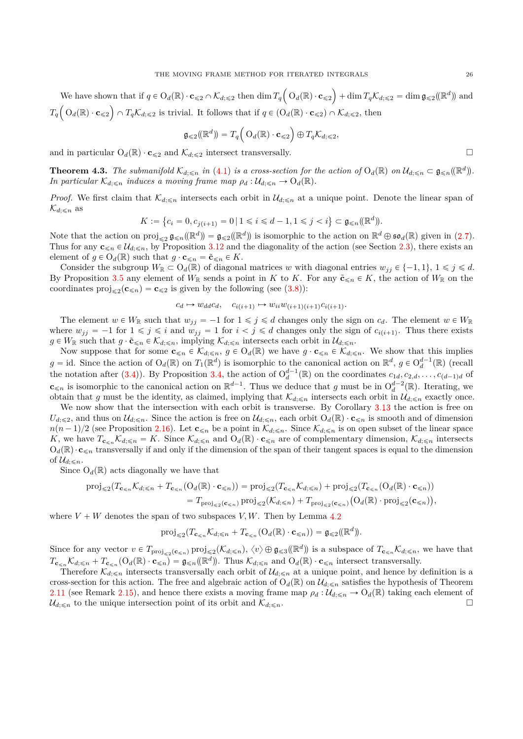We have shown that if  $q \in O_d(\mathbb{R}) \cdot \mathbf{c}_{\leq 2} \cap \mathcal{K}_{d; \leq 2}$  then  $\dim T_q$  $O_d(\mathbb{R}) \cdot \mathbf{c}_{\leq 2}$ We have shown that if  $q \in O_d(\mathbb{R}) \cdot \mathbf{c}_{\leq 2} \cap \mathcal{K}_{d; \leq 2}$  then  $\dim T_q\left(O_d(\mathbb{R}) \cdot \mathbf{c}_{\leq 2}\right) + \dim T_q\mathcal{K}_{d; \leq 2} = \dim \mathfrak{g}_{\leq 2}(\mathbb{R}^d)$  and  $T_q\left( \begin{array}{c} O_d(\mathbb{R}) \cdot \mathbf{c}_{\leqslant 2} \end{array} \right) \cap T_q\mathcal{K}_{d;\leqslant 2}$  is trivial. It follows that if  $q \in (O_d(\mathbb{R}) \cdot \mathbf{c}_{\leqslant 2}) \cap \mathcal{K}_{d;\leqslant 2}$ , then

$$
\mathfrak{g}_{\leqslant 2}(\mathbb{R}^d)\mathfrak{f}=T_q\Big(\mathcal{O}_d(\mathbb{R})\cdot \mathbf{c}_{\leqslant 2}\Big)\oplus T_q\mathcal{K}_{d;\leqslant 2},
$$

and in particular  $O_d(\mathbb{R}) \cdot \mathbf{c}_{\leq 2}$  and  $\mathcal{K}_{d; \leq 2}$  intersect transversally.

<span id="page-25-0"></span>**Theorem 4.3.** The submanifold  $\mathcal{K}_{d,\leq n}$  in [\(4.1\)](#page-23-1) is a cross-section for the action of  $O_d(\mathbb{R})$  on  $\mathcal{U}_{d,\leq n} \subset \mathfrak{g}_{\leq n}(\mathbb{R}^d)$ . *In particular*  $\mathcal{K}_{d;\leq n}$  *induces a moving frame map*  $\rho_d : \mathcal{U}_{d;\leq n} \to O_d(\mathbb{R})$ *.* 

*Proof.* We first claim that  $K_{d, \leq n}$  intersects each orbit in  $\mathcal{U}_{d, \leq n}$  at a unique point. Denote the linear span of  $\mathcal{K}_{d:s}$  as

$$
K := \left\{ c_i = 0, c_{j(i+1)} = 0 \, | \, 1 \le i \le d-1, 1 \le j < i \right\} \subset \mathfrak{g}_{\le n}(\mathbb{R}^d).
$$

Note that the action on  $proj_{\leq 2} \mathfrak{g}_{\leq n}(\mathbb{R}^d) = \mathfrak{g}_{\leq 2}(\mathbb{R}^d)$  is isomorphic to the action on  $\mathbb{R}^d \oplus \mathfrak{so}_d(\mathbb{R})$  given in [\(2.7\)](#page-7-1). Thus for any  $\mathbf{c}_{\leq n} \in \mathcal{U}_{d_i \leq n}$ , by Proposition [3.12](#page-18-1) and the diagonality of the action (see Section [2.3\)](#page-6-0), there exists an element of  $g \in O_d(\mathbb{R})$  such that  $g \cdot \mathbf{c}_{\leq n} = \tilde{\mathbf{c}}_{\leq n} \in K$ .

Consider the subgroup  $W_{\mathbb{R}} \subset O_d(\mathbb{R})$  of diagonal matrices *w* with diagonal entries  $w_{ij} \in \{-1,1\}, 1 \leq j \leq d$ . By Proposition [3.5](#page-15-0) any element of  $W_{\mathbb{R}}$  sends a point in *K* to *K*. For any  $\tilde{\mathbf{c}}_{\leq n} \in K$ , the action of  $W_{\mathbb{R}}$  on the coordinates  $proj_{\leq 2}(\mathbf{c}_{\leq n}) = \mathbf{c}_{\leq 2}$  is given by the following (see [\(3.8\)](#page-17-4)):

$$
c_d \mapsto w_{dd}c_d, \quad c_{i(i+1)} \mapsto w_{ii}w_{(i+1)(i+1)}c_{i(i+1)}.
$$

The element  $w \in W_{\mathbb{R}}$  such that  $w_{jj} = -1$  for  $1 \leq j \leq d$  changes only the sign on  $c_d$ . The element  $w \in W_{\mathbb{R}}$ where  $w_{jj} = -1$  for  $1 \leq j \leq i$  and  $w_{jj} = 1$  for  $i < j \leq d$  changes only the sign of  $c_{i(i+1)}$ . Thus there exists  $g \in W_{\mathbb{R}}$  such that  $g \cdot \tilde{\mathbf{c}}_{\leq n} \in \mathcal{K}_{d; \leq n}$ , implying  $\mathcal{K}_{d; \leq n}$  intersects each orbit in  $\mathcal{U}_{d; \leq n}$ .

Now suppose that for some  $\mathbf{c}_{\leq n} \in \mathcal{K}_{d;\leq n}$ ,  $g \in O_d(\mathbb{R})$  we have  $g \cdot \mathbf{c}_{\leq n} \in \mathcal{K}_{d;\leq n}$ . We show that this implies  $g = id$ . Since the action of  $O_d(\mathbb{R})$  on  $T_1(\mathbb{R}^d)$  is isomorphic to the canonical action on  $\mathbb{R}^d$ ,  $g \in O_d^{d-1}(\mathbb{R})$  (recall the notation after [\(3.4\)](#page-15-3)). By Proposition [3.4,](#page-15-2) the action of  $O_d^{d-1}(\mathbb{R})$  on the coordinates  $c_{1d}, c_{2d}, \ldots, c_{(d-1)d}$  of  $c_{\leq n}$  is isomorphic to the canonical action on  $\mathbb{R}^{d-1}$ . Thus we deduce that *g* must be in  $O_d^{d-2}(\mathbb{R})$ . Iterating, we obtain that *g* must be the identity, as claimed, implying that  $\mathcal{K}_{d,\leq n}$  intersects each orbit in  $\mathcal{U}_{d,\leq n}$  exactly once.

We now show that the intersection with each orbit is transverse. By Corollary [3.13](#page-19-3) the action is free on  $U_{d:\leq 2}$ , and thus on  $\mathcal{U}_{d:\leq n}$ . Since the action is free on  $\mathcal{U}_{d:\leq n}$ , each orbit  $O_d(\mathbb{R}) \cdot \mathbf{c}_{\leq n}$  is smooth and of dimension  $n(n-1)/2$  (see Proposition [2.16\)](#page-11-0). Let  $\mathbf{c}_{\leq n}$  be a point in  $\mathcal{K}_{d,\leq n}$ . Since  $\mathcal{K}_{d,\leq n}$  is on open subset of the linear space *K*, we have  $T_{\mathbf{c}_{\le n}}\mathcal{K}_{d;\le n} = K$ . Since  $\mathcal{K}_{d;\le n}$  and  $O_d(\mathbb{R}) \cdot \mathbf{c}_{\le n}$  are of complementary dimension,  $\mathcal{K}_{d;\le n}$  intersects  $O_d(\mathbb{R}) \cdot \mathbf{c}_{\leq n}$  transversally if and only if the dimension of the span of their tangent spaces is equal to the dimension of  $\mathcal{U}_{d:\leq n}$ .

Since  $O_d(\mathbb{R})$  acts diagonally we have that

$$
\begin{aligned} \text{proj}_{\leqslant 2}(T_{\mathbf{c}_{\leqslant n}}\mathcal{K}_{d;\leqslant n}+T_{\mathbf{c}_{\leqslant n}}(\mathcal{O}_{d}(\mathbb{R})\cdot\mathbf{c}_{\leqslant n}))&=\text{proj}_{\leqslant 2}(T_{\mathbf{c}_{\leqslant n}}\mathcal{K}_{d;\leqslant n})+\text{proj}_{\leqslant 2}(T_{\mathbf{c}_{\leqslant n}}(\mathcal{O}_{d}(\mathbb{R})\cdot\mathbf{c}_{\leqslant n}))\\ &=T_{\text{proj}_{\leqslant 2}(\mathbf{c}_{\leqslant n})}\,\text{proj}_{\leqslant 2}(\mathcal{K}_{d;\leqslant n})+T_{\text{proj}_{\leqslant 2}(\mathbf{c}_{\leqslant n})}\big(\mathcal{O}_{d}(\mathbb{R})\cdot\text{proj}_{\leqslant 2}(\mathbf{c}_{\leqslant n})\big),\end{aligned}
$$

where  $V + W$  denotes the span of two subspaces  $V, W$ . Then by Lemma [4.2](#page-23-2)

$$
\operatorname{proj}_{\leq 2}(T_{\mathbf{c}_{\leq n}}\mathcal{K}_{d;\leq n}+T_{\mathbf{c}_{\leq n}}(\mathrm{O}_d(\mathbb{R})\cdot\mathbf{c}_{\leq n}))=\mathfrak{g}_{\leq 2}(\mathbb{R}^d)).
$$

Since for any vector  $v \in T_{\text{proj}_{\leqslant 2}(\mathbf{c}_{\leqslant n})}$  proj<sub> $\leqslant 2(\mathcal{K}_{d;\leqslant n}), \langle v \rangle \oplus \mathfrak{g}_{\leqslant 3}(\mathbb{R}^d)$  is a subspace of  $T_{\mathbf{c}_{\leqslant n}}\mathcal{K}_{d;\leqslant n}$ , we have that</sub>  $T_{\mathbf{c}_{\leq n}}\mathcal{K}_{d,\leq n} + T_{\mathbf{c}_{\leq n}}(O_d(\mathbb{R}) \cdot \mathbf{c}_{\leq n}) = \mathfrak{g}_{\leq n}(\mathbb{R}^d)$ . Thus  $\mathcal{K}_{d,\leq n}$  and  $O_d(\mathbb{R}) \cdot \mathbf{c}_{\leq n}$  intersect transversally.

Therefore  $\mathcal{K}_{d,\leq n}$  intersects transversally each orbit of  $\mathcal{U}_{d,\leq n}$  at a unique point, and hence by definition is a cross-section for this action. The free and algebraic action of  $O_d(\mathbb{R})$  on  $\mathcal{U}_{d;\leq n}$  satisfies the hypothesis of Theorem [2.11](#page-8-3) (see Remark [2.15\)](#page-10-3), and hence there exists a moving frame map  $\rho_d$  :  $\mathcal{U}_{d,\leq n} \to O_d(\mathbb{R})$  taking each element of  $\mathcal{U}_{d:\leq n}$  to the unique intersection point of its orbit and  $\mathcal{K}_{d:\leq n}$ .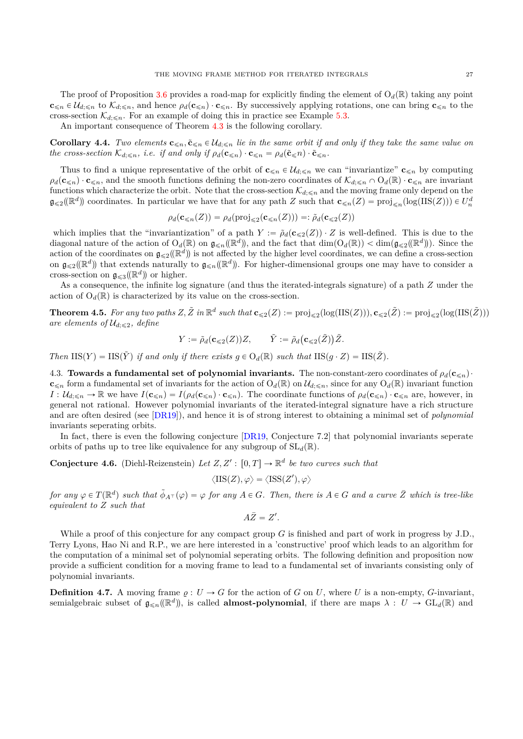The proof of Proposition [3.6](#page-16-0) provides a road-map for explicitly finding the element of  $O_d(\mathbb{R})$  taking any point  $c_{\leq n} \in \mathcal{U}_{d,\leq n}$  to  $\mathcal{K}_{d,\leq n}$ , and hence  $\rho_d(c_{\leq n}) \cdot c_{\leq n}$ . By successively applying rotations, one can bring  $c_{\leq n}$  to the cross-section  $\mathcal{K}_{d;\leq n}$ . For an example of doing this in practice see Example [5.3.](#page-32-0)

An important consequence of Theorem [4.3](#page-25-0) is the following corollary.

**Corollary 4.4.** *Two elements*  $\mathbf{c}_{\leq n}, \tilde{\mathbf{c}}_{\leq n} \in \mathcal{U}_{d,\leq n}$  *lie in the same orbit if and only if they take the same value on the cross-section*  $\mathcal{K}_{d \leq n}$ *, i.e. if and only if*  $\rho_d(c_{\leq n}) \cdot c_{\leq n} = \rho_d(\tilde{c}_{\leq n}) \cdot \tilde{c}_{\leq n}$ *.* 

Thus to find a unique representative of the orbit of  $c_{\leq n} \in \mathcal{U}_{d,\leq n}$  we can "invariantize"  $c_{\leq n}$  by computing  $\rho_d(c_{\leq n}) \cdot c_{\leq n}$ , and the smooth functions defining the non-zero coordinates of  $\mathcal{K}_{d,\leq n} \cap O_d(\mathbb{R}) \cdot c_{\leq n}$  are invariant functions which characterize the orbit. Note that the cross-section  $\mathcal{K}_{d,\leq n}$  and the moving frame only depend on the  $\mathfrak{g}_{\leqslant 2}(\mathbb{R}^d)$  coordinates. In particular we have that for any path *Z* such that  $\mathbf{c}_{\leqslant n}(Z) = \text{proj}_{\leqslant n}(\log(\text{IIS}(Z))) \in U_n^d$ 

$$
\rho_d(\mathbf{c}_{\leq n}(Z)) = \rho_d(\text{proj}_{\leq 2}(\mathbf{c}_{\leq n}(Z))) =: \tilde{\rho}_d(\mathbf{c}_{\leq 2}(Z))
$$

which implies that the "invariantization" of a path  $Y := \tilde{\rho}_d(c \leq 2(Z)) \cdot Z$  is well-defined. This is due to the diagonal nature of the action of  $O_d(\mathbb{R})$  on  $\mathfrak{g}_{\leq n}(\mathbb{R}^d)$ , and the fact that  $\dim(O_d(\mathbb{R})) < \dim(\mathfrak{g}_{\leq 2}(\mathbb{R}^d))$ . Since the action of the coordinates on  $g_{\leq 2}(\mathbb{R}^d)$  is not affected by the higher level coordinates, we can define a cross-section on  $\mathfrak{g}_{\leqslant 2}(\mathbb{R}^d)$  that extends naturally to  $\mathfrak{g}_{\leqslant n}(\mathbb{R}^d)$ . For higher-dimensional groups one may have to consider a cross-section on  $\mathfrak{g}_{\leqslant3}(\mathbb{R}^d)$  or higher.

As a consequence, the infinite log signature (and thus the iterated-integrals signature) of a path *Z* under the action of  $O_d(\mathbb{R})$  is characterized by its value on the cross-section.

<span id="page-26-2"></span>**Theorem 4.5.** For any two paths  $Z, \tilde{Z}$  in  $\mathbb{R}^d$  such that  $\mathbf{c}_{\leq 2}(Z) := \text{proj}_{\leq 2}(\log(\text{IIS}(Z))), \mathbf{c}_{\leq 2}(\tilde{Z}) := \text{proj}_{\leq 2}(\log(\text{IIS}(\tilde{Z})))$ *are elements of*  $\mathcal{U}_{d: \leq 2}$ , *define* 

$$
Y := \tilde{\rho}_d(\mathbf{c}_{\leq 2}(Z))Z, \qquad \tilde{Y} := \tilde{\rho}_d(\mathbf{c}_{\leq 2}(\tilde{Z}))\tilde{Z}.
$$

*Then*  $IIS(Y) = IIS(\tilde{Y})$  *if and only if there exists*  $q \in O_d(\mathbb{R})$  *such that*  $IIS(q \cdot Z) = IIS(\tilde{Z})$ *.* 

<span id="page-26-0"></span>4.3. **Towards a fundamental set of polynomial invariants.** The non-constant-zero coordinates of  $\rho_d(c_{\leq n})$ .  $c_{\leq n}$  form a fundamental set of invariants for the action of  $O_d(\mathbb{R})$  on  $\mathcal{U}_{d;\leq n}$ , since for any  $O_d(\mathbb{R})$  invariant function  $I: \mathcal{U}_{d, \leq n} \to \mathbb{R}$  we have  $I(\mathbf{c}_{\leq n}) = I(\rho_d(\mathbf{c}_{\leq n}) \cdot \mathbf{c}_{\leq n}).$  The coordinate functions of  $\rho_d(\mathbf{c}_{\leq n}) \cdot \mathbf{c}_{\leq n}$  are, however, in general not rational. However polynomial invariants of the iterated-integral signature have a rich structure and are often desired (see [\[DR19\]](#page-34-1)), and hence it is of strong interest to obtaining a minimal set of *polynomial* invariants seperating orbits.

In fact, there is even the following conjecture [\[DR19,](#page-34-1) Conjecture 7.2] that polynomial invariants seperate orbits of paths up to tree like equivalence for any subgroup of  $SL_d(\mathbb{R})$ .

<span id="page-26-1"></span>**Conjecture 4.6.** (Diehl-Reizenstein) Let  $Z, Z' : [0, T] \to \mathbb{R}^d$  be two curves such that

$$
\langle \operatorname{IIS}(Z), \varphi \rangle = \langle \operatorname{ISS}(Z'), \varphi \rangle
$$

for any  $\varphi \in T(\mathbb{R}^d)$  such that  $\tilde{\phi}_{A^{\top}}(\varphi) = \varphi$  for any  $A \in G$ . Then, there is  $A \in G$  and a curve  $\overline{Z}$  which is tree-like *equivalent to Z such that*

$$
A\bar{Z}=Z'.
$$

While a proof of this conjecture for any compact group *G* is finished and part of work in progress by J.D., Terry Lyons, Hao Ni and R.P., we are here interested in a 'constructive' proof which leads to an algorithm for the computation of a minimal set of polynomial seperating orbits. The following definition and proposition now provide a sufficient condition for a moving frame to lead to a fundamental set of invariants consisting only of polynomial invariants.

**Definition 4.7.** A moving frame  $\varrho: U \to G$  for the action of *G* on *U*, where *U* is a non-empty, *G*-invariant, semialgebraic subset of  $\mathfrak{g}_{\leq n}(\mathbb{R}^d)$ , is called **almost-polynomial**, if there are maps  $\lambda: U \to GL_d(\mathbb{R})$  and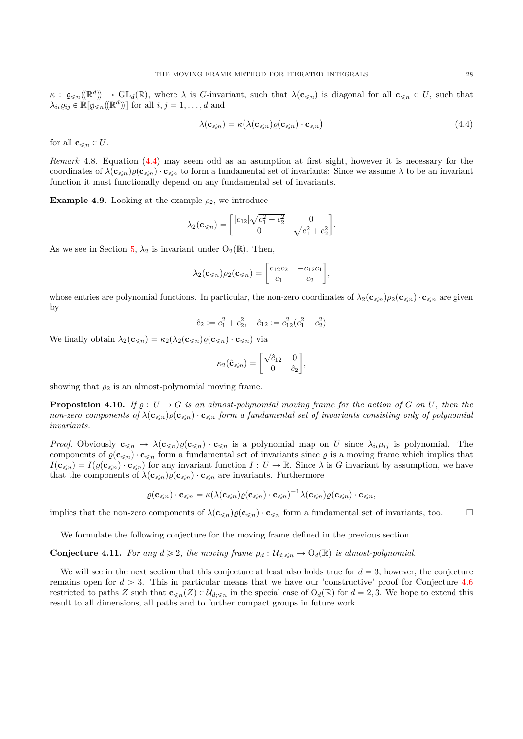$\kappa$  :  $\mathfrak{g}_{\leq n}(\mathbb{R}^d) \to \text{GL}_d(\mathbb{R})$ , where  $\lambda$  is *G*-invariant, such that  $\lambda(\mathbf{c}_{\leq n})$  is diagonal for all  $\mathbf{c}_{\leq n} \in U$ , such that  $\lambda_{ii}\varrho_{ij} \in \mathbb{R}[\mathfrak{g}_{\leq n}(\mathbb{R}^d)]$  for all  $i, j = 1, \ldots, d$  and

<span id="page-27-0"></span>
$$
\lambda(\mathbf{c}_{\leq n}) = \kappa(\lambda(\mathbf{c}_{\leq n})\varrho(\mathbf{c}_{\leq n}) \cdot \mathbf{c}_{\leq n})
$$
\n(4.4)

for all  $\mathbf{c}_{\leq n} \in U$ .

*Remark* 4.8*.* Equation [\(4.4\)](#page-27-0) may seem odd as an asumption at first sight, however it is necessary for the coordinates of  $\lambda(\mathbf{c}_{\leq n})\varrho(\mathbf{c}_{\leq n}) \cdot \mathbf{c}_{\leq n}$  to form a fundamental set of invariants: Since we assume  $\lambda$  to be an invariant function it must functionally depend on any fundamental set of invariants.

<span id="page-27-1"></span>**Example 4.9.** Looking at the example  $\rho_2$ , we introduce

$$
\lambda_2(\mathbf{c}_{\leq n}) = \begin{bmatrix} |c_{12}|\sqrt{c_1^2 + c_2^2} & 0\\ 0 & \sqrt{c_1^2 + c_2^2} \end{bmatrix}.
$$

As we see in Section [5,](#page-28-0)  $\lambda_2$  is invariant under  $O_2(\mathbb{R})$ . Then,

$$
\lambda_2(\mathbf{c}_{\leq n})\rho_2(\mathbf{c}_{\leq n}) = \begin{bmatrix} c_{12}c_2 & -c_{12}c_1 \\ c_1 & c_2 \end{bmatrix},
$$

whose entries are polynomial functions. In particular, the non-zero coordinates of  $\lambda_2(\mathbf{c}_{\leq n})\rho_2(\mathbf{c}_{\leq n})\cdot \mathbf{c}_{\leq n}$  are given by

$$
\hat{c}_2 := c_1^2 + c_2^2, \quad \hat{c}_{12} := c_{12}^2 (c_1^2 + c_2^2)
$$

We finally obtain  $\lambda_2(\mathbf{c}_{\leq n}) = \kappa_2(\lambda_2(\mathbf{c}_{\leq n})\rho(\mathbf{c}_{\leq n}) \cdot \mathbf{c}_{\leq n})$  via

$$
\kappa_2(\hat{\mathbf{c}}_{\leq n}) = \begin{bmatrix} \sqrt{\hat{c}_{12}} & 0 \\ 0 & \hat{c}_2 \end{bmatrix},
$$

showing that  $\rho_2$  is an almost-polynomial moving frame.

<span id="page-27-2"></span>**Proposition 4.10.** *If*  $\varrho : U \to G$  *is an almost-polynomial moving frame for the action of*  $G$  *on*  $U$ *, then the non-zero components of*  $\lambda(c_{\leq n})\rho(c_{\leq n}) \cdot c_{\leq n}$  *form a fundamental set of invariants consisting only of polynomial invariants.*

*Proof.* Obviously  $\mathbf{c}_{\leq n} \mapsto \lambda(\mathbf{c}_{\leq n})\varrho(\mathbf{c}_{\leq n}) \cdot \mathbf{c}_{\leq n}$  is a polynomial map on *U* since  $\lambda_{ii}\mu_{ij}$  is polynomial. The components of  $\varrho(\mathbf{c}_{\leq n}) \cdot \mathbf{c}_{\leq n}$  form a fundamental set of invariants since  $\varrho$  is a moving frame which implies that  $I(c_{\le n}) = I(\varrho(c_{\le n}) \cdot c_{\le n})$  for any invariant function  $I: U \to \mathbb{R}$ . Since  $\lambda$  is *G* invariant by assumption, we have that the components of  $\lambda(c_{\leq n})\varrho(c_{\leq n}) \cdot c_{\leq n}$  are invariants. Furthermore

$$
\varrho(\mathbf{c}_{\leqslant n})\cdot \mathbf{c}_{\leqslant n}=\kappa(\lambda(\mathbf{c}_{\leqslant n})\varrho(\mathbf{c}_{\leqslant n})\cdot \mathbf{c}_{\leqslant n})^{-1}\lambda(\mathbf{c}_{\leqslant n})\varrho(\mathbf{c}_{\leqslant n})\cdot \mathbf{c}_{\leqslant n},
$$

implies that the non-zero components of  $\lambda(\mathbf{c}_{\leq n})\varrho(\mathbf{c}_{\leq n})\cdot \mathbf{c}_{\leq n}$  form a fundamental set of invariants, too.

We formulate the following conjecture for the moving frame defined in the previous section.

<span id="page-27-3"></span>**Conjecture 4.11.** *For any*  $d \geq 2$ *, the moving frame*  $\rho_d$  :  $\mathcal{U}_{d:\leq n} \to O_d(\mathbb{R})$  *is almost-polynomial.* 

We will see in the next section that this conjecture at least also holds true for  $d = 3$ , however, the conjecture remains open for  $d > 3$ . This in particular means that we have our 'constructive' proof for Conjecture  $4.6$ restricted to paths *Z* such that  $\mathbf{c}_{\leq n}(Z) \in \mathcal{U}_{d:\leq n}$  in the special case of  $O_d(\mathbb{R})$  for  $d = 2, 3$ . We hope to extend this result to all dimensions, all paths and to further compact groups in future work.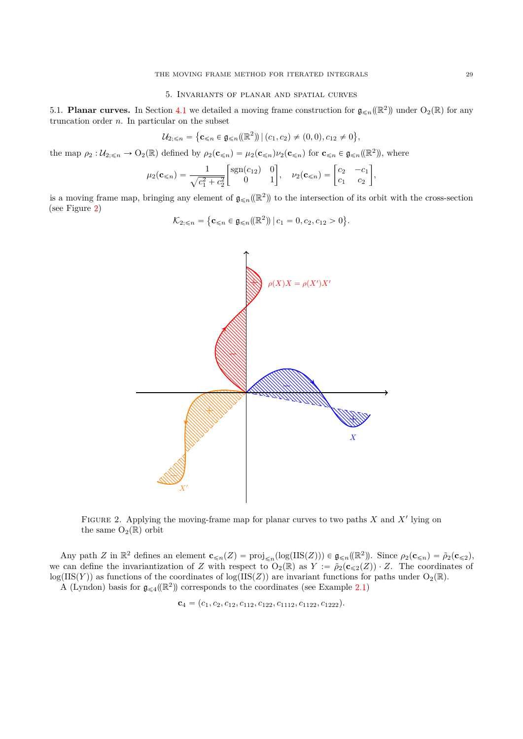## 5. Invariants of planar and spatial curves

<span id="page-28-1"></span><span id="page-28-0"></span>5.1. **Planar curves.** In Section [4.1](#page-21-1) we detailed a moving frame construction for  $\mathfrak{g}_{\leq n}(\mathbb{R}^2)$  under  $O_2(\mathbb{R})$  for any truncation order *n*. In particular on the subset

$$
\mathcal{U}_{2; \leq n} = \{ \mathbf{c}_{\leq n} \in \mathfrak{g}_{\leq n}(\mathbb{R}^2) \, | \, (c_1, c_2) \neq (0, 0), c_{12} \neq 0 \},
$$

the map  $\rho_2: U_{2;\leq n} \to O_2(\mathbb{R})$  defined by  $\rho_2(\mathbf{c}_{\leq n}) = \mu_2(\mathbf{c}_{\leq n})\nu_2(\mathbf{c}_{\leq n})$  for  $\mathbf{c}_{\leq n} \in \mathfrak{g}_{\leq n}(\mathbb{R}^2)$ , where

$$
\mu_2(\mathbf{c}_{\le n}) = \frac{1}{\sqrt{c_1^2 + c_2^2}} \begin{bmatrix} \text{sgn}(c_{12}) & 0 \\ 0 & 1 \end{bmatrix}, \quad \nu_2(\mathbf{c}_{\le n}) = \begin{bmatrix} c_2 & -c_1 \\ c_1 & c_2 \end{bmatrix},
$$

is a moving frame map, bringing any element of  $\mathfrak{g}_{\leq n}(\mathbb{R}^2)$  to the intersection of its orbit with the cross-section (see Figure [2\)](#page-28-2) (

$$
\mathcal{K}_{2;\leq n} = \{ \mathbf{c}_{\leq n} \in \mathfrak{g}_{\leq n}(\mathbb{R}^2) \, | \, c_1 = 0, c_2, c_{12} > 0 \}.
$$



<span id="page-28-2"></span>FIGURE 2. Applying the moving-frame map for planar curves to two paths  $X$  and  $X'$  lying on the same  $O_2(\mathbb{R})$  orbit

Any path *Z* in  $\mathbb{R}^2$  defines an element  $\mathbf{c}_{\leq n}(Z) = \text{proj}_{\leq n}(\log(\text{IIS}(Z))) \in \mathfrak{g}_{\leq n}(\mathbb{R}^2)$ . Since  $\rho_2(\mathbf{c}_{\leq n}) = \tilde{\rho}_2(\mathbf{c}_{\leq 2})$ , we can define the invariantization of *Z* with respect to  $O_2(\mathbb{R})$  as  $Y := \tilde{\rho}_2(\mathbf{c}_{\leq 2}(Z)) \cdot Z$ . The coordinates of  $log(IIS(Y))$  as functions of the coordinates of  $log(IIS(Z))$  are invariant functions for paths under  $O_2(\mathbb{R})$ . A (Lyndon) basis for  $\mathfrak{g}_{\leq 4}(\mathbb{R}^2)$  corresponds to the coordinates (see Example [2.1\)](#page-2-2)

 $$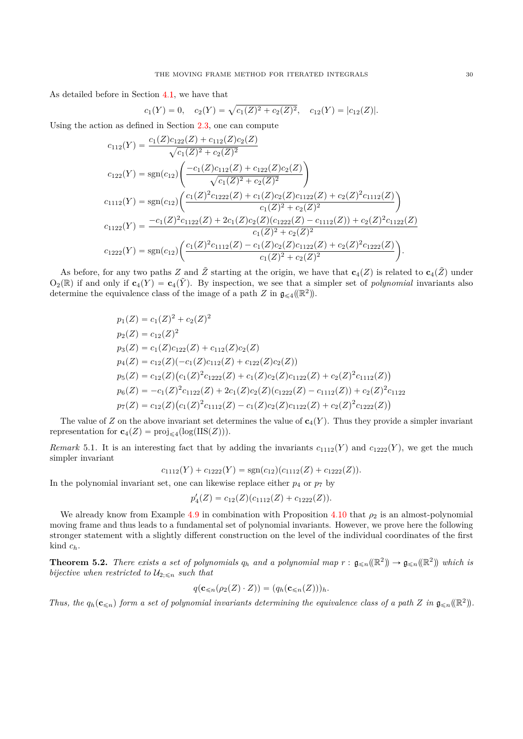As detailed before in Section [4.1,](#page-21-1) we have that<br>  $c_1(Y) = 0, \quad c_2(Y) = \sqrt{2}$ 

$$
c_1(Y) = 0
$$
,  $c_2(Y) = \sqrt{c_1(Z)^2 + c_2(Z)^2}$ ,  $c_{12}(Y) = |c_{12}(Z)|$ .

Using the action as defined in Section [2.3,](#page-6-0) one can compute

$$
c_{112}(Y) = \frac{c_1(Z)c_{122}(Z) + c_{112}(Z)c_2(Z)}{\sqrt{c_1(Z)^2 + c_2(Z)^2}}
$$
  
\n
$$
c_{122}(Y) = sgn(c_{12}) \left( \frac{-c_1(Z)c_{112}(Z) + c_{122}(Z)c_2(Z)}{\sqrt{c_1(Z)^2 + c_2(Z)^2}} \right)
$$
  
\n
$$
c_{1112}(Y) = sgn(c_{12}) \left( \frac{c_1(Z)^2c_{1222}(Z) + c_1(Z)c_2(Z)c_{1122}(Z) + c_2(Z)^2c_{1112}(Z)}{c_1(Z)^2 + c_2(Z)^2} \right)
$$
  
\n
$$
c_{1122}(Y) = \frac{-c_1(Z)^2c_{1122}(Z) + 2c_1(Z)c_2(Z)(c_{1222}(Z) - c_{1112}(Z)) + c_2(Z)^2c_{1122}(Z)}{c_1(Z)^2 + c_2(Z)^2}
$$
  
\n
$$
c_{1222}(Y) = sgn(c_{12}) \left( \frac{c_1(Z)^2c_{1112}(Z) - c_1(Z)c_2(Z)c_{1122}(Z) + c_2(Z)^2c_{1222}(Z)}{c_1(Z)^2 + c_2(Z)^2} \right).
$$

As before, for any two paths *Z* and  $\tilde{Z}$  starting at the origin, we have that  $\mathbf{c}_4(Z)$  is related to  $\mathbf{c}_4(\tilde{Z})$  under  $O_2(\mathbb{R})$  if and only if  $c_4(Y) = c_4(\tilde{Y})$ . By inspection, we see that a simpler set of *polynomial* invariants also determine the equivalence class of the image of a path *Z* in  $\mathfrak{g}_{\leq 4}(\mathbb{R}^2)$ .

$$
p_1(Z) = c_1(Z)^2 + c_2(Z)^2
$$
  
\n
$$
p_2(Z) = c_1(Z)c_1Z^2
$$
  
\n
$$
p_3(Z) = c_1(Z)c_{122}(Z) + c_{112}(Z)c_2(Z)
$$
  
\n
$$
p_4(Z) = c_{12}(Z)(-c_1(Z)c_{112}(Z) + c_{122}(Z)c_2(Z))
$$
  
\n
$$
p_5(Z) = c_{12}(Z)(c_1(Z)^2c_{1222}(Z) + c_1(Z)c_2(Z)c_{1122}(Z) + c_2(Z)^2c_{1112}(Z))
$$
  
\n
$$
p_6(Z) = -c_1(Z)^2c_{1122}(Z) + 2c_1(Z)c_2(Z)(c_{1222}(Z) - c_{1112}(Z)) + c_2(Z)^2c_{1122}
$$
  
\n
$$
p_7(Z) = c_{12}(Z)(c_1(Z)^2c_{1112}(Z) - c_1(Z)c_2(Z)c_{1122}(Z) + c_2(Z)^2c_{1222}(Z))
$$

The value of *Z* on the above invariant set determines the value of  $c_4(Y)$ . Thus they provide a simpler invariant representation for  $\mathbf{c}_4(Z) = \text{proj}_{\leq 4}(\log(\text{IIS}(Z))).$ 

*Remark* 5.1. It is an interesting fact that by adding the invariants  $c_{1112}(Y)$  and  $c_{1222}(Y)$ , we get the much simpler invariant

$$
c_{1112}(Y) + c_{1222}(Y) = sgn(c_{12})(c_{1112}(Z) + c_{1222}(Z)).
$$

In the polynomial invariant set, one can likewise replace either  $p_4$  or  $p_7$  by

$$
p_4'(Z) = c_{12}(Z)(c_{1112}(Z) + c_{1222}(Z)).
$$

We already know from Example [4.9](#page-27-1) in combination with Proposition [4.10](#page-27-2) that  $\rho_2$  is an almost-polynomial moving frame and thus leads to a fundamental set of polynomial invariants. However, we prove here the following stronger statement with a slightly different construction on the level of the individual coordinates of the first kind *ch*.

<span id="page-29-0"></span>**Theorem 5.2.** *There exists a set of polynomials*  $q_h$  *and a polynomial map*  $r : \mathfrak{g}_{\leq n}(\mathbb{R}^2) \to \mathfrak{g}_{\leq n}(\mathbb{R}^2)$  *which is bijective when restricted to*  $\mathcal{U}_{2;\leq n}$  *such that* 

$$
q(\mathbf{c}_{\leq n}(\rho_2(Z)\cdot Z)) = (q_h(\mathbf{c}_{\leq n}(Z)))_h.
$$

*Thus, the*  $q_h(c_{\leq n})$  *form a set of polynomial invariants determining the equivalence class of a path Z in*  $\mathfrak{g}_{\leq n}(\mathbb{R}^2)$ .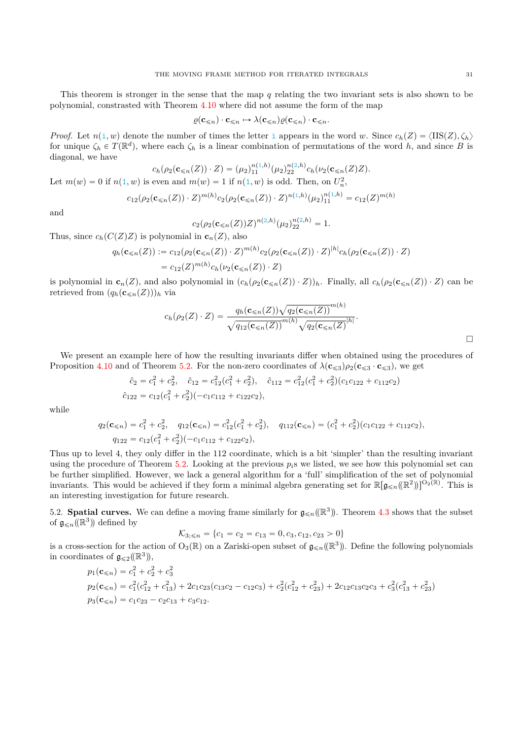This theorem is stronger in the sense that the map *q* relating the two invariant sets is also shown to be polynomial, constrasted with Theorem 4*.*[10](#page-27-2) where did not assume the form of the map

$$
\varrho(\mathbf{c}_{\leqslant n})\cdot \mathbf{c}_{\leqslant n} \mapsto \lambda(\mathbf{c}_{\leqslant n})\varrho(\mathbf{c}_{\leqslant n})\cdot \mathbf{c}_{\leqslant n}.
$$

*Proof.* Let  $n(i, w)$  denote the number of times the letter i appears in the word *w*. Since  $c_h(Z) = \langle \text{IIS}(Z), \zeta_h \rangle$ for unique  $\zeta_h \in T(\mathbb{R}^d)$ , where each  $\zeta_h$  is a linear combination of permutations of the word *h*, and since *B* is diagonal, we have

$$
c_h(\rho_2(\mathbf{c}_{\le n}(Z)) \cdot Z) = (\mu_2)_{11}^{n(1,h)}(\mu_2)_{22}^{n(2,h)}c_h(\nu_2(\mathbf{c}_{\le n}(Z)Z).
$$
  
Let  $m(w) = 0$  if  $n(1, w)$  is even and  $m(w) = 1$  if  $n(1, w)$  is odd. Then, on  $U_n^2$ ,

and

$$
c_2(\rho_2(\mathbf{c}_{\le n}(Z))Z)^{n(2,h)}(\mu_2)_{22}^{n(2,h)}=1.
$$

 $c_{12}(\rho_2(\mathbf{c}_{\le n}(Z)) \cdot Z)^{m(h)} c_2(\rho_2(\mathbf{c}_{\le n}(Z)) \cdot Z)^{n(1,h)} (\mu_2)_{11}^{n(1,h)} = c_{12}(Z)^{m(h)}$ 

Thus, since  $c_h(C(Z)Z)$  is polynomial in  $\mathbf{c}_n(Z)$ , also

$$
q_h(\mathbf{c}_{\leq n}(Z)) := c_{12}(\rho_2(\mathbf{c}_{\leq n}(Z)) \cdot Z)^{m(h)} c_2(\rho_2(\mathbf{c}_{\leq n}(Z)) \cdot Z)^{|h|} c_h(\rho_2(\mathbf{c}_{\leq n}(Z)) \cdot Z)
$$
  
=  $c_{12}(Z)^{m(h)} c_h(\nu_2(\mathbf{c}_{\leq n}(Z)) \cdot Z)$ 

is polynomial in  $\mathbf{c}_n(Z)$ , and also polynomial in  $(c_h(\rho_2(\mathbf{c}_{\leq n}(Z)) \cdot Z))_h$ . Finally, all  $c_h(\rho_2(\mathbf{c}_{\leq n}(Z)) \cdot Z)$  can be retrieved from  $(q_h(c_{\leq n}(Z)))_h$  via

$$
c_h(\rho_2(Z)\cdot Z) = \frac{q_h(\mathbf{c}_{\leq n}(Z))\sqrt{q_2(\mathbf{c}_{\leq n}(Z))}^{m(h)}}{\sqrt{q_{12}(\mathbf{c}_{\leq n}(Z))}^{m(h)}\sqrt{q_2(\mathbf{c}_{\leq n}(Z))}^{h_l}}.
$$

We present an example here of how the resulting invariants differ when obtained using the procedures of Proposition [4.10](#page-27-2) and of Theorem [5.2.](#page-29-0) For the non-zero coordinates of  $\lambda(c_{\leq 3})\rho_2(c_{\leq 3} \cdot c_{\leq 3})$ , we get

$$
\hat{c}_2 = c_1^2 + c_2^2, \quad \hat{c}_{12} = c_{12}^2(c_1^2 + c_2^2), \quad \hat{c}_{112} = c_{12}^2(c_1^2 + c_2^2)(c_1c_{122} + c_{112}c_2)
$$
  

$$
\hat{c}_{122} = c_{12}(c_1^2 + c_2^2)(-c_1c_{112} + c_{122}c_2),
$$

while

$$
q_2(\mathbf{c}_{\le n}) = c_1^2 + c_2^2, \quad q_{12}(\mathbf{c}_{\le n}) = c_{12}^2(c_1^2 + c_2^2), \quad q_{112}(\mathbf{c}_{\le n}) = (c_1^2 + c_2^2)(c_1c_{122} + c_{112}c_2),
$$
  
\n
$$
q_{122} = c_{12}(c_1^2 + c_2^2)(-c_1c_{112} + c_{122}c_2),
$$

Thus up to level 4, they only differ in the 112 coordinate, which is a bit 'simpler' than the resulting invariant using the procedure of Theorem [5.2.](#page-29-0) Looking at the previous  $p_i$ <sup>s</sup> we listed, we see how this polynomial set can be further simplified. However, we lack a general algorithm for a 'full' simplification of the set of polynomial invariants. This would be achieved if they form a minimal algebra generating set for  $\mathbb{R}[\mathfrak{g}_{\leq n}(\mathbb{R}^2)]^{O_2(\mathbb{R})}$ . This is an interesting investigation for future research.

<span id="page-30-0"></span>5.2. **Spatial curves.** We can define a moving frame similarly for  $\mathfrak{g}_{\leq n}(\mathbb{R}^3)$ . Theorem [4.3](#page-25-0) shows that the subset of  $\mathfrak{g}_{\leqslant n}(\mathbb{R}^3)$  defined by

$$
\mathcal{K}_{3; \le n} = \{c_1 = c_2 = c_{13} = 0, c_3, c_{12}, c_{23} > 0\}
$$

is a cross-section for the action of  $O_3(\mathbb{R})$  on a Zariski-open subset of  $\mathfrak{g}_{\leq n}(\mathbb{R}^3)$ . Define the following polynomials in coordinates of  $\mathfrak{g}_{\leqslant 2}(\mathbb{R}^3)$ ,

$$
p_1(\mathbf{c}_{\le n}) = c_1^2 + c_2^2 + c_3^2
$$
  
\n
$$
p_2(\mathbf{c}_{\le n}) = c_1^2(c_{12}^2 + c_{13}^2) + 2c_1c_{23}(c_{13}c_2 - c_{12}c_3) + c_2^2(c_{12}^2 + c_{23}^2) + 2c_{12}c_{13}c_2c_3 + c_3^2(c_{13}^2 + c_{23}^2)
$$
  
\n
$$
p_3(\mathbf{c}_{\le n}) = c_1c_{23} - c_2c_{13} + c_3c_{12}.
$$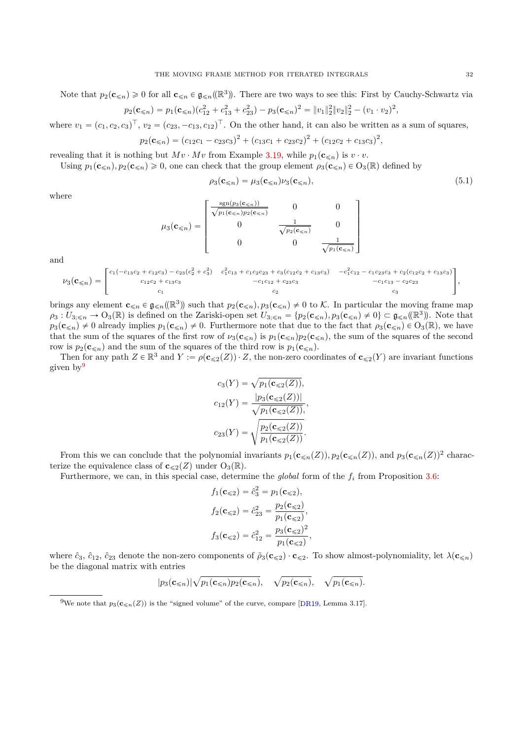Note that  $p_2(\mathbf{c}_{\leq n}) \geq 0$  for all  $\mathbf{c}_{\leq n} \in \mathfrak{g}_{\leq n}(\mathbb{R}^3)$ . There are two ways to see this: First by Cauchy-Schwartz via

$$
p_2(\mathbf{c}_{\le n}) = p_1(\mathbf{c}_{\le n})(c_{12}^2 + c_{13}^2 + c_{23}^2) - p_3(\mathbf{c}_{\le n})^2 = ||v_1||_2^2 ||v_2||_2^2 - (v_1 \cdot v_2)^2,
$$

where  $v_1 = (c_1, c_2, c_3)^\top$ ,  $v_2 = (c_{23}, -c_{13}, c_{12})^\top$ . On the other hand, it can also be written as a sum of squares,

$$
p_2(\mathbf{c}_{\leq n}) = (c_{12}c_1 - c_{23}c_3)^2 + (c_{13}c_1 + c_{23}c_2)^2 + (c_{12}c_2 + c_{13}c_3)^2,
$$

revealing that it is nothing but  $Mv \cdot Mv$  from Example [3.19,](#page-21-3) while  $p_1(c_{\leq n})$  is  $v \cdot v$ .

Using  $p_1(\mathbf{c}_{\leq n}), p_2(\mathbf{c}_{\leq n}) \geq 0$ , one can check that the group element  $\rho_3(\mathbf{c}_{\leq n}) \in O_3(\mathbb{R})$  defined by

<span id="page-31-1"></span>
$$
\rho_3(\mathbf{c}_{\leq n}) = \mu_3(\mathbf{c}_{\leq n})\nu_3(\mathbf{c}_{\leq n}),\tag{5.1}
$$

where

$$
\mu_3(\mathbf{c}_{\leq n}) = \begin{bmatrix}\n\frac{\operatorname{sgn}(p_3(\mathbf{c}_{\leq n}))}{\sqrt{p_1(\mathbf{c}_{\leq n})p_2(\mathbf{c}_{\leq n})}} & 0 & 0 \\
0 & \frac{1}{\sqrt{p_2(\mathbf{c}_{\leq n})}} & 0 \\
0 & 0 & \frac{1}{\sqrt{p_1(\mathbf{c}_{\leq n})}}\n\end{bmatrix}
$$

and

$$
\nu_3(\mathbf{c}_{\leq n}) = \begin{bmatrix} c_1(-c_{13}c_2 + c_{12}c_3) - c_{23}(c_2^2 + c_3^2) & c_1^2c_{13} + c_1c_2c_{23} + c_3(c_{12}c_2 + c_{13}c_3) & -c_1^2c_{12} - c_1c_{23}c_3 + c_2(c_{12}c_2 + c_{13}c_3) \\ c_{12}c_2 + c_{13}c_3 & -c_1c_{12} + c_{23}c_3 & -c_1c_{13} - c_2c_{23} \\ c_1 & c_2 & c_3 \end{bmatrix},
$$

brings any element  $\mathbf{c}_{\leq n} \in \mathfrak{g}_{\leq n}(\mathbb{R}^3)$  such that  $p_2(\mathbf{c}_{\leq n}), p_3(\mathbf{c}_{\leq n}) \neq 0$  to K. In particular the moving frame map  $\rho_3: U_{3, \leq n} \to O_3(\mathbb{R})$  is defined on the Zariski-open set  $U_{3, \leq n} = \{p_2(\mathbf{c}_{\leq n}), p_3(\mathbf{c}_{\leq n}) \neq 0\} \subset \mathfrak{g}_{\leq n}(\mathbb{R}^3)$ . Note that  $p_3(c_{\leq n}) \neq 0$  already implies  $p_1(c_{\leq n}) \neq 0$ . Furthermore note that due to the fact that  $\rho_3(c_{\leq n}) \in O_3(\mathbb{R})$ , we have that the sum of the squares of the first row of  $\nu_3(\mathbf{c}_{\leq n})$  is  $p_1(\mathbf{c}_{\leq n})p_2(\mathbf{c}_{\leq n})$ , the sum of the second row is  $p_2(c_{\leq n})$  and the sum of the squares of the third row is  $p_1(c_{\leq n})$ .

Then for any path  $Z \in \mathbb{R}^3$  and  $Y := \rho(c \leqslant_2(Z)) \cdot Z$ , the non-zero coordinates of  $c \leqslant_2(Y)$  are invariant functions given by[9](#page-31-0)

$$
c_3(Y) = \sqrt{p_1(\mathbf{c}_{\leq 2}(Z))},
$$

$$
c_{12}(Y) = \frac{|p_3(\mathbf{c}_{\leq 2}(Z))|}{\sqrt{p_1(\mathbf{c}_{\leq 2}(Z))}},
$$

$$
c_{23}(Y) = \sqrt{\frac{p_2(\mathbf{c}_{\leq 2}(Z))}{p_1(\mathbf{c}_{\leq 2}(Z))}}.
$$

From this we can conclude that the polynomial invariants  $p_1(c_{\leq n}(Z))$ ,  $p_2(c_{\leq n}(Z))$ , and  $p_3(c_{\leq n}(Z))^2$  characterize the equivalence class of  $c_{\leq 2}(Z)$  under  $O_3(\mathbb{R})$ .

Furthermore, we can, in this special case, determine the *global* form of the *f<sup>i</sup>* from Proposition [3.6:](#page-16-0)

$$
f_1(\mathbf{c}_{\le 2}) = \hat{c}_3^2 = p_1(\mathbf{c}_{\le 2}),
$$
  
\n
$$
f_2(\mathbf{c}_{\le 2}) = \hat{c}_{23}^2 = \frac{p_2(\mathbf{c}_{\le 2})}{p_1(\mathbf{c}_{\le 2})},
$$
  
\n
$$
f_3(\mathbf{c}_{\le 2}) = \hat{c}_{12}^2 = \frac{p_3(\mathbf{c}_{\le 2})^2}{p_1(\mathbf{c}_{\le 2})},
$$

where  $\hat{c}_3$ ,  $\hat{c}_{12}$ ,  $\hat{c}_{23}$  denote the non-zero components of  $\tilde{\rho}_3(\mathbf{c}_{\leq 2}) \cdot \mathbf{c}_{\leq 2}$ . To show almost-polynomiality, let  $\lambda(\mathbf{c}_{\leq n})$ be the diagonal matrix with entries

$$
|p_3(\mathbf{c}_{\leq n})|\sqrt{p_1(\mathbf{c}_{\leq n})p_2(\mathbf{c}_{\leq n})}, \quad \sqrt{p_2(\mathbf{c}_{\leq n})}, \quad \sqrt{p_1(\mathbf{c}_{\leq n})}.
$$

<span id="page-31-0"></span><sup>&</sup>lt;sup>9</sup>We note that  $p_3(c_{\leq n}(Z))$  is the "signed volume" of the curve, compare [\[DR19,](#page-34-1) Lemma 3.17].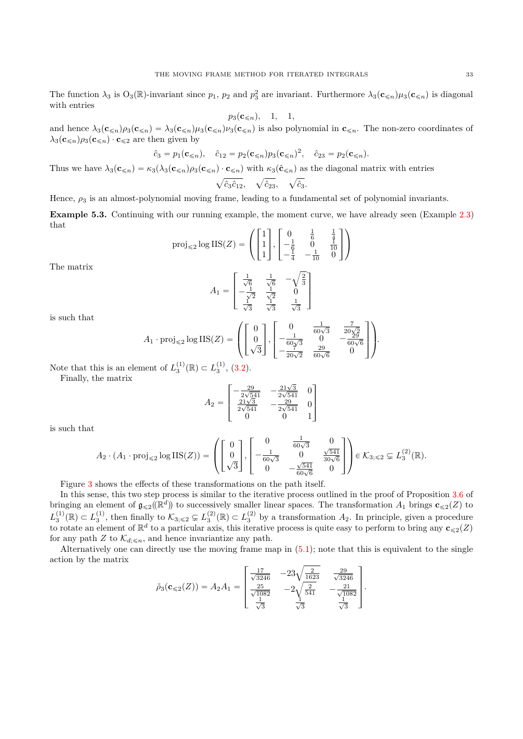The function  $\lambda_3$  is  $O_3(\mathbb{R})$ -invariant since  $p_1$ ,  $p_2$  and  $p_3^2$  are invariant. Furthermore  $\lambda_3(\mathbf{c}_{\leq n})\mu_3(\mathbf{c}_{\leq n})$  is diagonal with entries

$$
p_3(\mathbf{c}_{\leq n}), \quad 1, \quad 1,
$$

and hence  $\lambda_3(c_{\leq n})\rho_3(c_{\leq n}) = \lambda_3(c_{\leq n})\mu_3(c_{\leq n})\nu_3(c_{\leq n})$  is also polynomial in  $c_{\leq n}$ . The non-zero coordinates of  $\lambda_3(\mathbf{c}_{\leq n})\rho_3(\mathbf{c}_{\leq n}) \cdot \mathbf{c}_{\leq 2}$  are then given by

$$
\hat{c}_3 = p_1(\mathbf{c}_{\le n}), \quad \hat{c}_{12} = p_2(\mathbf{c}_{\le n})p_3(\mathbf{c}_{\le n})^2, \quad \hat{c}_{23} = p_2(\mathbf{c}_{\le n}).
$$

Thus we have  $\lambda_3(c_{\leq n}) = \kappa_3(\lambda_3(c_{\leq n})\rho_3(c_{\leq n}) \cdot c_{\leq n})$  with  $\kappa_3(\hat{c}_{\leq n})$  as the diagonal matrix with entries  $\mathcal{F}_{\mathcal{F}}$  $\hat{c}_3\hat{c}_{12}$  $\overline{a}$ *c*ˆ23*,*  $\binom{n}{k}$ *c*ˆ3*.*

Hence, *ρ*<sup>3</sup> is an almost-polynomial moving frame, leading to a fundamental set of polynomial invariants.

<span id="page-32-0"></span>**Example 5.3.** Continuing with our running example, the moment curve, we have already seen (Example [2.3\)](#page-5-2) that » fi » fi

$$
\text{proj}_{\leq 2} \log \text{IIS}(Z) = \left( \begin{bmatrix} 1 \\ 1 \\ 1 \end{bmatrix}, \begin{bmatrix} 0 & \frac{1}{6} & \frac{1}{4} \\ -\frac{1}{6} & 0 & \frac{1}{10} \\ -\frac{1}{4} & -\frac{1}{10} & 0 \end{bmatrix} \right)
$$

The matrix

$$
A_1 = \begin{bmatrix} \frac{1}{\sqrt{6}} & \frac{1}{\sqrt{6}} & -\sqrt{\frac{2}{3}}\\ -\frac{1}{\sqrt{2}} & \frac{1}{\sqrt{2}} & 0\\ \frac{1}{\sqrt{3}} & \frac{1}{\sqrt{3}} & \frac{1}{\sqrt{3}} \end{bmatrix}
$$

is such that

$$
A_1 \cdot \text{proj}_{\leq 2} \log \text{IIS}(Z) = \left( \begin{bmatrix} 0 \\ 0 \\ \sqrt{3} \end{bmatrix}, \begin{bmatrix} 0 & \frac{1}{60\sqrt{3}} & \frac{7}{20\sqrt{2}} \\ -\frac{1}{60\sqrt{3}} & 0 & -\frac{29}{60\sqrt{6}} \\ -\frac{29}{20\sqrt{2}} & \frac{29}{60\sqrt{6}} & 0 \end{bmatrix} \right).
$$

Note that this is an element of  $L_3^{(1)}(\mathbb{R}) \subset L_3^{(1)}$ , [\(3.2\)](#page-14-1).

Finally, the matrix

$$
A_2 = \begin{bmatrix} -\frac{29}{2\sqrt{541}} & -\frac{21\sqrt{3}}{2\sqrt{541}} & 0\\ \frac{21\sqrt{3}}{2\sqrt{541}} & -\frac{29}{2\sqrt{541}} & 0\\ 0 & 0 & 1 \end{bmatrix}
$$

fi

is such that

$$
A_2 \cdot (A_1 \cdot \text{proj}_{\leq 2} \log \text{IIS}(Z)) = \left( \begin{bmatrix} 0 \\ 0 \\ \sqrt{3} \end{bmatrix}, \begin{bmatrix} 0 & \frac{1}{60\sqrt{3}} & 0 \\ -\frac{1}{60\sqrt{3}} & 0 & \frac{\sqrt{541}}{30\sqrt{6}} \\ 0 & -\frac{\sqrt{541}}{60\sqrt{6}} & 0 \end{bmatrix} \right) \in \mathcal{K}_{3; \leq 2} \subsetneq L_3^{(2)}(\mathbb{R}).
$$

»

Figure [3](#page-33-1) shows the effects of these transformations on the path itself.

In this sense, this two step process is similar to the iterative process outlined in the proof of Proposition [3.6](#page-16-0) of bringing an element of  $\mathfrak{g}_{\leqslant 2}(\mathbb{R}^d)$  to successively smaller linear spaces. The transformation  $A_1$  brings  $\mathbf{c}_{\leqslant 2}(Z)$  to  $L_3^{(1)}(\mathbb{R}) \subset L_3^{(1)}$ , then finally to  $\mathcal{K}_{3; \leq 2} \subsetneq L_3^{(2)}(\mathbb{R}) \subset L_3^{(2)}$  by a transformation  $A_2$ . In principle, given a procedure to rotate an element of  $\mathbb{R}^d$  to a particular axis, this iterative process is quite easy to perform to bring any  $\mathbf{c}_{\leqslant 2}(Z)$ for any path *Z* to  $\mathcal{K}_{d;\leq n}$ , and hence invariantize any path.

Alternatively one can directly use the moving frame map in [\(5.1\)](#page-31-1); note that this is equivalent to the single action by the matrix » fi

$$
\tilde{\rho}_3(\mathbf{c}_{\le 2}(Z)) = A_2 A_1 = \begin{bmatrix} \frac{17}{\sqrt{3246}} & -23\sqrt{\frac{2}{1623}} & \frac{29}{\sqrt{3246}} \\ \frac{25}{\sqrt{1082}} & -2\sqrt{\frac{2}{541}} & -\frac{21}{\sqrt{1082}} \\ \frac{1}{\sqrt{3}} & \frac{1}{\sqrt{3}} & \frac{1}{\sqrt{3}} \end{bmatrix}.
$$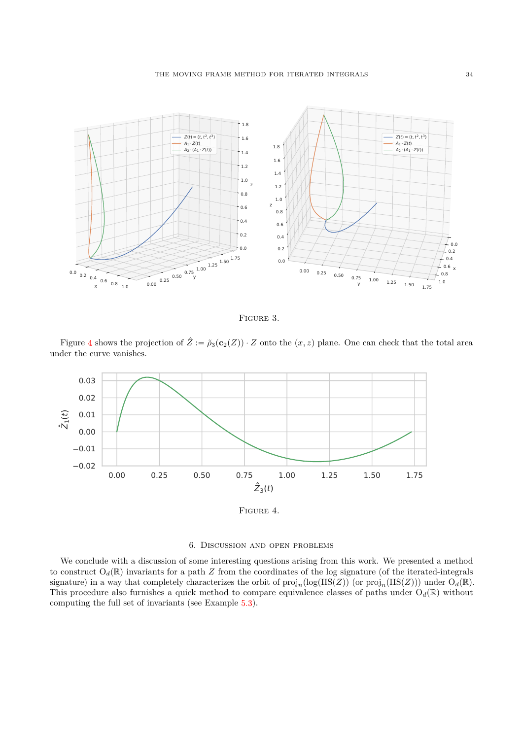

<span id="page-33-1"></span>Figure 3.

Figure [4](#page-33-2) shows the projection of  $\hat{Z} := \tilde{\rho}_3(c_2(Z)) \cdot Z$  onto the  $(x, z)$  plane. One can check that the total area under the curve vanishes.



<span id="page-33-2"></span>Figure 4.

## 6. Discussion and open problems

<span id="page-33-0"></span>We conclude with a discussion of some interesting questions arising from this work. We presented a method to construct  $O_d(\mathbb{R})$  invariants for a path *Z* from the coordinates of the log signature (of the iterated-integrals signature) in a way that completely characterizes the orbit of  $\text{proj}_n(\log(\text{IIS}(Z)))$  (or  $\text{proj}_n(\text{IIS}(Z)))$ ) under  $O_d(\mathbb{R})$ . This procedure also furnishes a quick method to compare equivalence classes of paths under  $O_d(\mathbb{R})$  without computing the full set of invariants (see Example [5.3\)](#page-32-0).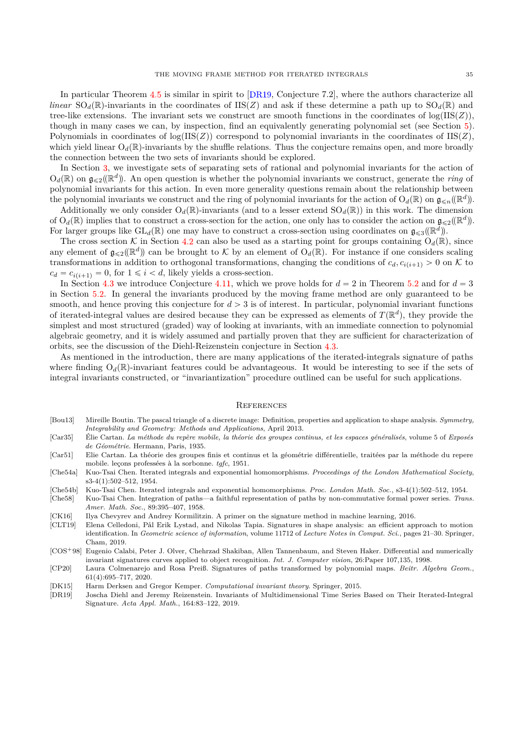In particular Theorem [4.5](#page-26-2) is similar in spirit to [\[DR19,](#page-34-1) Conjecture 7.2], where the authors characterize all *linear*  $SO_d(\mathbb{R})$ -invariants in the coordinates of IIS(Z) and ask if these determine a path up to  $SO_d(\mathbb{R})$  and tree-like extensions. The invariant sets we construct are smooth functions in the coordinates of  $log(IIS(Z))$ , though in many cases we can, by inspection, find an equivalently generating polynomial set (see Section [5\)](#page-28-0). Polynomials in coordinates of  $log(IB(Z))$  correspond to polynomial invariants in the coordinates of IIS $(Z)$ , which yield linear  $O_d(\mathbb{R})$ -invariants by the shuffle relations. Thus the conjecture remains open, and more broadly the connection between the two sets of invariants should be explored.

In Section [3,](#page-13-0) we investigate sets of separating sets of rational and polynomial invariants for the action of  $O_d(\mathbb{R})$  on  $\mathfrak{g}_{\leqslant 2}(\mathbb{R}^d)$ . An open question is whether the polynomial invariants we construct, generate the *ring* of polynomial invariants for this action. In even more generality questions remain about the relationship between the polynomial invariants we construct and the ring of polynomial invariants for the action of  $O_d(\mathbb{R})$  on  $\mathfrak{g}_{\leq n}(\mathbb{R}^d)$ .

Additionally we only consider  $O_d(\mathbb{R})$ -invariants (and to a lesser extend  $SO_d(\mathbb{R})$ ) in this work. The dimension of  $O_d(\mathbb{R})$  implies that to construct a cross-section for the action, one only has to consider the action on  $\mathfrak{g}_{\leqslant 2}(\mathbb{R}^d)$ . For larger groups like  $GL_d(\mathbb{R})$  one may have to construct a cross-section using coordinates on  $\mathfrak{g}_{\leqslant3}(\mathbb{R}^d)$ .

The cross section K in Section [4.2](#page-23-0) can also be used as a starting point for groups containing  $O_d(\mathbb{R})$ , since any element of  $\mathfrak{g}_{\leqslant 2}(\mathbb{R}^d)$  can be brought to K by an element of  $O_d(\mathbb{R})$ . For instance if one considers scaling transformations in addition to orthogonal transformations, changing the conditions of  $c_d$ ,  $c_{i(i+1)} > 0$  on K to  $c_d = c_{i(i+1)} = 0$ , for  $1 \le i < d$ , likely yields a cross-section.

In Section [4.3](#page-26-0) we introduce Conjecture [4.11,](#page-27-3) which we prove holds for  $d = 2$  in Theorem [5.2](#page-29-0) and for  $d = 3$ in Section [5.2.](#page-30-0) In general the invariants produced by the moving frame method are only guaranteed to be smooth, and hence proving this conjecture for  $d > 3$  is of interest. In particular, polynomial invariant functions of iterated-integral values are desired because they can be expressed as elements of  $T(\mathbb{R}^d)$ , they provide the simplest and most structured (graded) way of looking at invariants, with an immediate connection to polynomial algebraic geometry, and it is widely assumed and partially proven that they are sufficient for characterization of orbits, see the discussion of the Diehl-Reizenstein conjecture in Section [4.3.](#page-26-0)

As mentioned in the introduction, there are many applications of the iterated-integrals signature of paths where finding  $O_d(\mathbb{R})$ -invariant features could be advantageous. It would be interesting to see if the sets of integral invariants constructed, or "invariantization" procedure outlined can be useful for such applications.

#### <span id="page-34-0"></span>**REFERENCES**

- <span id="page-34-8"></span>[Bou13] Mireille Boutin. The pascal triangle of a discrete image: Definition, properties and application to shape analysis. *Symmetry, Integrability and Geometry: Methods and Applications*, April 2013.
- <span id="page-34-6"></span>[Car35] Élie Cartan. *La méthode du repère mobile, la théorie des groupes continus, et les espaces généralisés*, volume 5 of *Exposés de Géométrie*. Hermann, Paris, 1935.
- <span id="page-34-11"></span>[Car51] Elie Cartan. La théorie des groupes finis et continus et la géométrie différentielle, traitées par la méthode du repere mobile. leçons professées à la sorbonne. *tgfc*, 1951.
- <span id="page-34-2"></span>[Che54a] Kuo-Tsai Chen. Iterated integrals and exponential homomorphisms. *Proceedings of the London Mathematical Society*, s3-4(1):502–512, 1954.
- <span id="page-34-9"></span>[Che54b] Kuo-Tsai Chen. Iterated integrals and exponential homomorphisms. *Proc. London Math. Soc.*, s3-4(1):502–512, 1954.
- <span id="page-34-3"></span>[Che58] Kuo-Tsai Chen. Integration of paths—a faithful representation of paths by non-commutative formal power series. *Trans. Amer. Math. Soc.*, 89:395–407, 1958.
- <span id="page-34-4"></span>[CK16] Ilya Chevyrev and Andrey Kormilitzin. A primer on the signature method in machine learning, 2016.
- <span id="page-34-5"></span>[CLT19] Elena Celledoni, Pål Erik Lystad, and Nikolas Tapia. Signatures in shape analysis: an efficient approach to motion identification. In *Geometric science of information*, volume 11712 of *Lecture Notes in Comput. Sci.*, pages 21–30. Springer, Cham, 2019.
- <span id="page-34-7"></span>[COS<sup>+</sup>98] Eugenio Calabi, Peter J. Olver, Chehrzad Shakiban, Allen Tannenbaum, and Steven Haker. Differential and numerically invariant signatures curves applied to object recognition. *Int. J. Computer vision*, 26:Paper 107,135, 1998.
- <span id="page-34-10"></span>[CP20] Laura Colmenarejo and Rosa Preiß. Signatures of paths transformed by polynomial maps. *Beitr. Algebra Geom.*, 61(4):695–717, 2020.
- <span id="page-34-12"></span>[DK15] Harm Derksen and Gregor Kemper. *Computational invariant theory*. Springer, 2015.
- <span id="page-34-1"></span>[DR19] Joscha Diehl and Jeremy Reizenstein. Invariants of Multidimensional Time Series Based on Their Iterated-Integral Signature. *Acta Appl. Math.*, 164:83–122, 2019.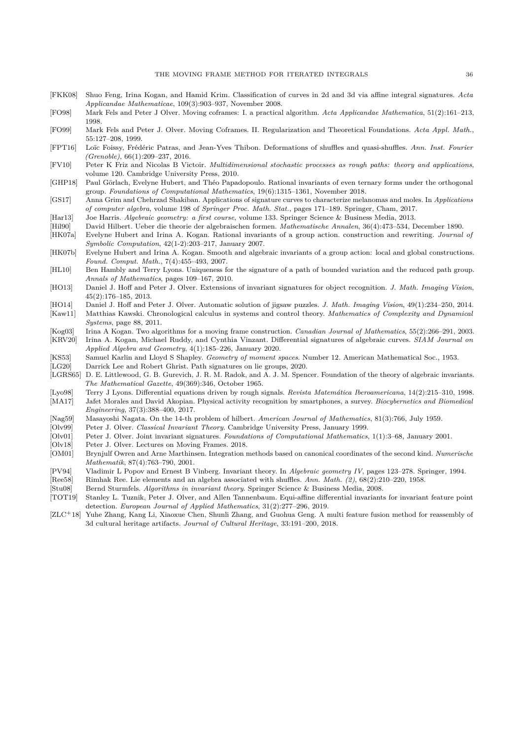- <span id="page-35-3"></span>[FKK08] Shuo Feng, Irina Kogan, and Hamid Krim. Classification of curves in 2d and 3d via affine integral signatures. *Acta Applicandae Mathematicae*, 109(3):903–937, November 2008.
- <span id="page-35-19"></span>[FO98] Mark Fels and Peter J Olver. Moving coframes: I. a practical algorithm. *Acta Applicandae Mathematica*, 51(2):161–213, 1998.
- <span id="page-35-6"></span>[FO99] Mark Fels and Peter J. Olver. Moving Coframes. II. Regularization and Theoretical Foundations. *Acta Appl. Math.*, 55:127–208, 1999.
- <span id="page-35-10"></span>[FPT16] Loïc Foissy, Frédéric Patras, and Jean-Yves Thibon. Deformations of shuffles and quasi-shuffles. *Ann. Inst. Fourier (Grenoble)*, 66(1):209–237, 2016.
- <span id="page-35-13"></span>[FV10] Peter K Friz and Nicolas B Victoir. *Multidimensional stochastic processes as rough paths: theory and applications*, volume 120. Cambridge University Press, 2010.
- <span id="page-35-29"></span>[GHP18] Paul Görlach, Evelyne Hubert, and Théo Papadopoulo. Rational invariants of even ternary forms under the orthogonal group. *Foundations of Computational Mathematics*, 19(6):1315–1361, November 2018.
- <span id="page-35-8"></span>[GS17] Anna Grim and Chehrzad Shakiban. Applications of signature curves to characterize melanomas and moles. In *Applications of computer algebra*, volume 198 of *Springer Proc. Math. Stat.*, pages 171–189. Springer, Cham, 2017.
- <span id="page-35-14"></span>[Har13] Joe Harris. *Algebraic geometry: a first course*, volume 133. Springer Science & Business Media, 2013.
- <span id="page-35-26"></span>[Hil90] David Hilbert. Ueber die theorie der algebraischen formen. *Mathematische Annalen*, 36(4):473–534, December 1890.
- <span id="page-35-28"></span>[HK07a] Evelyne Hubert and Irina A. Kogan. Rational invariants of a group action. construction and rewriting. *Journal of Symbolic Computation*, 42(1-2):203–217, January 2007.
- <span id="page-35-21"></span>[HK07b] Evelyne Hubert and Irina A. Kogan. Smooth and algebraic invariants of a group action: local and global constructions. *Found. Comput. Math.*, 7(4):455–493, 2007.
- <span id="page-35-4"></span>[HL10] Ben Hambly and Terry Lyons. Uniqueness for the signature of a path of bounded variation and the reduced path group. *Annals of Mathematics*, pages 109–167, 2010.
- <span id="page-35-2"></span>[HO13] Daniel J. Hoff and Peter J. Olver. Extensions of invariant signatures for object recognition. *J. Math. Imaging Vision*, 45(2):176–185, 2013.
- <span id="page-35-16"></span><span id="page-35-7"></span>[HO14] Daniel J. Hoff and Peter J. Olver. Automatic solution of jigsaw puzzles. *J. Math. Imaging Vision*, 49(1):234–250, 2014. [Kaw11] Matthias Kawski. Chronological calculus in systems and control theory. *Mathematics of Complexity and Dynamical Systems*, page 88, 2011.
- <span id="page-35-31"></span>[Kog03] Irina A Kogan. Two algorithms for a moving frame construction. *Canadian Journal of Mathematics*, 55(2):266–291, 2003.
- <span id="page-35-30"></span>[KRV20] Irina A. Kogan, Michael Ruddy, and Cynthia Vinzant. Differential signatures of algebraic curves. *SIAM Journal on Applied Algebra and Geometry*, 4(1):185–226, January 2020.
- <span id="page-35-15"></span>[KS53] Samuel Karlin and Lloyd S Shapley. *Geometry of moment spaces*. Number 12. American Mathematical Soc., 1953.
- <span id="page-35-23"></span><span id="page-35-5"></span>[LG20] Darrick Lee and Robert Ghrist. Path signatures on lie groups, 2020. [LGRS65] D. E. Littlewood, G. B. Gurevich, J. R. M. Radok, and A. J. M. Spencer. Foundation of the theory of algebraic invariants.
- *The Mathematical Gazette*, 49(369):346, October 1965.
- <span id="page-35-11"></span><span id="page-35-0"></span>[Lyo98] Terry J Lyons. Differential equations driven by rough signals. *Revista Matemática Iberoamericana*, 14(2):215–310, 1998. [MA17] Jafet Morales and David Akopian. Physical activity recognition by smartphones, a survey. *Biocybernetics and Biomedical Engineering*, 37(3):388–400, 2017.
- <span id="page-35-27"></span>[Nag59] Masayoshi Nagata. On the 14-th problem of hilbert. *American Journal of Mathematics*, 81(3):766, July 1959.
- <span id="page-35-24"></span>Peter J. Olver. *Classical Invariant Theory*. Cambridge University Press, January 1999.
- <span id="page-35-20"></span>[Olv01] Peter J. Olver. Joint invariant signatures. *Foundations of Computational Mathematics*, 1(1):3–68, January 2001.
- <span id="page-35-18"></span>[Olv18] Peter J. Olver. Lectures on Moving Frames. 2018.
- <span id="page-35-17"></span>[OM01] Brynjulf Owren and Arne Marthinsen. Integration methods based on canonical coordinates of the second kind. *Numerische Mathematik*, 87(4):763–790, 2001.
- <span id="page-35-22"></span>[PV94] Vladimir L Popov and Ernest B Vinberg. Invariant theory. In *Algebraic geometry IV*, pages 123–278. Springer, 1994.
- <span id="page-35-12"></span>[Ree58] Rimhak Ree. Lie elements and an algebra associated with shuffles. *Ann. Math. (2)*, 68(2):210–220, 1958.
- <span id="page-35-25"></span>[Stu08] Bernd Sturmfels. *Algorithms in invariant theory*. Springer Science & Business Media, 2008.
- <span id="page-35-9"></span>[TOT19] Stanley L. Tuznik, Peter J. Olver, and Allen Tannenbaum. Equi-affine differential invariants for invariant feature point detection. *European Journal of Applied Mathematics*, 31(2):277–296, 2019.
- <span id="page-35-1"></span> $[ZLC<sup>+</sup>18]$  Yuhe Zhang, Kang Li, Xiaoxue Chen, Shunli Zhang, and Guohua Geng. A multi feature fusion method for reassembly of 3d cultural heritage artifacts. *Journal of Cultural Heritage*, 33:191–200, 2018.